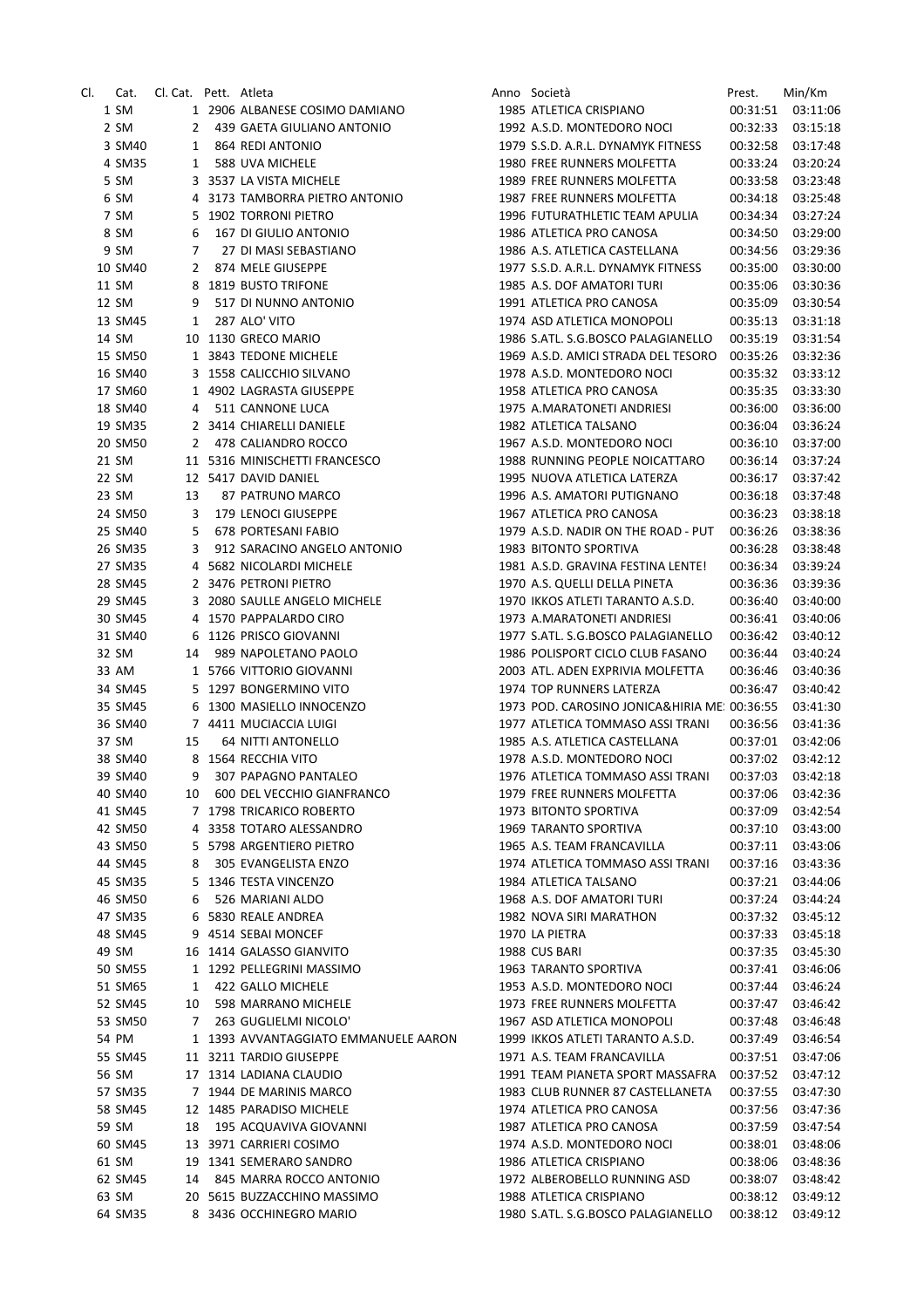| CI. | Cat.    | Cl. Cat. Pett. Atleta |                                      | Anno Società                                 | Prest.   | Min/Km   |
|-----|---------|-----------------------|--------------------------------------|----------------------------------------------|----------|----------|
|     | 1 SM    |                       | 1 2906 ALBANESE COSIMO DAMIANO       | 1985 ATLETICA CRISPIANO                      | 00:31:51 | 03:11:06 |
|     | 2 SM    | $2^{\circ}$           | 439 GAETA GIULIANO ANTONIO           | 1992 A.S.D. MONTEDORO NOCI                   | 00:32:33 | 03:15:18 |
|     | 3 SM40  | $\mathbf{1}$          | 864 REDI ANTONIO                     | 1979 S.S.D. A.R.L. DYNAMYK FITNESS           | 00:32:58 | 03:17:48 |
|     | 4 SM35  | 1                     | 588 UVA MICHELE                      | 1980 FREE RUNNERS MOLFETTA                   | 00:33:24 | 03:20:24 |
|     | 5 SM    |                       | 3 3537 LA VISTA MICHELE              | 1989 FREE RUNNERS MOLFETTA                   | 00:33:58 | 03:23:48 |
|     | 6 SM    |                       |                                      | 1987 FREE RUNNERS MOLFETTA                   |          |          |
|     |         |                       | 4 3173 TAMBORRA PIETRO ANTONIO       |                                              | 00:34:18 | 03:25:48 |
|     | 7 SM    |                       | 5 1902 TORRONI PIETRO                | 1996 FUTURATHLETIC TEAM APULIA               | 00:34:34 | 03:27:24 |
|     | 8 SM    | 6                     | 167 DI GIULIO ANTONIO                | 1986 ATLETICA PRO CANOSA                     | 00:34:50 | 03:29:00 |
|     | 9 SM    | 7                     | 27 DI MASI SEBASTIANO                | 1986 A.S. ATLETICA CASTELLANA                | 00:34:56 | 03:29:36 |
|     | 10 SM40 | $\mathbf{2}$          | 874 MELE GIUSEPPE                    | 1977 S.S.D. A.R.L. DYNAMYK FITNESS           | 00:35:00 | 03:30:00 |
|     | 11 SM   |                       | 8 1819 BUSTO TRIFONE                 | 1985 A.S. DOF AMATORI TURI                   | 00:35:06 | 03:30:36 |
|     | 12 SM   | 9                     | 517 DI NUNNO ANTONIO                 | 1991 ATLETICA PRO CANOSA                     | 00:35:09 | 03:30:54 |
|     | 13 SM45 | 1                     | 287 ALO' VITO                        | 1974 ASD ATLETICA MONOPOLI                   | 00:35:13 | 03:31:18 |
|     | 14 SM   |                       | 10 1130 GRECO MARIO                  | 1986 S.ATL. S.G.BOSCO PALAGIANELLO           | 00:35:19 | 03:31:54 |
|     | 15 SM50 |                       | 1 3843 TEDONE MICHELE                | 1969 A.S.D. AMICI STRADA DEL TESORO 00:35:26 |          | 03:32:36 |
|     | 16 SM40 |                       | 3 1558 CALICCHIO SILVANO             | 1978 A.S.D. MONTEDORO NOCI                   | 00:35:32 | 03:33:12 |
|     | 17 SM60 |                       | 1 4902 LAGRASTA GIUSEPPE             | 1958 ATLETICA PRO CANOSA                     | 00:35:35 | 03:33:30 |
|     |         |                       |                                      |                                              |          |          |
|     | 18 SM40 | 4                     | 511 CANNONE LUCA                     | 1975 A.MARATONETI ANDRIESI                   | 00:36:00 | 03:36:00 |
|     | 19 SM35 |                       | 2 3414 CHIARELLI DANIELE             | 1982 ATLETICA TALSANO                        | 00:36:04 | 03:36:24 |
|     | 20 SM50 | $\mathbf{2}$          | 478 CALIANDRO ROCCO                  | 1967 A.S.D. MONTEDORO NOCL                   | 00:36:10 | 03:37:00 |
|     | 21 SM   |                       | 11 5316 MINISCHETTI FRANCESCO        | 1988 RUNNING PEOPLE NOICATTARO               | 00:36:14 | 03:37:24 |
|     | 22 SM   |                       | 12 5417 DAVID DANIEL                 | 1995 NUOVA ATLETICA LATERZA                  | 00:36:17 | 03:37:42 |
|     | 23 SM   | 13                    | 87 PATRUNO MARCO                     | 1996 A.S. AMATORI PUTIGNANO                  | 00:36:18 | 03:37:48 |
|     | 24 SM50 | 3                     | 179 LENOCI GIUSEPPE                  | 1967 ATLETICA PRO CANOSA                     | 00:36:23 | 03:38:18 |
|     | 25 SM40 | 5                     | 678 PORTESANI FABIO                  | 1979 A.S.D. NADIR ON THE ROAD - PUT          | 00:36:26 | 03:38:36 |
|     | 26 SM35 | 3                     | 912 SARACINO ANGELO ANTONIO          | 1983 BITONTO SPORTIVA                        | 00:36:28 | 03:38:48 |
|     | 27 SM35 |                       | 4 5682 NICOLARDI MICHELE             | 1981 A.S.D. GRAVINA FESTINA LENTE!           | 00:36:34 | 03:39:24 |
|     | 28 SM45 |                       | 2 3476 PETRONI PIETRO                | 1970 A.S. QUELLI DELLA PINETA                | 00:36:36 | 03:39:36 |
|     |         |                       |                                      |                                              |          |          |
|     | 29 SM45 |                       | 3 2080 SAULLE ANGELO MICHELE         | 1970 IKKOS ATLETI TARANTO A.S.D.             | 00:36:40 | 03:40:00 |
|     | 30 SM45 |                       | 4 1570 PAPPALARDO CIRO               | 1973 A.MARATONETI ANDRIESI                   | 00:36:41 | 03:40:06 |
|     | 31 SM40 |                       | 6 1126 PRISCO GIOVANNI               | 1977 S.ATL. S.G.BOSCO PALAGIANELLO           | 00:36:42 | 03:40:12 |
|     | 32 SM   | 14                    | 989 NAPOLETANO PAOLO                 | 1986 POLISPORT CICLO CLUB FASANO             | 00:36:44 | 03:40:24 |
|     | 33 AM   |                       | 1 5766 VITTORIO GIOVANNI             | 2003 ATL. ADEN EXPRIVIA MOLFETTA             | 00:36:46 | 03:40:36 |
|     | 34 SM45 |                       | 5 1297 BONGERMINO VITO               | 1974 TOP RUNNERS LATERZA                     | 00:36:47 | 03:40:42 |
|     | 35 SM45 |                       | 6 1300 MASIELLO INNOCENZO            | 1973 POD. CAROSINO JONICA&HIRIA ME: 00:36:55 |          | 03:41:30 |
|     | 36 SM40 |                       | 7 4411 MUCIACCIA LUIGI               | 1977 ATLETICA TOMMASO ASSI TRANI             | 00:36:56 | 03:41:36 |
|     | 37 SM   | 15                    | 64 NITTI ANTONELLO                   | 1985 A.S. ATLETICA CASTELLANA                | 00:37:01 | 03:42:06 |
|     | 38 SM40 |                       | 8 1564 RECCHIA VITO                  | 1978 A.S.D. MONTEDORO NOCI                   | 00:37:02 | 03:42:12 |
|     | 39 SM40 | 9                     | 307 PAPAGNO PANTALEO                 | 1976 ATLETICA TOMMASO ASSI TRANI             | 00:37:03 | 03:42:18 |
|     | 40 SM40 | 10                    | 600 DEL VECCHIO GIANFRANCO           | 1979 FREE RUNNERS MOLFETTA                   | 00:37:06 | 03:42:36 |
|     |         |                       | 7 1798 TRICARICO ROBERTO             |                                              |          |          |
|     | 41 SM45 |                       |                                      | 1973 BITONTO SPORTIVA                        | 00:37:09 | 03:42:54 |
|     | 42 SM50 |                       | 4 3358 TOTARO ALESSANDRO             | 1969 TARANTO SPORTIVA                        | 00:37:10 | 03:43:00 |
|     | 43 SM50 |                       | 5 5798 ARGENTIERO PIETRO             | 1965 A.S. TEAM FRANCAVILLA                   | 00:37:11 | 03:43:06 |
|     | 44 SM45 | 8                     | 305 EVANGELISTA ENZO                 | 1974 ATLETICA TOMMASO ASSI TRANI             | 00:37:16 | 03:43:36 |
|     | 45 SM35 |                       | 5 1346 TESTA VINCENZO                | 1984 ATLETICA TALSANO                        | 00:37:21 | 03:44:06 |
|     | 46 SM50 | 6                     | 526 MARIANI ALDO                     | 1968 A.S. DOF AMATORI TURI                   | 00:37:24 | 03:44:24 |
|     | 47 SM35 |                       | 6 5830 REALE ANDREA                  | 1982 NOVA SIRI MARATHON                      | 00:37:32 | 03:45:12 |
|     | 48 SM45 |                       | 9 4514 SEBAI MONCEF                  | 1970 LA PIETRA                               | 00:37:33 | 03:45:18 |
|     | 49 SM   |                       | 16 1414 GALASSO GIANVITO             | 1988 CUS BARI                                | 00:37:35 | 03:45:30 |
|     | 50 SM55 |                       | 1 1292 PELLEGRINI MASSIMO            | 1963 TARANTO SPORTIVA                        | 00:37:41 | 03:46:06 |
|     | 51 SM65 | 1                     | 422 GALLO MICHELE                    | 1953 A.S.D. MONTEDORO NOCI                   | 00:37:44 | 03:46:24 |
|     | 52 SM45 | 10                    | 598 MARRANO MICHELE                  | 1973 FREE RUNNERS MOLFETTA                   | 00:37:47 | 03:46:42 |
|     |         |                       |                                      |                                              |          |          |
|     | 53 SM50 | 7                     | 263 GUGLIELMI NICOLO'                | 1967 ASD ATLETICA MONOPOLI                   | 00:37:48 | 03:46:48 |
|     | 54 PM   |                       | 1 1393 AVVANTAGGIATO EMMANUELE AARON | 1999 IKKOS ATLETI TARANTO A.S.D.             | 00:37:49 | 03:46:54 |
|     | 55 SM45 |                       | 11 3211 TARDIO GIUSEPPE              | 1971 A.S. TEAM FRANCAVILLA                   | 00:37:51 | 03:47:06 |
|     | 56 SM   |                       | 17 1314 LADIANA CLAUDIO              | 1991 TEAM PIANETA SPORT MASSAFRA             | 00:37:52 | 03:47:12 |
|     | 57 SM35 |                       | 7 1944 DE MARINIS MARCO              | 1983 CLUB RUNNER 87 CASTELLANETA             | 00:37:55 | 03:47:30 |
|     | 58 SM45 |                       | 12 1485 PARADISO MICHELE             | 1974 ATLETICA PRO CANOSA                     | 00:37:56 | 03:47:36 |
|     | 59 SM   | 18                    | 195 ACQUAVIVA GIOVANNI               | 1987 ATLETICA PRO CANOSA                     | 00:37:59 | 03:47:54 |
|     | 60 SM45 |                       | 13 3971 CARRIERI COSIMO              | 1974 A.S.D. MONTEDORO NOCI                   | 00:38:01 | 03:48:06 |
|     | 61 SM   |                       | 19 1341 SEMERARO SANDRO              | 1986 ATLETICA CRISPIANO                      | 00:38:06 | 03:48:36 |
|     | 62 SM45 | 14                    | 845 MARRA ROCCO ANTONIO              | 1972 ALBEROBELLO RUNNING ASD                 | 00:38:07 | 03:48:42 |
|     | 63 SM   |                       | 20 5615 BUZZACCHINO MASSIMO          | 1988 ATLETICA CRISPIANO                      | 00:38:12 | 03:49:12 |
|     |         |                       |                                      |                                              |          |          |
|     | 64 SM35 |                       | 8 3436 OCCHINEGRO MARIO              | 1980 S.ATL. S.G.BOSCO PALAGIANELLO           | 00:38:12 | 03:49:12 |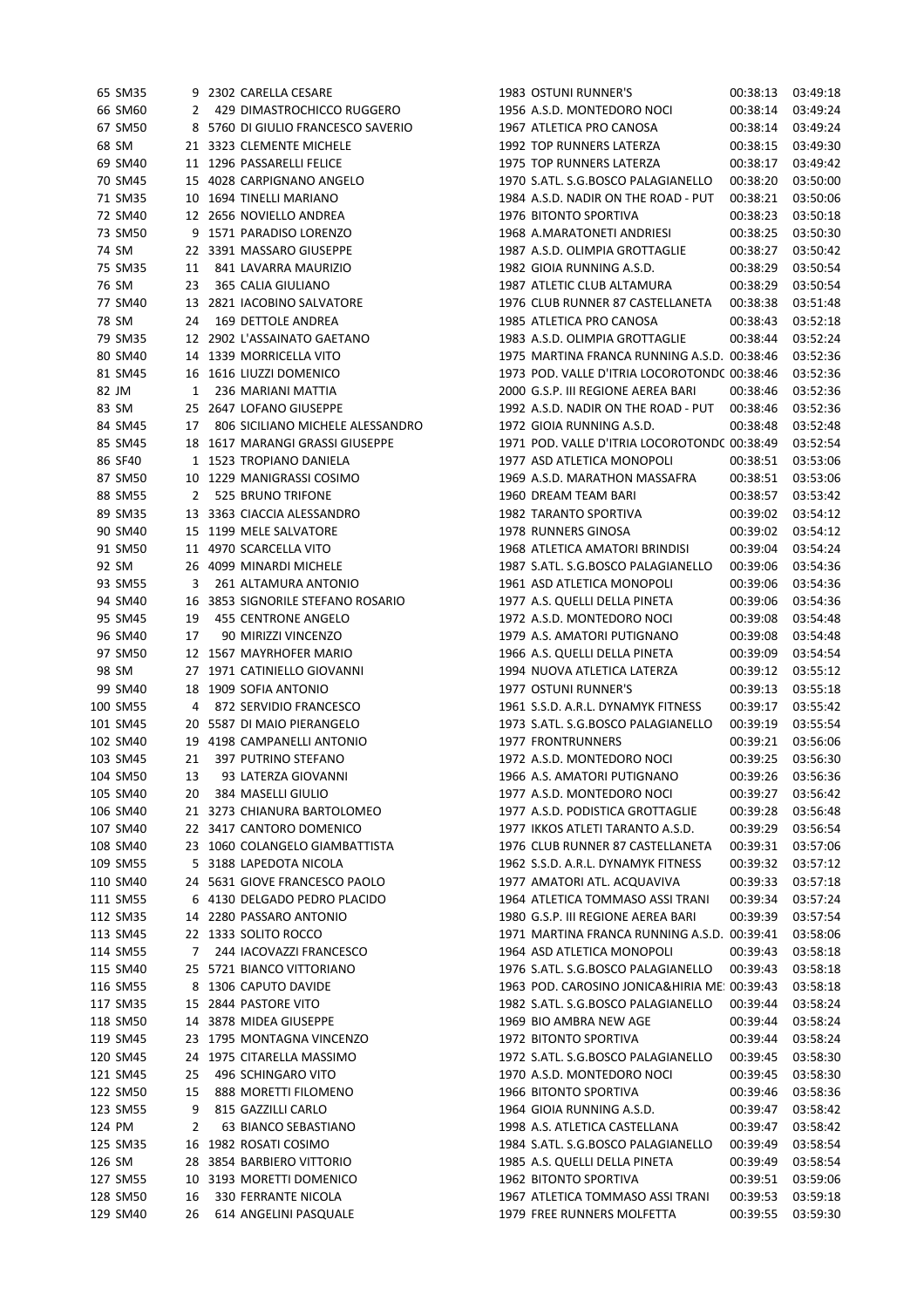|        | 65 SM35  |              | 9 2302 CARELLA CESARE              | 1983 OSTUNI RUNNER'S                         | 00:38:13 | 03:49:18 |
|--------|----------|--------------|------------------------------------|----------------------------------------------|----------|----------|
|        | 66 SM60  | 2            | 429 DIMASTROCHICCO RUGGERO         | 1956 A.S.D. MONTEDORO NOCI                   | 00:38:14 | 03:49:24 |
|        | 67 SM50  |              | 8 5760 DI GIULIO FRANCESCO SAVERIO | 1967 ATLETICA PRO CANOSA                     | 00:38:14 | 03:49:24 |
|        | 68 SM    |              | 21 3323 CLEMENTE MICHELE           | 1992 TOP RUNNERS LATERZA                     | 00:38:15 | 03:49:30 |
|        | 69 SM40  |              | 11 1296 PASSARELLI FELICE          | 1975 TOP RUNNERS LATERZA                     | 00:38:17 | 03:49:42 |
|        |          |              | 15 4028 CARPIGNANO ANGELO          | 1970 S.ATL. S.G.BOSCO PALAGIANELLO           |          |          |
|        | 70 SM45  |              |                                    |                                              | 00:38:20 | 03:50:00 |
|        | 71 SM35  |              | 10 1694 TINELLI MARIANO            | 1984 A.S.D. NADIR ON THE ROAD - PUT          | 00:38:21 | 03:50:06 |
|        | 72 SM40  |              | 12 2656 NOVIELLO ANDREA            | 1976 BITONTO SPORTIVA                        | 00:38:23 | 03:50:18 |
|        | 73 SM50  |              | 9 1571 PARADISO LORENZO            | 1968 A.MARATONETI ANDRIESI                   | 00:38:25 | 03:50:30 |
|        | 74 SM    |              | 22 3391 MASSARO GIUSEPPE           | 1987 A.S.D. OLIMPIA GROTTAGLIE               | 00:38:27 | 03:50:42 |
|        | 75 SM35  | 11           | 841 LAVARRA MAURIZIO               | 1982 GIOIA RUNNING A.S.D.                    | 00:38:29 | 03:50:54 |
|        | 76 SM    | 23           | 365 CALIA GIULIANO                 | 1987 ATLETIC CLUB ALTAMURA                   | 00:38:29 | 03:50:54 |
|        | 77 SM40  |              | 13 2821 IACOBINO SALVATORE         | 1976 CLUB RUNNER 87 CASTELLANETA             | 00:38:38 | 03:51:48 |
|        | 78 SM    | 24           | 169 DETTOLE ANDREA                 | 1985 ATLETICA PRO CANOSA                     | 00:38:43 | 03:52:18 |
|        | 79 SM35  |              | 12 2902 L'ASSAINATO GAETANO        | 1983 A.S.D. OLIMPIA GROTTAGLIE               | 00:38:44 | 03:52:24 |
|        | 80 SM40  |              | 14 1339 MORRICELLA VITO            | 1975 MARTINA FRANCA RUNNING A.S.D. 00:38:46  |          | 03:52:36 |
|        | 81 SM45  |              | 16 1616 LIUZZI DOMENICO            | 1973 POD. VALLE D'ITRIA LOCOROTOND( 00:38:46 |          | 03:52:36 |
|        | 82 JM    | $\mathbf{1}$ | 236 MARIANI MATTIA                 | 2000 G.S.P. III REGIONE AEREA BARI           | 00:38:46 | 03:52:36 |
|        | 83 SM    |              | 25 2647 LOFANO GIUSEPPE            | 1992 A.S.D. NADIR ON THE ROAD - PUT          | 00:38:46 | 03:52:36 |
|        | 84 SM45  | 17           | 806 SICILIANO MICHELE ALESSANDRO   | 1972 GIOIA RUNNING A.S.D.                    | 00:38:48 | 03:52:48 |
|        | 85 SM45  |              | 18 1617 MARANGI GRASSI GIUSEPPE    | 1971 POD. VALLE D'ITRIA LOCOROTONDC 00:38:49 |          | 03:52:54 |
|        | 86 SF40  |              | 1 1523 TROPIANO DANIELA            | 1977 ASD ATLETICA MONOPOLI                   | 00:38:51 | 03:53:06 |
|        | 87 SM50  |              | 10 1229 MANIGRASSI COSIMO          | 1969 A.S.D. MARATHON MASSAFRA                | 00:38:51 | 03:53:06 |
|        | 88 SM55  | 2            | 525 BRUNO TRIFONE                  | 1960 DREAM TEAM BARI                         | 00:38:57 | 03:53:42 |
|        | 89 SM35  |              | 13 3363 CIACCIA ALESSANDRO         | 1982 TARANTO SPORTIVA                        | 00:39:02 | 03:54:12 |
|        | 90 SM40  |              | 15 1199 MELE SALVATORE             | 1978 RUNNERS GINOSA                          | 00:39:02 | 03:54:12 |
|        | 91 SM50  |              | 11 4970 SCARCELLA VITO             | 1968 ATLETICA AMATORI BRINDISI               | 00:39:04 | 03:54:24 |
|        | 92 SM    |              | 26 4099 MINARDI MICHELE            | 1987 S.ATL. S.G.BOSCO PALAGIANELLO           | 00:39:06 | 03:54:36 |
|        | 93 SM55  | 3            | 261 ALTAMURA ANTONIO               | 1961 ASD ATLETICA MONOPOLI                   | 00:39:06 | 03:54:36 |
|        | 94 SM40  |              | 16 3853 SIGNORILE STEFANO ROSARIO  | 1977 A.S. QUELLI DELLA PINETA                | 00:39:06 | 03:54:36 |
|        | 95 SM45  | 19           | 455 CENTRONE ANGELO                | 1972 A.S.D. MONTEDORO NOCI                   | 00:39:08 | 03:54:48 |
|        | 96 SM40  | 17           | 90 MIRIZZI VINCENZO                | 1979 A.S. AMATORI PUTIGNANO                  | 00:39:08 | 03:54:48 |
|        | 97 SM50  |              | 12 1567 MAYRHOFER MARIO            | 1966 A.S. QUELLI DELLA PINETA                | 00:39:09 | 03:54:54 |
|        | 98 SM    |              | 27 1971 CATINIELLO GIOVANNI        | 1994 NUOVA ATLETICA LATERZA                  | 00:39:12 | 03:55:12 |
|        | 99 SM40  |              | 18 1909 SOFIA ANTONIO              | 1977 OSTUNI RUNNER'S                         | 00:39:13 | 03:55:18 |
|        | 100 SM55 | 4            | 872 SERVIDIO FRANCESCO             | 1961 S.S.D. A.R.L. DYNAMYK FITNESS           | 00:39:17 | 03:55:42 |
|        | 101 SM45 |              | 20 5587 DI MAIO PIERANGELO         | 1973 S.ATL. S.G.BOSCO PALAGIANELLO           | 00:39:19 | 03:55:54 |
|        | 102 SM40 |              | 19 4198 CAMPANELLI ANTONIO         | <b>1977 FRONTRUNNERS</b>                     | 00:39:21 | 03:56:06 |
|        | 103 SM45 | 21           | 397 PUTRINO STEFANO                | 1972 A.S.D. MONTEDORO NOCI                   | 00:39:25 | 03:56:30 |
|        | 104 SM50 | 13           | 93 LATERZA GIOVANNI                | 1966 A.S. AMATORI PUTIGNANO                  | 00:39:26 | 03:56:36 |
|        | 105 SM40 | 20           | 384 MASELLI GIULIO                 | 1977 A.S.D. MONTEDORO NOCI                   | 00:39:27 | 03:56:42 |
|        | 106 SM40 |              | 21 3273 CHIANURA BARTOLOMEO        | 1977 A.S.D. PODISTICA GROTTAGLIE             | 00:39:28 | 03:56:48 |
|        | 107 SM40 |              | 22 3417 CANTORO DOMENICO           | 1977 IKKOS ATLETI TARANTO A.S.D.             | 00:39:29 | 03:56:54 |
|        | 108 SM40 |              | 23 1060 COLANGELO GIAMBATTISTA     | 1976 CLUB RUNNER 87 CASTELLANETA             | 00:39:31 | 03:57:06 |
|        | 109 SM55 |              | 5 3188 LAPEDOTA NICOLA             | 1962 S.S.D. A.R.L. DYNAMYK FITNESS           | 00:39:32 | 03:57:12 |
|        | 110 SM40 |              | 24 5631 GIOVE FRANCESCO PAOLO      | 1977 AMATORI ATL. ACQUAVIVA                  | 00:39:33 | 03:57:18 |
|        | 111 SM55 |              | 6 4130 DELGADO PEDRO PLACIDO       | 1964 ATLETICA TOMMASO ASSI TRANI             | 00:39:34 | 03:57:24 |
|        | 112 SM35 |              | 14 2280 PASSARO ANTONIO            | 1980 G.S.P. III REGIONE AEREA BARI           | 00:39:39 | 03:57:54 |
|        | 113 SM45 |              | 22 1333 SOLITO ROCCO               | 1971 MARTINA FRANCA RUNNING A.S.D. 00:39:41  |          | 03:58:06 |
|        | 114 SM55 | 7            | 244 IACOVAZZI FRANCESCO            | 1964 ASD ATLETICA MONOPOLI                   | 00:39:43 | 03:58:18 |
|        | 115 SM40 |              | 25 5721 BIANCO VITTORIANO          | 1976 S.ATL. S.G.BOSCO PALAGIANELLO           | 00:39:43 | 03:58:18 |
|        | 116 SM55 |              | 8 1306 CAPUTO DAVIDE               | 1963 POD. CAROSINO JONICA&HIRIA ME: 00:39:43 |          | 03:58:18 |
|        | 117 SM35 |              | 15 2844 PASTORE VITO               | 1982 S.ATL. S.G.BOSCO PALAGIANELLO           | 00:39:44 | 03:58:24 |
|        | 118 SM50 |              | 14 3878 MIDEA GIUSEPPE             | 1969 BIO AMBRA NEW AGE                       | 00:39:44 | 03:58:24 |
|        |          |              |                                    |                                              |          |          |
|        | 119 SM45 |              | 23 1795 MONTAGNA VINCENZO          | 1972 BITONTO SPORTIVA                        | 00:39:44 | 03:58:24 |
|        | 120 SM45 |              | 24 1975 CITARELLA MASSIMO          | 1972 S.ATL. S.G.BOSCO PALAGIANELLO           | 00:39:45 | 03:58:30 |
|        | 121 SM45 | 25           | 496 SCHINGARO VITO                 | 1970 A.S.D. MONTEDORO NOCI                   | 00:39:45 | 03:58:30 |
|        | 122 SM50 | 15           | 888 MORETTI FILOMENO               | 1966 BITONTO SPORTIVA                        | 00:39:46 | 03:58:36 |
|        | 123 SM55 | 9            | 815 GAZZILLI CARLO                 | 1964 GIOIA RUNNING A.S.D.                    | 00:39:47 | 03:58:42 |
| 124 PM |          | 2            | 63 BIANCO SEBASTIANO               | 1998 A.S. ATLETICA CASTELLANA                | 00:39:47 | 03:58:42 |
|        | 125 SM35 |              | 16 1982 ROSATI COSIMO              | 1984 S.ATL. S.G.BOSCO PALAGIANELLO           | 00:39:49 | 03:58:54 |
| 126 SM |          |              | 28 3854 BARBIERO VITTORIO          | 1985 A.S. QUELLI DELLA PINETA                | 00:39:49 | 03:58:54 |
|        | 127 SM55 |              | 10 3193 MORETTI DOMENICO           | 1962 BITONTO SPORTIVA                        | 00:39:51 | 03:59:06 |
|        | 128 SM50 | 16           | 330 FERRANTE NICOLA                | 1967 ATLETICA TOMMASO ASSI TRANI             | 00:39:53 | 03:59:18 |
|        | 129 SM40 | 26           | 614 ANGELINI PASQUALE              | 1979 FREE RUNNERS MOLFETTA                   | 00:39:55 | 03:59:30 |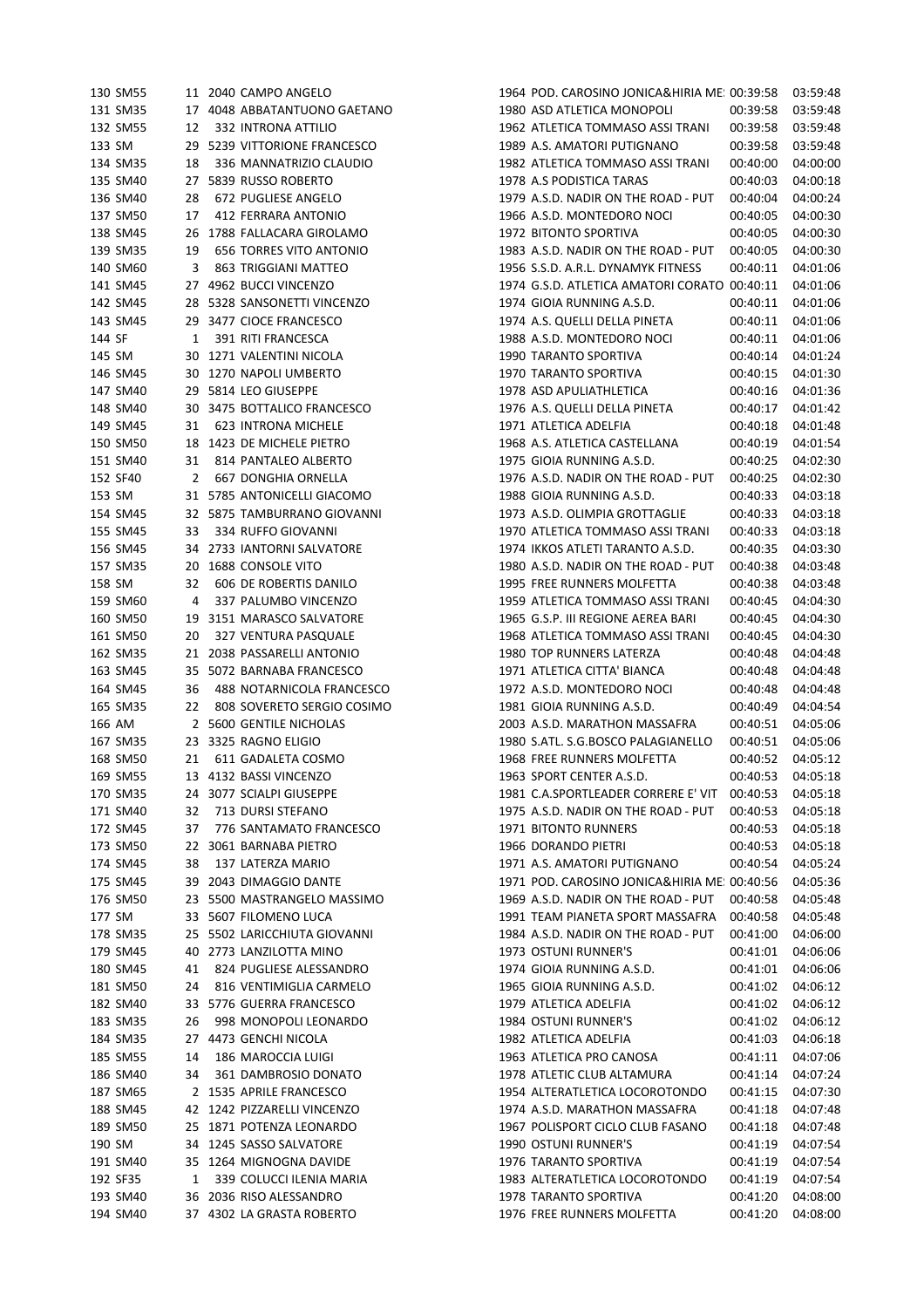|        | 130 SM55 |    | 11 2040 CAMPO ANGELO                                | 1964 POD. CAROSINO JONICA&HIRIA ME: 00:39:58             |          | 03:59:48             |
|--------|----------|----|-----------------------------------------------------|----------------------------------------------------------|----------|----------------------|
|        | 131 SM35 |    | 17 4048 ABBATANTUONO GAETANO                        | 1980 ASD ATLETICA MONOPOLI                               | 00:39:58 | 03:59:48             |
|        | 132 SM55 | 12 | <b>332 INTRONA ATTILIO</b>                          | 1962 ATLETICA TOMMASO ASSI TRANI                         | 00:39:58 | 03:59:48             |
| 133 SM |          | 29 | 5239 VITTORIONE FRANCESCO                           | 1989 A.S. AMATORI PUTIGNANO                              | 00:39:58 | 03:59:48             |
|        | 134 SM35 | 18 | 336 MANNATRIZIO CLAUDIO                             | 1982 ATLETICA TOMMASO ASSI TRANI                         | 00:40:00 | 04:00:00             |
|        | 135 SM40 | 27 | 5839 RUSSO ROBERTO                                  | 1978 A.S PODISTICA TARAS                                 | 00:40:03 | 04:00:18             |
|        | 136 SM40 | 28 | 672 PUGLIESE ANGELO                                 | 1979 A.S.D. NADIR ON THE ROAD - PUT                      | 00:40:04 | 04:00:24             |
|        | 137 SM50 | 17 | 412 FERRARA ANTONIO                                 | 1966 A.S.D. MONTEDORO NOCI                               | 00:40:05 | 04:00:30             |
|        | 138 SM45 |    | 26 1788 FALLACARA GIROLAMO                          | 1972 BITONTO SPORTIVA                                    | 00:40:05 | 04:00:30             |
|        | 139 SM35 | 19 | <b>656 TORRES VITO ANTONIO</b>                      | 1983 A.S.D. NADIR ON THE ROAD - PUT                      | 00:40:05 | 04:00:30             |
|        | 140 SM60 | 3  | 863 TRIGGIANI MATTEO                                | 1956 S.S.D. A.R.L. DYNAMYK FITNESS                       | 00:40:11 | 04:01:06             |
|        | 141 SM45 |    | 27 4962 BUCCI VINCENZO                              | 1974 G.S.D. ATLETICA AMATORI CORATO 00:40:11             |          | 04:01:06             |
|        | 142 SM45 |    | 28 5328 SANSONETTI VINCENZO                         | 1974 GIOIA RUNNING A.S.D.                                | 00:40:11 | 04:01:06             |
|        | 143 SM45 |    | 29 3477 CIOCE FRANCESCO                             | 1974 A.S. QUELLI DELLA PINETA                            | 00:40:11 | 04:01:06             |
| 144 SF |          | 1  | 391 RITI FRANCESCA                                  | 1988 A.S.D. MONTEDORO NOCI                               | 00:40:11 | 04:01:06             |
| 145 SM |          |    |                                                     |                                                          |          | 04:01:24             |
|        |          |    | 30 1271 VALENTINI NICOLA                            | 1990 TARANTO SPORTIVA                                    | 00:40:14 |                      |
|        | 146 SM45 |    | 30 1270 NAPOLI UMBERTO                              | 1970 TARANTO SPORTIVA                                    | 00:40:15 | 04:01:30             |
|        | 147 SM40 |    | 29 5814 LEO GIUSEPPE                                | 1978 ASD APULIATHLETICA                                  | 00:40:16 | 04:01:36             |
|        | 148 SM40 | 30 | 3475 BOTTALICO FRANCESCO                            | 1976 A.S. QUELLI DELLA PINETA                            | 00:40:17 | 04:01:42             |
|        | 149 SM45 | 31 | 623 INTRONA MICHELE                                 | 1971 ATLETICA ADELFIA                                    | 00:40:18 | 04:01:48             |
|        | 150 SM50 | 18 | 1423 DE MICHELE PIETRO                              | 1968 A.S. ATLETICA CASTELLANA                            | 00:40:19 | 04:01:54             |
|        | 151 SM40 | 31 | 814 PANTALEO ALBERTO                                | 1975 GIOIA RUNNING A.S.D.                                | 00:40:25 | 04:02:30             |
|        | 152 SF40 | 2  | 667 DONGHIA ORNELLA                                 | 1976 A.S.D. NADIR ON THE ROAD - PUT                      | 00:40:25 | 04:02:30             |
| 153 SM |          |    | 31 5785 ANTONICELLI GIACOMO                         | 1988 GIOIA RUNNING A.S.D.                                | 00:40:33 | 04:03:18             |
|        | 154 SM45 |    | 32 5875 TAMBURRANO GIOVANNI                         | 1973 A.S.D. OLIMPIA GROTTAGLIE                           | 00:40:33 | 04:03:18             |
|        | 155 SM45 | 33 | 334 RUFFO GIOVANNI                                  | 1970 ATLETICA TOMMASO ASSI TRANI                         | 00:40:33 | 04:03:18             |
|        | 156 SM45 | 34 | 2733 IANTORNI SALVATORE                             | 1974 IKKOS ATLETI TARANTO A.S.D.                         | 00:40:35 | 04:03:30             |
|        | 157 SM35 | 20 | 1688 CONSOLE VITO                                   | 1980 A.S.D. NADIR ON THE ROAD - PUT                      | 00:40:38 | 04:03:48             |
| 158 SM |          | 32 | 606 DE ROBERTIS DANILO                              | 1995 FREE RUNNERS MOLFETTA                               | 00:40:38 | 04:03:48             |
|        | 159 SM60 | 4  | 337 PALUMBO VINCENZO                                | 1959 ATLETICA TOMMASO ASSI TRANI                         | 00:40:45 | 04:04:30             |
|        | 160 SM50 |    | 19 3151 MARASCO SALVATORE                           | 1965 G.S.P. III REGIONE AEREA BARI                       | 00:40:45 | 04:04:30             |
|        | 161 SM50 | 20 | 327 VENTURA PASQUALE                                | 1968 ATLETICA TOMMASO ASSI TRANI                         | 00:40:45 | 04:04:30             |
|        | 162 SM35 |    | 21 2038 PASSARELLI ANTONIO                          | 1980 TOP RUNNERS LATERZA                                 | 00:40:48 | 04:04:48             |
|        | 163 SM45 |    | 35 5072 BARNABA FRANCESCO                           | 1971 ATLETICA CITTA' BIANCA                              | 00:40:48 | 04:04:48             |
|        | 164 SM45 | 36 | 488 NOTARNICOLA FRANCESCO                           | 1972 A.S.D. MONTEDORO NOCI                               | 00:40:48 | 04:04:48             |
|        | 165 SM35 | 22 | 808 SOVERETO SERGIO COSIMO                          | 1981 GIOIA RUNNING A.S.D.                                | 00:40:49 | 04:04:54             |
|        | 166 AM   |    | 2 5600 GENTILE NICHOLAS                             | 2003 A.S.D. MARATHON MASSAFRA                            | 00:40:51 | 04:05:06             |
|        | 167 SM35 |    | 23 3325 RAGNO ELIGIO                                | 1980 S.ATL. S.G.BOSCO PALAGIANELLO                       | 00:40:51 | 04:05:06             |
|        | 168 SM50 |    | 611 GADALETA COSMO                                  | 1968 FREE RUNNERS MOLFETTA                               |          |                      |
|        |          | 21 |                                                     |                                                          | 00:40:52 | 04:05:12             |
|        | 169 SM55 |    | 13 4132 BASSI VINCENZO                              | 1963 SPORT CENTER A.S.D.                                 | 00:40:53 | 04:05:18             |
|        | 170 SM35 |    | 24 3077 SCIALPI GIUSEPPE                            | 1981 C.A.SPORTLEADER CORRERE E' VIT 00:40:53             |          | 04:05:18             |
|        | 171 SM40 | 32 | 713 DURSI STEFANO                                   | 1975 A.S.D. NADIR ON THE ROAD - PUT                      | 00:40:53 | 04:05:18             |
|        | 172 SM45 | 37 | 776 SANTAMATO FRANCESCO                             | 1971 BITONTO RUNNERS                                     | 00:40:53 | 04:05:18             |
|        | 173 SM50 |    | 22 3061 BARNABA PIETRO                              | 1966 DORANDO PIETRI                                      | 00:40:53 | 04:05:18             |
|        | 174 SM45 | 38 | 137 LATERZA MARIO                                   | 1971 A.S. AMATORI PUTIGNANO                              | 00:40:54 | 04:05:24             |
|        | 175 SM45 | 39 | 2043 DIMAGGIO DANTE                                 | 1971 POD. CAROSINO JONICA&HIRIA ME: 00:40:56             |          | 04:05:36             |
|        | 176 SM50 |    | 23 5500 MASTRANGELO MASSIMO                         | 1969 A.S.D. NADIR ON THE ROAD - PUT                      | 00:40:58 | 04:05:48             |
| 177 SM |          |    | 33 5607 FILOMENO LUCA                               | 1991 TEAM PIANETA SPORT MASSAFRA                         | 00:40:58 | 04:05:48             |
|        | 178 SM35 |    | 25 5502 LARICCHIUTA GIOVANNI                        | 1984 A.S.D. NADIR ON THE ROAD - PUT                      | 00:41:00 | 04:06:00             |
|        | 179 SM45 |    | 40 2773 LANZILOTTA MINO                             | 1973 OSTUNI RUNNER'S                                     | 00:41:01 | 04:06:06             |
|        | 180 SM45 | 41 | 824 PUGLIESE ALESSANDRO                             | 1974 GIOIA RUNNING A.S.D.                                | 00:41:01 | 04:06:06             |
|        | 181 SM50 | 24 | 816 VENTIMIGLIA CARMELO                             | 1965 GIOIA RUNNING A.S.D.                                | 00:41:02 | 04:06:12             |
|        | 182 SM40 |    | 33 5776 GUERRA FRANCESCO                            | 1979 ATLETICA ADELFIA                                    | 00:41:02 | 04:06:12             |
|        | 183 SM35 | 26 | 998 MONOPOLI LEONARDO                               | 1984 OSTUNI RUNNER'S                                     | 00:41:02 | 04:06:12             |
|        | 184 SM35 |    | 27 4473 GENCHI NICOLA                               | 1982 ATLETICA ADELFIA                                    | 00:41:03 | 04:06:18             |
|        | 185 SM55 | 14 | 186 MAROCCIA LUIGI                                  | 1963 ATLETICA PRO CANOSA                                 | 00:41:11 | 04:07:06             |
|        | 186 SM40 | 34 | 361 DAMBROSIO DONATO                                | 1978 ATLETIC CLUB ALTAMURA                               | 00:41:14 | 04:07:24             |
|        | 187 SM65 |    | 2 1535 APRILE FRANCESCO                             | 1954 ALTERATLETICA LOCOROTONDO                           | 00:41:15 | 04:07:30             |
|        | 188 SM45 |    | 42 1242 PIZZARELLI VINCENZO                         | 1974 A.S.D. MARATHON MASSAFRA                            | 00:41:18 | 04:07:48             |
|        |          |    |                                                     |                                                          |          |                      |
| 190 SM | 189 SM50 |    | 25 1871 POTENZA LEONARDO<br>34 1245 SASSO SALVATORE | 1967 POLISPORT CICLO CLUB FASANO<br>1990 OSTUNI RUNNER'S | 00:41:18 | 04:07:48<br>04:07:54 |
|        |          |    |                                                     |                                                          | 00:41:19 |                      |
|        | 191 SM40 |    | 35 1264 MIGNOGNA DAVIDE                             | 1976 TARANTO SPORTIVA                                    | 00:41:19 | 04:07:54             |
|        | 192 SF35 | 1  | 339 COLUCCI ILENIA MARIA                            | 1983 ALTERATLETICA LOCOROTONDO                           | 00:41:19 | 04:07:54             |
|        | 193 SM40 |    | 36 2036 RISO ALESSANDRO                             | 1978 TARANTO SPORTIVA                                    | 00:41:20 | 04:08:00             |
|        | 194 SM40 |    | 37 4302 LA GRASTA ROBERTO                           | 1976 FREE RUNNERS MOLFETTA                               | 00:41:20 | 04:08:00             |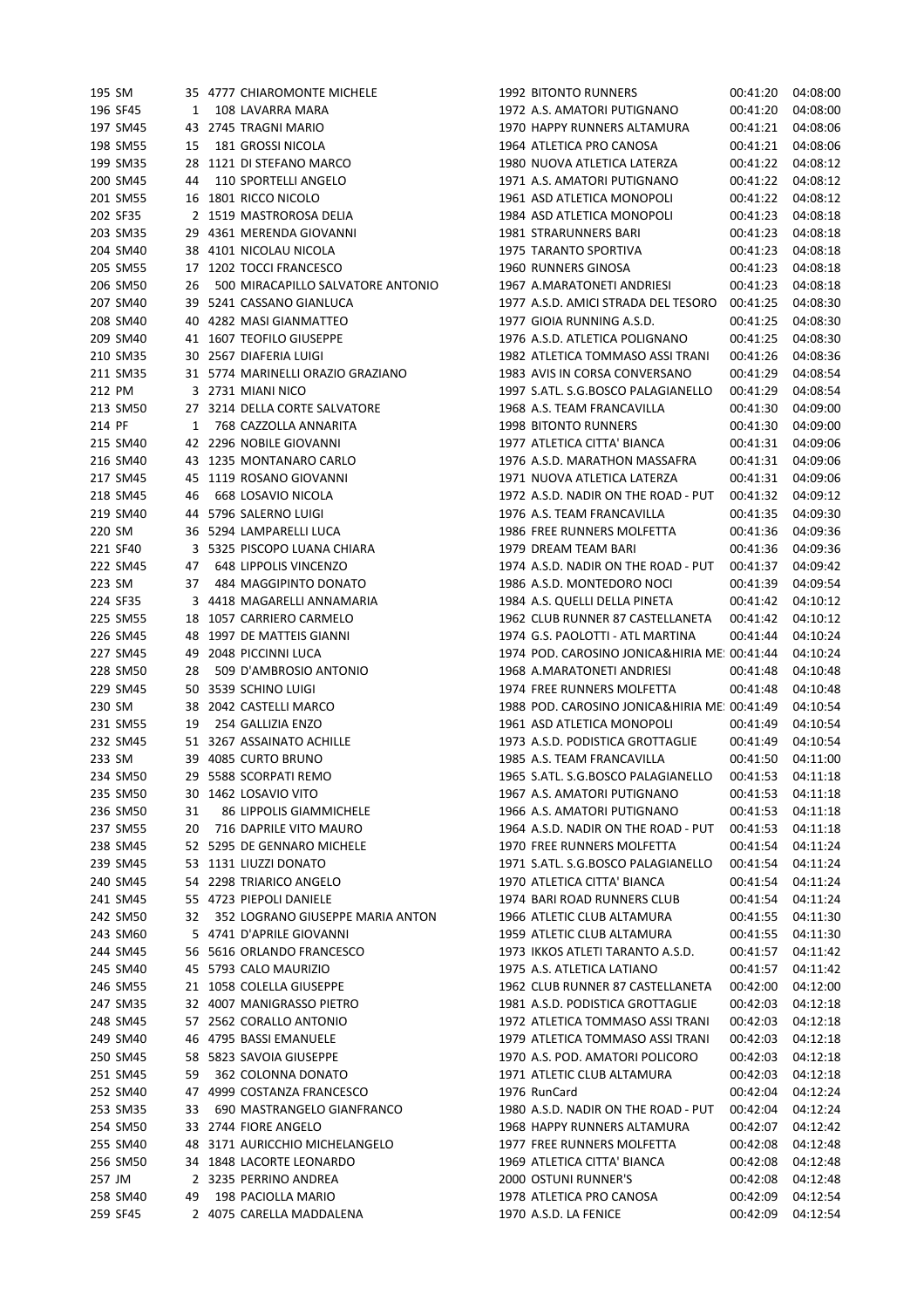|        | 195 SM               |    | 35 4777 CHIAROMONTE MICHELE                        | 1992 BITONTO RUNNERS                                               | 00:41:20             | 04:08:00             |
|--------|----------------------|----|----------------------------------------------------|--------------------------------------------------------------------|----------------------|----------------------|
|        | 196 SF45             | 1  | 108 LAVARRA MARA                                   | 1972 A.S. AMATORI PUTIGNANO                                        | 00:41:20             | 04:08:00             |
|        | 197 SM45             |    | 43 2745 TRAGNI MARIO                               | 1970 HAPPY RUNNERS ALTAMURA                                        | 00:41:21             | 04:08:06             |
|        | 198 SM55             | 15 | 181 GROSSI NICOLA                                  | 1964 ATLETICA PRO CANOSA                                           | 00:41:21             | 04:08:06             |
|        | 199 SM35             |    | 28 1121 DI STEFANO MARCO                           | 1980 NUOVA ATLETICA LATERZA                                        | 00:41:22             | 04:08:12             |
|        | 200 SM45             | 44 | 110 SPORTELLI ANGELO                               | 1971 A.S. AMATORI PUTIGNANO                                        | 00:41:22             | 04:08:12             |
|        | 201 SM55             |    | 16 1801 RICCO NICOLO                               | 1961 ASD ATLETICA MONOPOLI                                         | 00:41:22             | 04:08:12             |
|        | 202 SF35             |    | 2 1519 MASTROROSA DELIA                            | 1984 ASD ATLETICA MONOPOLI                                         | 00:41:23             | 04:08:18             |
|        | 203 SM35             |    | 29 4361 MERENDA GIOVANNI                           | 1981 STRARUNNERS BARI                                              | 00:41:23             | 04:08:18             |
|        | 204 SM40             |    | 38 4101 NICOLAU NICOLA                             | 1975 TARANTO SPORTIVA                                              | 00:41:23             | 04:08:18             |
|        | 205 SM55             |    | 17 1202 TOCCI FRANCESCO                            | 1960 RUNNERS GINOSA                                                | 00:41:23             | 04:08:18             |
|        | 206 SM50             | 26 | 500 MIRACAPILLO SALVATORE ANTONIO                  | 1967 A.MARATONETI ANDRIESI                                         | 00:41:23             | 04:08:18             |
|        | 207 SM40             |    | 39 5241 CASSANO GIANLUCA                           | 1977 A.S.D. AMICI STRADA DEL TESORO                                | 00:41:25             | 04:08:30             |
|        | 208 SM40             |    | 40 4282 MASI GIANMATTEO                            | 1977 GIOIA RUNNING A.S.D.                                          | 00:41:25             | 04:08:30             |
|        | 209 SM40             |    | 41 1607 TEOFILO GIUSEPPE                           | 1976 A.S.D. ATLETICA POLIGNANO                                     | 00:41:25             | 04:08:30             |
|        | 210 SM35             |    | 30 2567 DIAFERIA LUIGI                             | 1982 ATLETICA TOMMASO ASSI TRANI                                   | 00:41:26             | 04:08:36             |
|        | 211 SM35             |    | 31 5774 MARINELLI ORAZIO GRAZIANO                  | 1983 AVIS IN CORSA CONVERSANO                                      | 00:41:29             | 04:08:54             |
|        | 212 PM               |    | 3 2731 MIANI NICO                                  | 1997 S.ATL. S.G.BOSCO PALAGIANELLO                                 | 00:41:29             | 04:08:54             |
|        | 213 SM50             |    | 27 3214 DELLA CORTE SALVATORE                      | 1968 A.S. TEAM FRANCAVILLA                                         | 00:41:30             | 04:09:00             |
| 214 PF |                      | 1  | 768 CAZZOLLA ANNARITA                              | 1998 BITONTO RUNNERS                                               | 00:41:30             | 04:09:00             |
|        | 215 SM40             |    | 42 2296 NOBILE GIOVANNI                            | 1977 ATLETICA CITTA' BIANCA                                        | 00:41:31             | 04:09:06             |
|        | 216 SM40             |    | 43 1235 MONTANARO CARLO                            | 1976 A.S.D. MARATHON MASSAFRA                                      | 00:41:31             | 04:09:06             |
|        | 217 SM45             |    | 45 1119 ROSANO GIOVANNI                            | 1971 NUOVA ATLETICA LATERZA                                        | 00:41:31             | 04:09:06             |
|        | 218 SM45             | 46 | 668 LOSAVIO NICOLA                                 | 1972 A.S.D. NADIR ON THE ROAD - PUT                                | 00:41:32             | 04:09:12             |
|        | 219 SM40             |    | 44 5796 SALERNO LUIGI                              | 1976 A.S. TEAM FRANCAVILLA                                         | 00:41:35             | 04:09:30             |
|        | 220 SM               |    | 36 5294 LAMPARELLI LUCA                            | 1986 FREE RUNNERS MOLFETTA                                         | 00:41:36             | 04:09:36             |
|        | 221 SF40             |    | 3 5325 PISCOPO LUANA CHIARA                        | 1979 DREAM TEAM BARI                                               | 00:41:36             | 04:09:36             |
|        | 222 SM45             | 47 | 648 LIPPOLIS VINCENZO                              | 1974 A.S.D. NADIR ON THE ROAD - PUT                                | 00:41:37             | 04:09:42             |
|        | 223 SM               | 37 | 484 MAGGIPINTO DONATO                              | 1986 A.S.D. MONTEDORO NOCI                                         | 00:41:39             | 04:09:54             |
|        | 224 SF35             |    | 3 4418 MAGARELLI ANNAMARIA                         | 1984 A.S. QUELLI DELLA PINETA                                      | 00:41:42             | 04:10:12             |
|        | 225 SM55             |    | 18 1057 CARRIERO CARMELO                           | 1962 CLUB RUNNER 87 CASTELLANETA                                   | 00:41:42             | 04:10:12             |
|        | 226 SM45             |    | 48 1997 DE MATTEIS GIANNI                          | 1974 G.S. PAOLOTTI - ATL MARTINA                                   | 00:41:44             | 04:10:24             |
|        | 227 SM45             |    | 49 2048 PICCINNI LUCA                              | 1974 POD. CAROSINO JONICA&HIRIA ME: 00:41:44                       |                      | 04:10:24             |
|        | 228 SM50             | 28 | 509 D'AMBROSIO ANTONIO                             | 1968 A.MARATONETI ANDRIESI                                         | 00:41:48             | 04:10:48             |
|        | 229 SM45             |    | 50 3539 SCHINO LUIGI                               | 1974 FREE RUNNERS MOLFETTA                                         | 00:41:48             | 04:10:48             |
|        | 230 SM               |    | 38 2042 CASTELLI MARCO                             | 1988 POD. CAROSINO JONICA&HIRIA ME: 00:41:49                       |                      | 04:10:54             |
|        | 231 SM55             | 19 | 254 GALLIZIA ENZO                                  | 1961 ASD ATLETICA MONOPOLI                                         | 00:41:49             | 04:10:54             |
|        | 232 SM45             |    | 51 3267 ASSAINATO ACHILLE                          | 1973 A.S.D. PODISTICA GROTTAGLIE                                   | 00:41:49             | 04:10:54             |
|        | 233 SM               |    | 39 4085 CURTO BRUNO                                | 1985 A.S. TEAM FRANCAVILLA                                         | 00:41:50             | 04:11:00             |
|        | 234 SM50             |    | 29 5588 SCORPATI REMO                              | 1965 S.ATL. S.G.BOSCO PALAGIANELLO  00:41:53  04:11:18             |                      |                      |
|        | 235 SM50             |    | 30 1462 LOSAVIO VITO                               | 1967 A.S. AMATORI PUTIGNANO                                        | 00:41:53 04:11:18    |                      |
|        | 236 SM50             | 31 | 86 LIPPOLIS GIAMMICHELE                            | 1966 A.S. AMATORI PUTIGNANO                                        | 00:41:53             | 04:11:18             |
|        | 237 SM55             | 20 | 716 DAPRILE VITO MAURO                             | 1964 A.S.D. NADIR ON THE ROAD - PUT                                | 00:41:53             | 04:11:18             |
|        | 238 SM45             |    | 52 5295 DE GENNARO MICHELE                         | 1970 FREE RUNNERS MOLFETTA                                         | 00:41:54             | 04:11:24             |
|        | 239 SM45             |    | 53 1131 LIUZZI DONATO                              | 1971 S.ATL. S.G.BOSCO PALAGIANELLO                                 | 00:41:54             | 04:11:24             |
|        | 240 SM45             |    | 54 2298 TRIARICO ANGELO                            | 1970 ATLETICA CITTA' BIANCA                                        | 00:41:54             | 04:11:24             |
|        | 241 SM45             |    | 55 4723 PIEPOLI DANIELE                            | 1974 BARI ROAD RUNNERS CLUB                                        | 00:41:54             | 04:11:24             |
|        | 242 SM50             | 32 | 352 LOGRANO GIUSEPPE MARIA ANTON                   | 1966 ATLETIC CLUB ALTAMURA                                         | 00:41:55             | 04:11:30             |
|        | 243 SM60             |    | 5 4741 D'APRILE GIOVANNI                           | 1959 ATLETIC CLUB ALTAMURA                                         | 00:41:55             | 04:11:30             |
|        | 244 SM45             |    | 56 5616 ORLANDO FRANCESCO                          | 1973 IKKOS ATLETI TARANTO A.S.D.                                   | 00:41:57             | 04:11:42             |
|        | 245 SM40             |    | 45 5793 CALO MAURIZIO                              | 1975 A.S. ATLETICA LATIANO                                         | 00:41:57             | 04:11:42             |
|        | 246 SM55             |    | 21 1058 COLELLA GIUSEPPE                           | 1962 CLUB RUNNER 87 CASTELLANETA                                   | 00:42:00             | 04:12:00             |
|        | 247 SM35             |    | 32 4007 MANIGRASSO PIETRO                          | 1981 A.S.D. PODISTICA GROTTAGLIE                                   | 00:42:03             | 04:12:18             |
|        | 248 SM45             |    | 57 2562 CORALLO ANTONIO                            | 1972 ATLETICA TOMMASO ASSI TRANI                                   | 00:42:03             | 04:12:18             |
|        | 249 SM40             |    | 46 4795 BASSI EMANUELE                             | 1979 ATLETICA TOMMASO ASSI TRANI                                   | 00:42:03             | 04:12:18             |
|        | 250 SM45             |    | 58 5823 SAVOIA GIUSEPPE                            | 1970 A.S. POD. AMATORI POLICORO                                    | 00:42:03             | 04:12:18             |
|        | 251 SM45             | 59 | 362 COLONNA DONATO                                 | 1971 ATLETIC CLUB ALTAMURA                                         | 00:42:03             | 04:12:18             |
|        | 252 SM40<br>253 SM35 |    | 47 4999 COSTANZA FRANCESCO                         | 1976 RunCard                                                       | 00:42:04             | 04:12:24<br>04:12:24 |
|        | 254 SM50             | 33 | 690 MASTRANGELO GIANFRANCO<br>33 2744 FIORE ANGELO | 1980 A.S.D. NADIR ON THE ROAD - PUT<br>1968 HAPPY RUNNERS ALTAMURA | 00:42:04<br>00:42:07 | 04:12:42             |
|        | 255 SM40             |    | 48 3171 AURICCHIO MICHELANGELO                     | 1977 FREE RUNNERS MOLFETTA                                         | 00:42:08             | 04:12:48             |
|        | 256 SM50             |    | 34 1848 LACORTE LEONARDO                           | 1969 ATLETICA CITTA' BIANCA                                        | 00:42:08             | 04:12:48             |
|        | 257 JM               |    | 2 3235 PERRINO ANDREA                              | 2000 OSTUNI RUNNER'S                                               | 00:42:08             | 04:12:48             |
|        | 258 SM40             | 49 | 198 PACIOLLA MARIO                                 | 1978 ATLETICA PRO CANOSA                                           | 00:42:09             | 04:12:54             |
|        | 259 SF45             |    | 2 4075 CARELLA MADDALENA                           | 1970 A.S.D. LA FENICE                                              | 00:42:09             | 04:12:54             |
|        |                      |    |                                                    |                                                                    |                      |                      |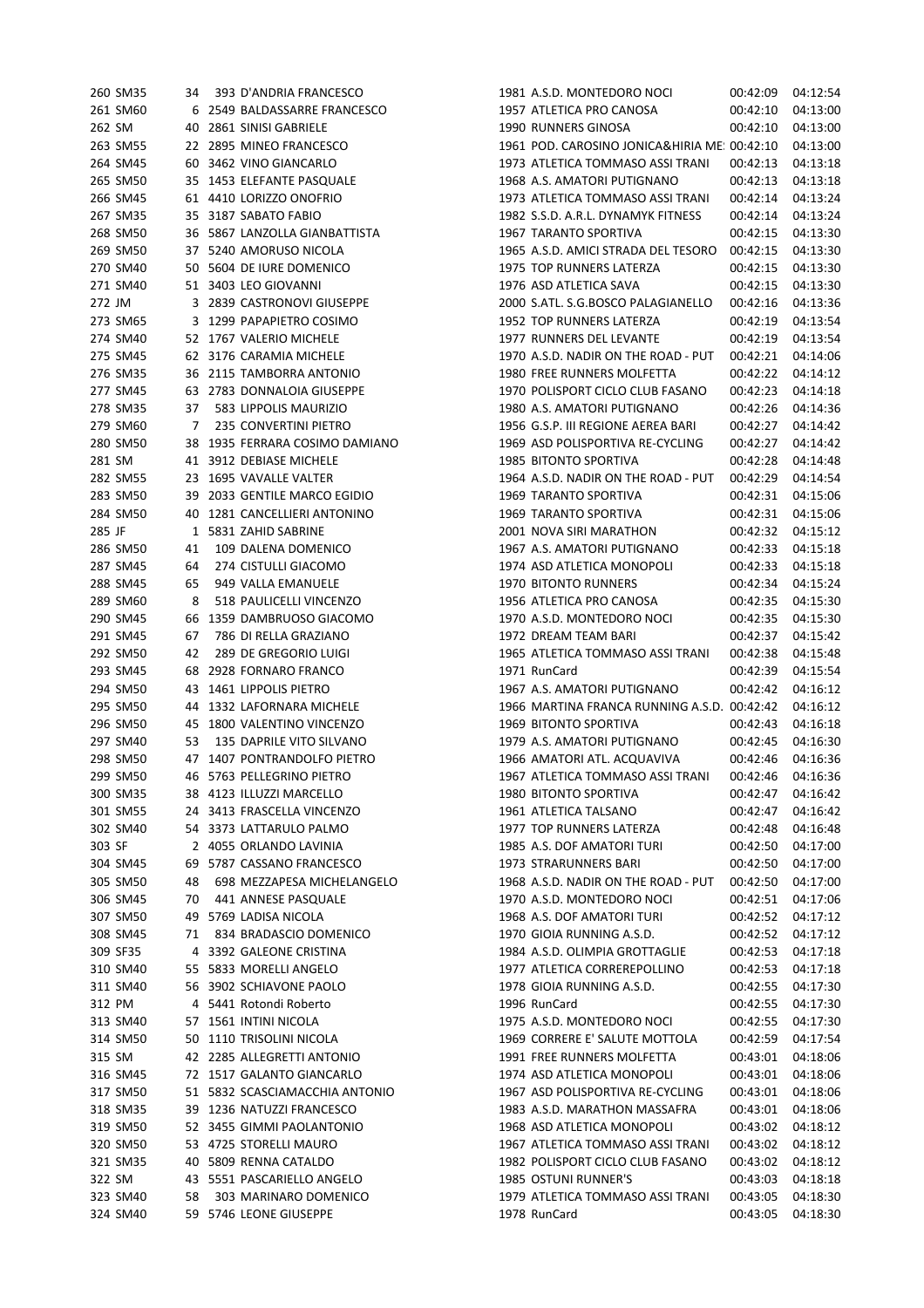|        | 260 SM35 | 34 | 393 D'ANDRIA FRANCESCO         | 1981 A.S.D. MONTEDORO NOCI                   | 00:42:09 | 04:12:54 |
|--------|----------|----|--------------------------------|----------------------------------------------|----------|----------|
|        | 261 SM60 |    | 6 2549 BALDASSARRE FRANCESCO   | 1957 ATLETICA PRO CANOSA                     | 00:42:10 | 04:13:00 |
| 262 SM |          |    | 40 2861 SINISI GABRIELE        | 1990 RUNNERS GINOSA                          | 00:42:10 | 04:13:00 |
|        | 263 SM55 |    | 22 2895 MINEO FRANCESCO        | 1961 POD. CAROSINO JONICA&HIRIA ME: 00:42:10 |          | 04:13:00 |
|        | 264 SM45 |    | 60 3462 VINO GIANCARLO         | 1973 ATLETICA TOMMASO ASSI TRANI             | 00:42:13 | 04:13:18 |
|        | 265 SM50 |    | 35 1453 ELEFANTE PASQUALE      | 1968 A.S. AMATORI PUTIGNANO                  | 00:42:13 | 04:13:18 |
|        | 266 SM45 |    | 61 4410 LORIZZO ONOFRIO        | 1973 ATLETICA TOMMASO ASSI TRANI             | 00:42:14 | 04:13:24 |
|        | 267 SM35 |    | 35 3187 SABATO FABIO           | 1982 S.S.D. A.R.L. DYNAMYK FITNESS           | 00:42:14 | 04:13:24 |
|        | 268 SM50 |    | 36 5867 LANZOLLA GIANBATTISTA  | 1967 TARANTO SPORTIVA                        | 00:42:15 | 04:13:30 |
|        | 269 SM50 |    | 37 5240 AMORUSO NICOLA         | 1965 A.S.D. AMICI STRADA DEL TESORO          | 00:42:15 | 04:13:30 |
|        | 270 SM40 |    | 50 5604 DE IURE DOMENICO       | 1975 TOP RUNNERS LATERZA                     | 00:42:15 | 04:13:30 |
|        | 271 SM40 |    | 51 3403 LEO GIOVANNI           | 1976 ASD ATLETICA SAVA                       | 00:42:15 | 04:13:30 |
| 272 JM |          |    | 3 2839 CASTRONOVI GIUSEPPE     | 2000 S.ATL. S.G.BOSCO PALAGIANELLO           | 00:42:16 | 04:13:36 |
|        | 273 SM65 |    | 3 1299 PAPAPIETRO COSIMO       | 1952 TOP RUNNERS LATERZA                     | 00:42:19 | 04:13:54 |
|        | 274 SM40 |    | 52 1767 VALERIO MICHELE        | 1977 RUNNERS DEL LEVANTE                     | 00:42:19 | 04:13:54 |
|        | 275 SM45 |    | 62 3176 CARAMIA MICHELE        | 1970 A.S.D. NADIR ON THE ROAD - PUT          | 00:42:21 | 04:14:06 |
|        | 276 SM35 |    | 36 2115 TAMBORRA ANTONIO       | 1980 FREE RUNNERS MOLFETTA                   | 00:42:22 | 04:14:12 |
|        | 277 SM45 |    | 63 2783 DONNALOIA GIUSEPPE     | 1970 POLISPORT CICLO CLUB FASANO             | 00:42:23 | 04:14:18 |
|        | 278 SM35 | 37 | 583 LIPPOLIS MAURIZIO          | 1980 A.S. AMATORI PUTIGNANO                  | 00:42:26 | 04:14:36 |
|        | 279 SM60 | 7  | 235 CONVERTINI PIETRO          | 1956 G.S.P. III REGIONE AEREA BARI           | 00:42:27 | 04:14:42 |
|        | 280 SM50 |    | 38 1935 FERRARA COSIMO DAMIANO | 1969 ASD POLISPORTIVA RE-CYCLING             | 00:42:27 | 04:14:42 |
| 281 SM |          |    | 41 3912 DEBIASE MICHELE        | 1985 BITONTO SPORTIVA                        | 00:42:28 | 04:14:48 |
|        | 282 SM55 |    | 23 1695 VAVALLE VALTER         | 1964 A.S.D. NADIR ON THE ROAD - PUT          | 00:42:29 | 04:14:54 |
|        |          |    |                                | 1969 TARANTO SPORTIVA                        |          |          |
|        | 283 SM50 |    | 39 2033 GENTILE MARCO EGIDIO   |                                              | 00:42:31 | 04:15:06 |
|        | 284 SM50 |    | 40 1281 CANCELLIERI ANTONINO   | 1969 TARANTO SPORTIVA                        | 00:42:31 | 04:15:06 |
| 285 JF |          |    | 1 5831 ZAHID SABRINE           | 2001 NOVA SIRI MARATHON                      | 00:42:32 | 04:15:12 |
|        | 286 SM50 | 41 | 109 DALENA DOMENICO            | 1967 A.S. AMATORI PUTIGNANO                  | 00:42:33 | 04:15:18 |
|        | 287 SM45 | 64 | 274 CISTULLI GIACOMO           | 1974 ASD ATLETICA MONOPOLI                   | 00:42:33 | 04:15:18 |
|        | 288 SM45 | 65 | 949 VALLA EMANUELE             | 1970 BITONTO RUNNERS                         | 00:42:34 | 04:15:24 |
|        | 289 SM60 | 8  | 518 PAULICELLI VINCENZO        | 1956 ATLETICA PRO CANOSA                     | 00:42:35 | 04:15:30 |
|        | 290 SM45 | 66 | 1359 DAMBRUOSO GIACOMO         | 1970 A.S.D. MONTEDORO NOCI                   | 00:42:35 | 04:15:30 |
|        | 291 SM45 | 67 | 786 DI RELLA GRAZIANO          | 1972 DREAM TEAM BARI                         | 00:42:37 | 04:15:42 |
|        | 292 SM50 | 42 | 289 DE GREGORIO LUIGI          | 1965 ATLETICA TOMMASO ASSI TRANI             | 00:42:38 | 04:15:48 |
|        | 293 SM45 |    | 68 2928 FORNARO FRANCO         | 1971 RunCard                                 | 00:42:39 | 04:15:54 |
|        | 294 SM50 |    | 43 1461 LIPPOLIS PIETRO        | 1967 A.S. AMATORI PUTIGNANO                  | 00:42:42 | 04:16:12 |
|        | 295 SM50 |    | 44 1332 LAFORNARA MICHELE      | 1966 MARTINA FRANCA RUNNING A.S.D. 00:42:42  |          | 04:16:12 |
|        | 296 SM50 |    | 45 1800 VALENTINO VINCENZO     | 1969 BITONTO SPORTIVA                        | 00:42:43 | 04:16:18 |
|        | 297 SM40 | 53 | 135 DAPRILE VITO SILVANO       | 1979 A.S. AMATORI PUTIGNANO                  | 00:42:45 | 04:16:30 |
|        | 298 SM50 |    | 47 1407 PONTRANDOLFO PIETRO    | 1966 AMATORI ATL. ACQUAVIVA                  | 00:42:46 | 04:16:36 |
|        | 299 SM50 |    | 46 5763 PELLEGRINO PIETRO      | 1967 ATLETICA TOMMASO ASSI TRANI             | 00:42:46 | 04:16:36 |
|        | 300 SM35 |    | 38 4123 ILLUZZI MARCELLO       | 1980 BITONTO SPORTIVA                        | 00:42:47 | 04:16:42 |
|        | 301 SM55 |    | 24 3413 FRASCELLA VINCENZO     | 1961 ATLETICA TALSANO                        | 00:42:47 | 04:16:42 |
|        | 302 SM40 |    | 54 3373 LATTARULO PALMO        | 1977 TOP RUNNERS LATERZA                     | 00:42:48 | 04:16:48 |
| 303 SF |          |    | 2 4055 ORLANDO LAVINIA         | 1985 A.S. DOF AMATORI TURI                   | 00:42:50 | 04:17:00 |
|        | 304 SM45 |    | 69 5787 CASSANO FRANCESCO      | 1973 STRARUNNERS BARI                        | 00:42:50 | 04:17:00 |
|        | 305 SM50 | 48 | 698 MEZZAPESA MICHELANGELO     | 1968 A.S.D. NADIR ON THE ROAD - PUT          | 00:42:50 | 04:17:00 |
|        | 306 SM45 | 70 | 441 ANNESE PASQUALE            | 1970 A.S.D. MONTEDORO NOCI                   | 00:42:51 | 04:17:06 |
|        | 307 SM50 | 49 | 5769 LADISA NICOLA             | 1968 A.S. DOF AMATORI TURI                   | 00:42:52 | 04:17:12 |
|        | 308 SM45 | 71 | 834 BRADASCIO DOMENICO         | 1970 GIOIA RUNNING A.S.D.                    | 00:42:52 | 04:17:12 |
|        | 309 SF35 |    | 4 3392 GALEONE CRISTINA        | 1984 A.S.D. OLIMPIA GROTTAGLIE               | 00:42:53 | 04:17:18 |
|        | 310 SM40 |    | 55 5833 MORELLI ANGELO         | 1977 ATLETICA CORREREPOLLINO                 | 00:42:53 | 04:17:18 |
|        | 311 SM40 |    | 56 3902 SCHIAVONE PAOLO        | 1978 GIOIA RUNNING A.S.D.                    | 00:42:55 | 04:17:30 |
| 312 PM |          |    | 4 5441 Rotondi Roberto         | 1996 RunCard                                 | 00:42:55 | 04:17:30 |
|        | 313 SM40 |    | 57 1561 INTINI NICOLA          | 1975 A.S.D. MONTEDORO NOCI                   | 00:42:55 | 04:17:30 |
|        | 314 SM50 |    | 50 1110 TRISOLINI NICOLA       | 1969 CORRERE E' SALUTE MOTTOLA               | 00:42:59 | 04:17:54 |
| 315 SM |          |    | 42 2285 ALLEGRETTI ANTONIO     | 1991 FREE RUNNERS MOLFETTA                   | 00:43:01 | 04:18:06 |
|        | 316 SM45 |    | 72 1517 GALANTO GIANCARLO      | 1974 ASD ATLETICA MONOPOLI                   | 00:43:01 | 04:18:06 |
|        | 317 SM50 |    | 51 5832 SCASCIAMACCHIA ANTONIO | 1967 ASD POLISPORTIVA RE-CYCLING             | 00:43:01 | 04:18:06 |
|        | 318 SM35 |    | 39 1236 NATUZZI FRANCESCO      | 1983 A.S.D. MARATHON MASSAFRA                | 00:43:01 | 04:18:06 |
|        | 319 SM50 |    | 52 3455 GIMMI PAOLANTONIO      | 1968 ASD ATLETICA MONOPOLI                   | 00:43:02 | 04:18:12 |
|        | 320 SM50 |    | 53 4725 STORELLI MAURO         | 1967 ATLETICA TOMMASO ASSI TRANI             | 00:43:02 | 04:18:12 |
|        | 321 SM35 | 40 | 5809 RENNA CATALDO             | 1982 POLISPORT CICLO CLUB FASANO             | 00:43:02 | 04:18:12 |
| 322 SM |          |    | 43 5551 PASCARIELLO ANGELO     | 1985 OSTUNI RUNNER'S                         | 00:43:03 | 04:18:18 |
|        | 323 SM40 | 58 | 303 MARINARO DOMENICO          | 1979 ATLETICA TOMMASO ASSI TRANI             | 00:43:05 | 04:18:30 |
|        | 324 SM40 |    | 59 5746 LEONE GIUSEPPE         | 1978 RunCard                                 | 00:43:05 | 04:18:30 |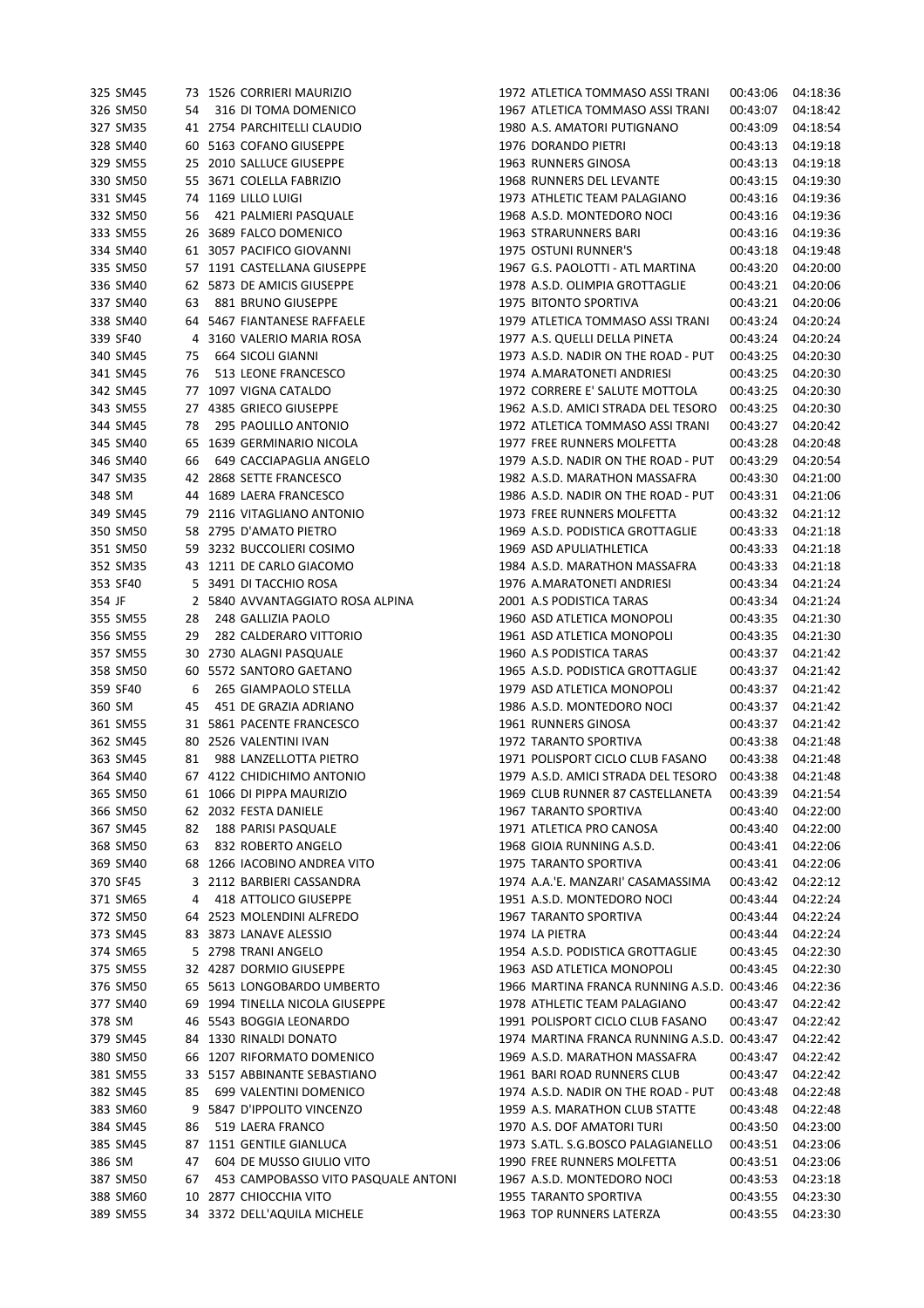|        | 325 SM45 |    | 73 1526 CORRIERI MAURIZIO           | 1972 ATLETICA TOMMASO ASSI TRANI                          | 00:43:06 | 04:18:36 |
|--------|----------|----|-------------------------------------|-----------------------------------------------------------|----------|----------|
|        | 326 SM50 | 54 | 316 DI TOMA DOMENICO                | 1967 ATLETICA TOMMASO ASSI TRANI                          | 00:43:07 | 04:18:42 |
|        | 327 SM35 |    | 41 2754 PARCHITELLI CLAUDIO         | 1980 A.S. AMATORI PUTIGNANO                               | 00:43:09 | 04:18:54 |
|        | 328 SM40 |    | 60 5163 COFANO GIUSEPPE             | 1976 DORANDO PIETRI                                       | 00:43:13 | 04:19:18 |
|        | 329 SM55 |    | 25 2010 SALLUCE GIUSEPPE            | 1963 RUNNERS GINOSA                                       | 00:43:13 | 04:19:18 |
|        | 330 SM50 |    | 55 3671 COLELLA FABRIZIO            | 1968 RUNNERS DEL LEVANTE                                  | 00:43:15 | 04:19:30 |
|        | 331 SM45 |    | 74 1169 LILLO LUIGI                 | 1973 ATHLETIC TEAM PALAGIANO                              | 00:43:16 | 04:19:36 |
|        | 332 SM50 | 56 | 421 PALMIERI PASQUALE               | 1968 A.S.D. MONTEDORO NOCI                                | 00:43:16 | 04:19:36 |
|        | 333 SM55 |    | 26 3689 FALCO DOMENICO              | 1963 STRARUNNERS BARI                                     | 00:43:16 | 04:19:36 |
|        | 334 SM40 |    | 61 3057 PACIFICO GIOVANNI           | 1975 OSTUNI RUNNER'S                                      | 00:43:18 | 04:19:48 |
|        | 335 SM50 |    | 57 1191 CASTELLANA GIUSEPPE         | 1967 G.S. PAOLOTTI - ATL MARTINA                          | 00:43:20 | 04:20:00 |
|        | 336 SM40 |    | 62 5873 DE AMICIS GIUSEPPE          | 1978 A.S.D. OLIMPIA GROTTAGLIE                            | 00:43:21 | 04:20:06 |
|        | 337 SM40 | 63 | 881 BRUNO GIUSEPPE                  | 1975 BITONTO SPORTIVA                                     | 00:43:21 | 04:20:06 |
|        |          |    |                                     |                                                           |          |          |
|        | 338 SM40 |    | 64 5467 FIANTANESE RAFFAELE         | 1979 ATLETICA TOMMASO ASSI TRANI                          | 00:43:24 | 04:20:24 |
|        | 339 SF40 | 4  | 3160 VALERIO MARIA ROSA             | 1977 A.S. QUELLI DELLA PINETA                             | 00:43:24 | 04:20:24 |
|        | 340 SM45 | 75 | 664 SICOLI GIANNI                   | 1973 A.S.D. NADIR ON THE ROAD - PUT                       | 00:43:25 | 04:20:30 |
|        | 341 SM45 | 76 | 513 LEONE FRANCESCO                 | 1974 A.MARATONETI ANDRIESI                                | 00:43:25 | 04:20:30 |
|        | 342 SM45 |    | 77 1097 VIGNA CATALDO               | 1972 CORRERE E' SALUTE MOTTOLA                            | 00:43:25 | 04:20:30 |
|        | 343 SM55 |    | 27 4385 GRIECO GIUSEPPE             | 1962 A.S.D. AMICI STRADA DEL TESORO                       | 00:43:25 | 04:20:30 |
|        | 344 SM45 | 78 | 295 PAOLILLO ANTONIO                | 1972 ATLETICA TOMMASO ASSI TRANI                          | 00:43:27 | 04:20:42 |
|        | 345 SM40 |    | 65 1639 GERMINARIO NICOLA           | 1977 FREE RUNNERS MOLFETTA                                | 00:43:28 | 04:20:48 |
|        | 346 SM40 | 66 | 649 CACCIAPAGLIA ANGELO             | 1979 A.S.D. NADIR ON THE ROAD - PUT                       | 00:43:29 | 04:20:54 |
|        | 347 SM35 |    | 42 2868 SETTE FRANCESCO             | 1982 A.S.D. MARATHON MASSAFRA                             | 00:43:30 | 04:21:00 |
| 348 SM |          |    | 44 1689 LAERA FRANCESCO             | 1986 A.S.D. NADIR ON THE ROAD - PUT                       | 00:43:31 | 04:21:06 |
|        | 349 SM45 |    | 79 2116 VITAGLIANO ANTONIO          | 1973 FREE RUNNERS MOLFETTA                                | 00:43:32 | 04:21:12 |
|        | 350 SM50 |    | 58 2795 D'AMATO PIETRO              | 1969 A.S.D. PODISTICA GROTTAGLIE                          | 00:43:33 | 04:21:18 |
|        | 351 SM50 |    | 59 3232 BUCCOLIERI COSIMO           | 1969 ASD APULIATHLETICA                                   | 00:43:33 | 04:21:18 |
|        | 352 SM35 |    | 43 1211 DE CARLO GIACOMO            | 1984 A.S.D. MARATHON MASSAFRA                             | 00:43:33 | 04:21:18 |
|        | 353 SF40 |    | 5 3491 DI TACCHIO ROSA              | 1976 A.MARATONETI ANDRIESI                                | 00:43:34 | 04:21:24 |
| 354 JF |          |    | 2 5840 AVVANTAGGIATO ROSA ALPINA    | 2001 A.S PODISTICA TARAS                                  | 00:43:34 | 04:21:24 |
|        | 355 SM55 | 28 | 248 GALLIZIA PAOLO                  | 1960 ASD ATLETICA MONOPOLI                                | 00:43:35 | 04:21:30 |
|        | 356 SM55 | 29 | 282 CALDERARO VITTORIO              | 1961 ASD ATLETICA MONOPOLI                                | 00:43:35 | 04:21:30 |
|        | 357 SM55 |    | 30 2730 ALAGNI PASQUALE             | 1960 A.S PODISTICA TARAS                                  | 00:43:37 | 04:21:42 |
|        | 358 SM50 |    | 60 5572 SANTORO GAETANO             | 1965 A.S.D. PODISTICA GROTTAGLIE                          | 00:43:37 | 04:21:42 |
|        | 359 SF40 | 6  | 265 GIAMPAOLO STELLA                | 1979 ASD ATLETICA MONOPOLI                                | 00:43:37 | 04:21:42 |
| 360 SM |          | 45 | 451 DE GRAZIA ADRIANO               | 1986 A.S.D. MONTEDORO NOCI                                | 00:43:37 | 04:21:42 |
|        | 361 SM55 |    | 31 5861 PACENTE FRANCESCO           | 1961 RUNNERS GINOSA                                       |          |          |
|        |          |    |                                     |                                                           | 00:43:37 | 04:21:42 |
|        | 362 SM45 |    | 80 2526 VALENTINI IVAN              | 1972 TARANTO SPORTIVA<br>1971 POLISPORT CICLO CLUB FASANO | 00:43:38 | 04:21:48 |
|        | 363 SM45 | 81 | 988 LANZELLOTTA PIETRO              |                                                           | 00:43:38 | 04:21:48 |
|        | 364 SM40 |    | 67 4122 CHIDICHIMO ANTONIO          | 1979 A.S.D. AMICI STRADA DEL TESORO                       | 00:43:38 | 04:21:48 |
|        | 365 SM50 |    | 61 1066 DI PIPPA MAURIZIO           | 1969 CLUB RUNNER 87 CASTELLANETA                          | 00:43:39 | 04:21:54 |
|        | 366 SM50 |    | 62 2032 FESTA DANIELE               | 1967 TARANTO SPORTIVA                                     | 00:43:40 | 04:22:00 |
|        | 367 SM45 | 82 | 188 PARISI PASQUALE                 | 1971 ATLETICA PRO CANOSA                                  | 00:43:40 | 04:22:00 |
|        | 368 SM50 | 63 | 832 ROBERTO ANGELO                  | 1968 GIOIA RUNNING A.S.D.                                 | 00:43:41 | 04:22:06 |
|        | 369 SM40 |    | 68 1266 IACOBINO ANDREA VITO        | 1975 TARANTO SPORTIVA                                     | 00:43:41 | 04:22:06 |
|        | 370 SF45 |    | 3 2112 BARBIERI CASSANDRA           | 1974 A.A.'E. MANZARI' CASAMASSIMA                         | 00:43:42 | 04:22:12 |
|        | 371 SM65 | 4  | <b>418 ATTOLICO GIUSEPPE</b>        | 1951 A.S.D. MONTEDORO NOCI                                | 00:43:44 | 04:22:24 |
|        | 372 SM50 |    | 64 2523 MOLENDINI ALFREDO           | 1967 TARANTO SPORTIVA                                     | 00:43:44 | 04:22:24 |
|        | 373 SM45 |    | 83 3873 LANAVE ALESSIO              | 1974 LA PIETRA                                            | 00:43:44 | 04:22:24 |
|        | 374 SM65 |    | 5 2798 TRANI ANGELO                 | 1954 A.S.D. PODISTICA GROTTAGLIE                          | 00:43:45 | 04:22:30 |
|        | 375 SM55 |    | 32 4287 DORMIO GIUSEPPE             | 1963 ASD ATLETICA MONOPOLI                                | 00:43:45 | 04:22:30 |
|        | 376 SM50 |    | 65 5613 LONGOBARDO UMBERTO          | 1966 MARTINA FRANCA RUNNING A.S.D. 00:43:46               |          | 04:22:36 |
|        | 377 SM40 | 69 | 1994 TINELLA NICOLA GIUSEPPE        | 1978 ATHLETIC TEAM PALAGIANO                              | 00:43:47 | 04:22:42 |
| 378 SM |          |    | 46 5543 BOGGIA LEONARDO             | 1991 POLISPORT CICLO CLUB FASANO                          | 00:43:47 | 04:22:42 |
|        | 379 SM45 |    | 84 1330 RINALDI DONATO              | 1974 MARTINA FRANCA RUNNING A.S.D. 00:43:47               |          | 04:22:42 |
|        | 380 SM50 |    | 66 1207 RIFORMATO DOMENICO          | 1969 A.S.D. MARATHON MASSAFRA                             | 00:43:47 | 04:22:42 |
|        | 381 SM55 |    | 33 5157 ABBINANTE SEBASTIANO        | 1961 BARI ROAD RUNNERS CLUB                               | 00:43:47 | 04:22:42 |
|        | 382 SM45 | 85 | 699 VALENTINI DOMENICO              | 1974 A.S.D. NADIR ON THE ROAD - PUT                       | 00:43:48 | 04:22:48 |
|        | 383 SM60 |    | 9 5847 D'IPPOLITO VINCENZO          | 1959 A.S. MARATHON CLUB STATTE                            | 00:43:48 | 04:22:48 |
|        | 384 SM45 | 86 | 519 LAERA FRANCO                    | 1970 A.S. DOF AMATORI TURI                                | 00:43:50 | 04:23:00 |
|        | 385 SM45 |    | 87 1151 GENTILE GIANLUCA            | 1973 S.ATL. S.G.BOSCO PALAGIANELLO                        | 00:43:51 | 04:23:06 |
| 386 SM |          |    |                                     |                                                           |          |          |
|        |          | 47 | 604 DE MUSSO GIULIO VITO            | 1990 FREE RUNNERS MOLFETTA                                | 00:43:51 | 04:23:06 |
|        | 387 SM50 | 67 | 453 CAMPOBASSO VITO PASQUALE ANTONI | 1967 A.S.D. MONTEDORO NOCI                                | 00:43:53 | 04:23:18 |
|        | 388 SM60 |    | 10 2877 CHIOCCHIA VITO              | 1955 TARANTO SPORTIVA                                     | 00:43:55 | 04:23:30 |
|        | 389 SM55 |    | 34 3372 DELL'AQUILA MICHELE         | 1963 TOP RUNNERS LATERZA                                  | 00:43:55 | 04:23:30 |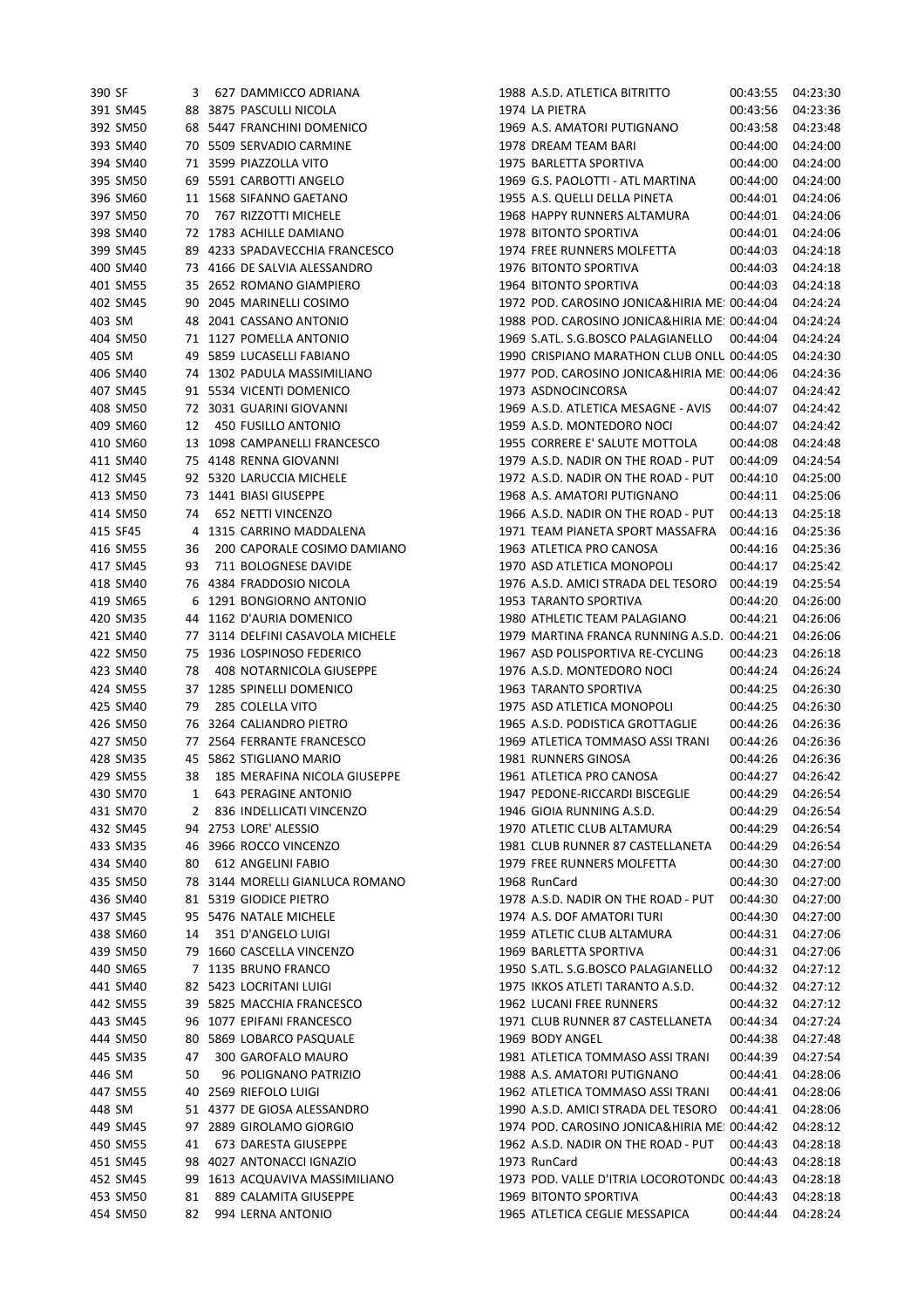| 390 SF |          | 3  | 627 DAMMICCO ADRIANA             | 1988 A.S.D. ATLETICA BITRITTO                | 00:43:55 04:23:30 |          |
|--------|----------|----|----------------------------------|----------------------------------------------|-------------------|----------|
|        | 391 SM45 |    | 88 3875 PASCULLI NICOLA          | 1974 LA PIETRA                               | 00:43:56          | 04:23:36 |
|        | 392 SM50 |    | 68 5447 FRANCHINI DOMENICO       | 1969 A.S. AMATORI PUTIGNANO                  | 00:43:58          | 04:23:48 |
|        | 393 SM40 |    | 70 5509 SERVADIO CARMINE         | 1978 DREAM TEAM BARI                         | 00:44:00          | 04:24:00 |
|        | 394 SM40 |    | 71 3599 PIAZZOLLA VITO           | 1975 BARLETTA SPORTIVA                       | 00:44:00          | 04:24:00 |
|        | 395 SM50 |    | 69 5591 CARBOTTI ANGELO          | 1969 G.S. PAOLOTTI - ATL MARTINA             | 00:44:00          | 04:24:00 |
|        | 396 SM60 |    | 11 1568 SIFANNO GAETANO          | 1955 A.S. QUELLI DELLA PINETA                | 00:44:01          | 04:24:06 |
|        | 397 SM50 | 70 | 767 RIZZOTTI MICHELE             | 1968 HAPPY RUNNERS ALTAMURA                  | 00:44:01          | 04:24:06 |
|        | 398 SM40 |    | 72 1783 ACHILLE DAMIANO          | 1978 BITONTO SPORTIVA                        | 00:44:01          | 04:24:06 |
|        | 399 SM45 |    | 89 4233 SPADAVECCHIA FRANCESCO   | 1974 FREE RUNNERS MOLFETTA                   | 00:44:03          | 04:24:18 |
|        | 400 SM40 |    | 73 4166 DE SALVIA ALESSANDRO     | 1976 BITONTO SPORTIVA                        | 00:44:03          | 04:24:18 |
|        | 401 SM55 |    | 35 2652 ROMANO GIAMPIERO         | 1964 BITONTO SPORTIVA                        | 00:44:03          | 04:24:18 |
|        | 402 SM45 |    | 90 2045 MARINELLI COSIMO         | 1972 POD. CAROSINO JONICA&HIRIA ME: 00:44:04 |                   | 04:24:24 |
| 403 SM |          |    | 48 2041 CASSANO ANTONIO          | 1988 POD. CAROSINO JONICA&HIRIA ME: 00:44:04 |                   | 04:24:24 |
|        | 404 SM50 |    |                                  |                                              |                   | 04:24:24 |
|        |          |    | 71 1127 POMELLA ANTONIO          | 1969 S.ATL. S.G.BOSCO PALAGIANELLO           | 00:44:04          |          |
| 405 SM |          |    | 49 5859 LUCASELLI FABIANO        | 1990 CRISPIANO MARATHON CLUB ONLU 00:44:05   |                   | 04:24:30 |
|        | 406 SM40 |    | 74 1302 PADULA MASSIMILIANO      | 1977 POD. CAROSINO JONICA&HIRIA ME: 00:44:06 |                   | 04:24:36 |
|        | 407 SM45 |    | 91 5534 VICENTI DOMENICO         | 1973 ASDNOCINCORSA                           | 00:44:07          | 04:24:42 |
|        | 408 SM50 |    | 72 3031 GUARINI GIOVANNI         | 1969 A.S.D. ATLETICA MESAGNE - AVIS          | 00:44:07          | 04:24:42 |
|        | 409 SM60 | 12 | 450 FUSILLO ANTONIO              | 1959 A.S.D. MONTEDORO NOCI                   | 00:44:07          | 04:24:42 |
|        | 410 SM60 |    | 13 1098 CAMPANELLI FRANCESCO     | 1955 CORRERE E' SALUTE MOTTOLA               | 00:44:08          | 04:24:48 |
|        | 411 SM40 |    | 75 4148 RENNA GIOVANNI           | 1979 A.S.D. NADIR ON THE ROAD - PUT          | 00:44:09          | 04:24:54 |
|        | 412 SM45 |    | 92 5320 LARUCCIA MICHELE         | 1972 A.S.D. NADIR ON THE ROAD - PUT          | 00:44:10          | 04:25:00 |
|        | 413 SM50 |    | 73 1441 BIASI GIUSEPPE           | 1968 A.S. AMATORI PUTIGNANO                  | 00:44:11          | 04:25:06 |
|        | 414 SM50 | 74 | 652 NETTI VINCENZO               | 1966 A.S.D. NADIR ON THE ROAD - PUT          | 00:44:13          | 04:25:18 |
|        | 415 SF45 |    | 4 1315 CARRINO MADDALENA         | 1971 TEAM PIANETA SPORT MASSAFRA             | 00:44:16          | 04:25:36 |
|        | 416 SM55 | 36 | 200 CAPORALE COSIMO DAMIANO      | 1963 ATLETICA PRO CANOSA                     | 00:44:16          | 04:25:36 |
|        | 417 SM45 | 93 | 711 BOLOGNESE DAVIDE             | 1970 ASD ATLETICA MONOPOLI                   | 00:44:17          | 04:25:42 |
|        | 418 SM40 |    | 76 4384 FRADDOSIO NICOLA         | 1976 A.S.D. AMICI STRADA DEL TESORO          | 00:44:19          | 04:25:54 |
|        | 419 SM65 |    | 6 1291 BONGIORNO ANTONIO         | 1953 TARANTO SPORTIVA                        | 00:44:20          | 04:26:00 |
|        | 420 SM35 |    | 44 1162 D'AURIA DOMENICO         | 1980 ATHLETIC TEAM PALAGIANO                 | 00:44:21          | 04:26:06 |
|        | 421 SM40 |    | 77 3114 DELFINI CASAVOLA MICHELE | 1979 MARTINA FRANCA RUNNING A.S.D. 00:44:21  |                   | 04:26:06 |
|        | 422 SM50 |    | 75 1936 LOSPINOSO FEDERICO       | 1967 ASD POLISPORTIVA RE-CYCLING             | 00:44:23          | 04:26:18 |
|        | 423 SM40 | 78 | 408 NOTARNICOLA GIUSEPPE         | 1976 A.S.D. MONTEDORO NOCI                   | 00:44:24          | 04:26:24 |
|        | 424 SM55 |    | 37 1285 SPINELLI DOMENICO        | 1963 TARANTO SPORTIVA                        | 00:44:25          | 04:26:30 |
|        | 425 SM40 | 79 | 285 COLELLA VITO                 | 1975 ASD ATLETICA MONOPOLI                   | 00:44:25          | 04:26:30 |
|        | 426 SM50 |    | 76 3264 CALIANDRO PIETRO         | 1965 A.S.D. PODISTICA GROTTAGLIE             |                   | 04:26:36 |
|        |          |    |                                  | 1969 ATLETICA TOMMASO ASSI TRANI             | 00:44:26          |          |
|        | 427 SM50 |    | 77 2564 FERRANTE FRANCESCO       |                                              | 00:44:26          | 04:26:36 |
|        | 428 SM35 |    | 45 5862 STIGLIANO MARIO          | 1981 RUNNERS GINOSA                          | 00:44:26          | 04:26:36 |
|        | 429 SM55 | 38 | 185 MERAFINA NICOLA GIUSEPPE     | 1961 ATLETICA PRO CANOSA                     | 00:44:27          | 04:26:42 |
|        | 430 SM70 | 1  | <b>643 PERAGINE ANTONIO</b>      | 1947 PEDONE-RICCARDI BISCEGLIE               | 00:44:29          | 04:26:54 |
|        | 431 SM70 | 2  | 836 INDELLICATI VINCENZO         | 1946 GIOIA RUNNING A.S.D.                    | 00:44:29          | 04:26:54 |
|        | 432 SM45 |    | 94 2753 LORE' ALESSIO            | 1970 ATLETIC CLUB ALTAMURA                   | 00:44:29          | 04:26:54 |
|        | 433 SM35 | 46 | 3966 ROCCO VINCENZO              | 1981 CLUB RUNNER 87 CASTELLANETA             | 00:44:29          | 04:26:54 |
|        | 434 SM40 | 80 | 612 ANGELINI FABIO               | 1979 FREE RUNNERS MOLFETTA                   | 00:44:30          | 04:27:00 |
|        | 435 SM50 |    | 78 3144 MORELLI GIANLUCA ROMANO  | 1968 RunCard                                 | 00:44:30          | 04:27:00 |
|        | 436 SM40 |    | 81 5319 GIODICE PIETRO           | 1978 A.S.D. NADIR ON THE ROAD - PUT          | 00:44:30          | 04:27:00 |
|        | 437 SM45 |    | 95 5476 NATALE MICHELE           | 1974 A.S. DOF AMATORI TURI                   | 00:44:30          | 04:27:00 |
|        | 438 SM60 | 14 | 351 D'ANGELO LUIGI               | 1959 ATLETIC CLUB ALTAMURA                   | 00:44:31          | 04:27:06 |
|        | 439 SM50 |    | 79 1660 CASCELLA VINCENZO        | 1969 BARLETTA SPORTIVA                       | 00:44:31          | 04:27:06 |
|        | 440 SM65 |    | 7 1135 BRUNO FRANCO              | 1950 S.ATL. S.G.BOSCO PALAGIANELLO           | 00:44:32          | 04:27:12 |
|        | 441 SM40 |    | 82 5423 LOCRITANI LUIGI          | 1975 IKKOS ATLETI TARANTO A.S.D.             | 00:44:32          | 04:27:12 |
|        | 442 SM55 |    | 39 5825 MACCHIA FRANCESCO        | 1962 LUCANI FREE RUNNERS                     | 00:44:32          | 04:27:12 |
|        | 443 SM45 |    | 96 1077 EPIFANI FRANCESCO        | 1971 CLUB RUNNER 87 CASTELLANETA             | 00:44:34          | 04:27:24 |
|        | 444 SM50 | 80 | 5869 LOBARCO PASQUALE            | 1969 BODY ANGEL                              | 00:44:38          | 04:27:48 |
|        | 445 SM35 | 47 | 300 GAROFALO MAURO               | 1981 ATLETICA TOMMASO ASSI TRANI             | 00:44:39          | 04:27:54 |
| 446 SM |          | 50 | 96 POLIGNANO PATRIZIO            | 1988 A.S. AMATORI PUTIGNANO                  | 00:44:41          | 04:28:06 |
|        | 447 SM55 |    | 40 2569 RIEFOLO LUIGI            | 1962 ATLETICA TOMMASO ASSI TRANI             | 00:44:41          | 04:28:06 |
| 448 SM |          |    | 51 4377 DE GIOSA ALESSANDRO      | 1990 A.S.D. AMICI STRADA DEL TESORO          | 00:44:41          | 04:28:06 |
|        |          |    |                                  |                                              |                   |          |
|        | 449 SM45 |    | 97 2889 GIROLAMO GIORGIO         | 1974 POD. CAROSINO JONICA&HIRIA ME: 00:44:42 |                   | 04:28:12 |
|        | 450 SM55 | 41 | 673 DARESTA GIUSEPPE             | 1962 A.S.D. NADIR ON THE ROAD - PUT          | 00:44:43          | 04:28:18 |
|        | 451 SM45 | 98 | 4027 ANTONACCI IGNAZIO           | 1973 RunCard                                 | 00:44:43          | 04:28:18 |
|        | 452 SM45 | 99 | 1613 ACQUAVIVA MASSIMILIANO      | 1973 POD. VALLE D'ITRIA LOCOROTONDC 00:44:43 |                   | 04:28:18 |
|        | 453 SM50 | 81 | 889 CALAMITA GIUSEPPE            | 1969 BITONTO SPORTIVA                        | 00:44:43          | 04:28:18 |
|        | 454 SM50 | 82 | 994 LERNA ANTONIO                | 1965 ATLETICA CEGLIE MESSAPICA               | 00:44:44          | 04:28:24 |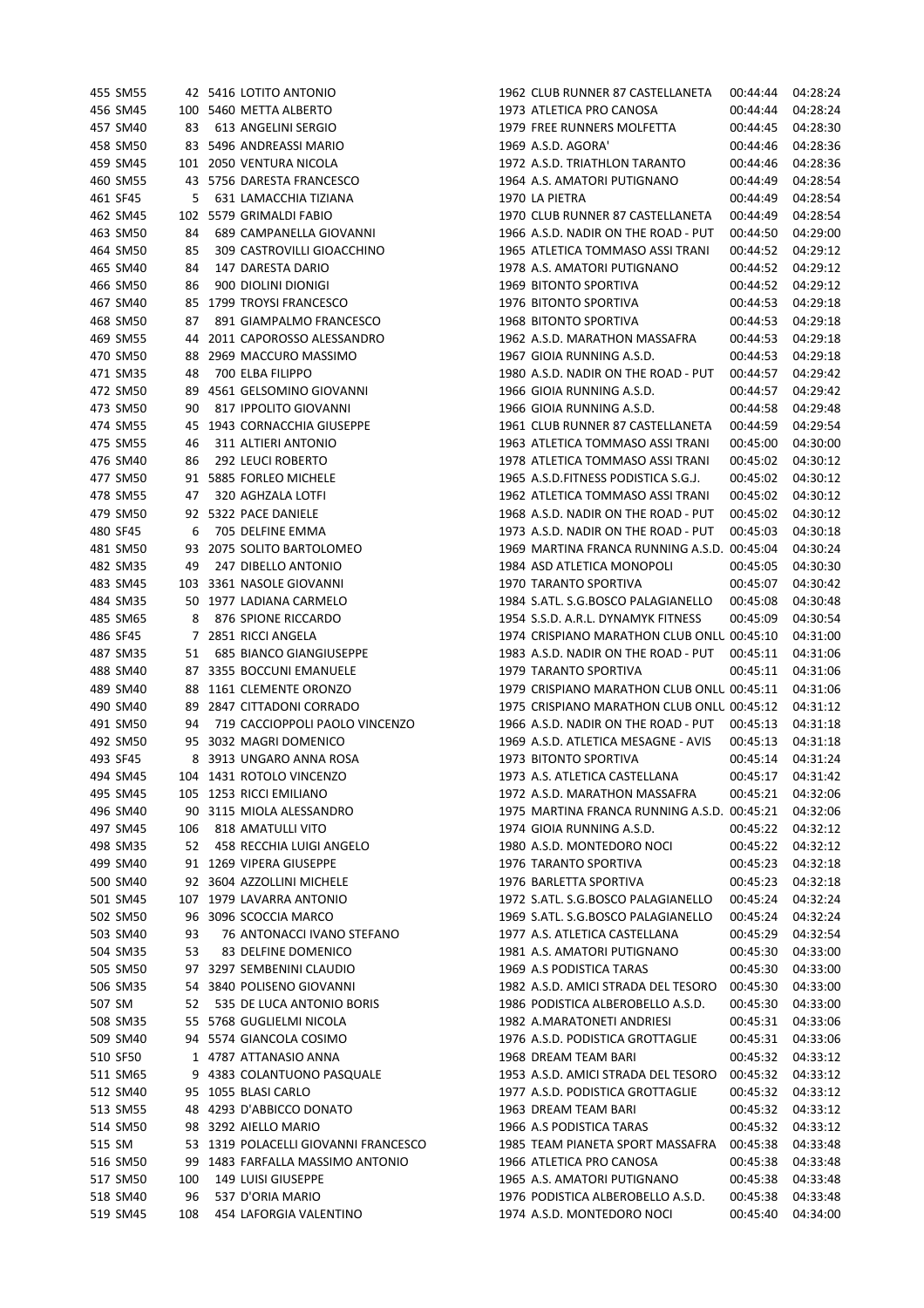|        | 455 SM55 |     | 42 5416 LOTITO ANTONIO               | 1962 CLUB RUNNER 87 CASTELLANETA            | 00:44:44 | 04:28:24 |
|--------|----------|-----|--------------------------------------|---------------------------------------------|----------|----------|
|        | 456 SM45 |     | 100 5460 METTA ALBERTO               | 1973 ATLETICA PRO CANOSA                    | 00:44:44 | 04:28:24 |
|        | 457 SM40 | 83  | 613 ANGELINI SERGIO                  | 1979 FREE RUNNERS MOLFETTA                  | 00:44:45 | 04:28:30 |
|        | 458 SM50 | 83  | 5496 ANDREASSI MARIO                 | 1969 A.S.D. AGORA'                          | 00:44:46 | 04:28:36 |
|        | 459 SM45 |     | 101 2050 VENTURA NICOLA              | 1972 A.S.D. TRIATHLON TARANTO               | 00:44:46 | 04:28:36 |
|        | 460 SM55 |     | 43 5756 DARESTA FRANCESCO            | 1964 A.S. AMATORI PUTIGNANO                 | 00:44:49 | 04:28:54 |
|        | 461 SF45 | 5   | 631 LAMACCHIA TIZIANA                | 1970 LA PIETRA                              | 00:44:49 | 04:28:54 |
|        | 462 SM45 |     | 102 5579 GRIMALDI FABIO              | 1970 CLUB RUNNER 87 CASTELLANETA            | 00:44:49 | 04:28:54 |
|        | 463 SM50 | 84  | 689 CAMPANELLA GIOVANNI              | 1966 A.S.D. NADIR ON THE ROAD - PUT         | 00:44:50 | 04:29:00 |
|        | 464 SM50 | 85  | 309 CASTROVILLI GIOACCHINO           | 1965 ATLETICA TOMMASO ASSI TRANI            | 00:44:52 | 04:29:12 |
|        | 465 SM40 | 84  | 147 DARESTA DARIO                    | 1978 A.S. AMATORI PUTIGNANO                 | 00:44:52 | 04:29:12 |
|        | 466 SM50 | 86  | 900 DIOLINI DIONIGI                  | 1969 BITONTO SPORTIVA                       | 00:44:52 | 04:29:12 |
|        | 467 SM40 | 85  | 1799 TROYSI FRANCESCO                | 1976 BITONTO SPORTIVA                       | 00:44:53 | 04:29:18 |
|        | 468 SM50 | 87  | 891 GIAMPALMO FRANCESCO              | 1968 BITONTO SPORTIVA                       | 00:44:53 | 04:29:18 |
|        | 469 SM55 | 44  | 2011 CAPOROSSO ALESSANDRO            | 1962 A.S.D. MARATHON MASSAFRA               | 00:44:53 | 04:29:18 |
|        | 470 SM50 |     |                                      |                                             |          |          |
|        |          | 88  | 2969 MACCURO MASSIMO                 | 1967 GIOIA RUNNING A.S.D.                   | 00:44:53 | 04:29:18 |
|        | 471 SM35 | 48  | 700 ELBA FILIPPO                     | 1980 A.S.D. NADIR ON THE ROAD - PUT         | 00:44:57 | 04:29:42 |
|        | 472 SM50 | 89  | 4561 GELSOMINO GIOVANNI              | 1966 GIOIA RUNNING A.S.D.                   | 00:44:57 | 04:29:42 |
|        | 473 SM50 | 90  | 817 IPPOLITO GIOVANNI                | 1966 GIOIA RUNNING A.S.D.                   | 00:44:58 | 04:29:48 |
|        | 474 SM55 | 45  | 1943 CORNACCHIA GIUSEPPE             | 1961 CLUB RUNNER 87 CASTELLANETA            | 00:44:59 | 04:29:54 |
|        | 475 SM55 | 46  | 311 ALTIERI ANTONIO                  | 1963 ATLETICA TOMMASO ASSI TRANI            | 00:45:00 | 04:30:00 |
|        | 476 SM40 | 86  | 292 LEUCI ROBERTO                    | 1978 ATLETICA TOMMASO ASSI TRANI            | 00:45:02 | 04:30:12 |
|        | 477 SM50 |     | 91 5885 FORLEO MICHELE               | 1965 A.S.D.FITNESS PODISTICA S.G.J.         | 00:45:02 | 04:30:12 |
|        | 478 SM55 | 47  | 320 AGHZALA LOTFI                    | 1962 ATLETICA TOMMASO ASSI TRANI            | 00:45:02 | 04:30:12 |
|        | 479 SM50 |     | 92 5322 PACE DANIELE                 | 1968 A.S.D. NADIR ON THE ROAD - PUT         | 00:45:02 | 04:30:12 |
|        | 480 SF45 | 6   | 705 DELFINE EMMA                     | 1973 A.S.D. NADIR ON THE ROAD - PUT         | 00:45:03 | 04:30:18 |
|        | 481 SM50 |     | 93 2075 SOLITO BARTOLOMEO            | 1969 MARTINA FRANCA RUNNING A.S.D. 00:45:04 |          | 04:30:24 |
|        | 482 SM35 | 49  | 247 DIBELLO ANTONIO                  | 1984 ASD ATLETICA MONOPOLI                  | 00:45:05 | 04:30:30 |
|        | 483 SM45 |     | 103 3361 NASOLE GIOVANNI             | 1970 TARANTO SPORTIVA                       | 00:45:07 | 04:30:42 |
|        | 484 SM35 |     | 50 1977 LADIANA CARMELO              | 1984 S.ATL. S.G.BOSCO PALAGIANELLO          | 00:45:08 | 04:30:48 |
|        | 485 SM65 | 8   | 876 SPIONE RICCARDO                  | 1954 S.S.D. A.R.L. DYNAMYK FITNESS          | 00:45:09 | 04:30:54 |
|        | 486 SF45 |     | 7 2851 RICCI ANGELA                  | 1974 CRISPIANO MARATHON CLUB ONLL 00:45:10  |          | 04:31:00 |
|        | 487 SM35 | 51  | <b>685 BIANCO GIANGIUSEPPE</b>       | 1983 A.S.D. NADIR ON THE ROAD - PUT         | 00:45:11 | 04:31:06 |
|        | 488 SM40 |     | 87 3355 BOCCUNI EMANUELE             | 1979 TARANTO SPORTIVA                       | 00:45:11 | 04:31:06 |
|        | 489 SM40 | 88  | 1161 CLEMENTE ORONZO                 | 1979 CRISPIANO MARATHON CLUB ONLU 00:45:11  |          | 04:31:06 |
|        | 490 SM40 | 89  | 2847 CITTADONI CORRADO               | 1975 CRISPIANO MARATHON CLUB ONLL 00:45:12  |          | 04:31:12 |
|        | 491 SM50 | 94  | 719 CACCIOPPOLI PAOLO VINCENZO       | 1966 A.S.D. NADIR ON THE ROAD - PUT         | 00:45:13 | 04:31:18 |
|        | 492 SM50 |     | 95 3032 MAGRI DOMENICO               | 1969 A.S.D. ATLETICA MESAGNE - AVIS         | 00:45:13 | 04:31:18 |
|        | 493 SF45 |     | 8 3913 UNGARO ANNA ROSA              | 1973 BITONTO SPORTIVA                       | 00:45:14 | 04:31:24 |
|        | 494 SM45 |     | 104 1431 ROTOLO VINCENZO             | 1973 A.S. ATLETICA CASTELLANA               | 00:45:17 | 04:31:42 |
|        | 495 SM45 |     | 105 1253 RICCI EMILIANO              | 1972 A.S.D. MARATHON MASSAFRA               | 00:45:21 | 04:32:06 |
|        | 496 SM40 |     | 90 3115 MIOLA ALESSANDRO             | 1975 MARTINA FRANCA RUNNING A.S.D. 00:45:21 |          | 04:32:06 |
|        | 497 SM45 | 106 | 818 AMATULLI VITO                    | 1974 GIOIA RUNNING A.S.D.                   | 00:45:22 | 04:32:12 |
|        |          | 52  | 458 RECCHIA LUIGI ANGELO             | 1980 A.S.D. MONTEDORO NOCI                  |          | 04:32:12 |
|        | 498 SM35 |     |                                      |                                             | 00:45:22 | 04:32:18 |
|        | 499 SM40 |     | 91 1269 VIPERA GIUSEPPE              | 1976 TARANTO SPORTIVA                       | 00:45:23 |          |
|        | 500 SM40 |     | 92 3604 AZZOLLINI MICHELE            | 1976 BARLETTA SPORTIVA                      | 00:45:23 | 04:32:18 |
|        | 501 SM45 |     | 107 1979 LAVARRA ANTONIO             | 1972 S.ATL. S.G.BOSCO PALAGIANELLO          | 00:45:24 | 04:32:24 |
|        | 502 SM50 | 96  | 3096 SCOCCIA MARCO                   | 1969 S.ATL. S.G.BOSCO PALAGIANELLO          | 00:45:24 | 04:32:24 |
|        | 503 SM40 | 93  | 76 ANTONACCI IVANO STEFANO           | 1977 A.S. ATLETICA CASTELLANA               | 00:45:29 | 04:32:54 |
|        | 504 SM35 | 53  | 83 DELFINE DOMENICO                  | 1981 A.S. AMATORI PUTIGNANO                 | 00:45:30 | 04:33:00 |
|        | 505 SM50 |     | 97 3297 SEMBENINI CLAUDIO            | 1969 A.S PODISTICA TARAS                    | 00:45:30 | 04:33:00 |
|        | 506 SM35 |     | 54 3840 POLISENO GIOVANNI            | 1982 A.S.D. AMICI STRADA DEL TESORO         | 00:45:30 | 04:33:00 |
| 507 SM |          | 52  | 535 DE LUCA ANTONIO BORIS            | 1986 PODISTICA ALBEROBELLO A.S.D.           | 00:45:30 | 04:33:00 |
|        | 508 SM35 |     | 55 5768 GUGLIELMI NICOLA             | 1982 A.MARATONETI ANDRIESI                  | 00:45:31 | 04:33:06 |
|        | 509 SM40 |     | 94 5574 GIANCOLA COSIMO              | 1976 A.S.D. PODISTICA GROTTAGLIE            | 00:45:31 | 04:33:06 |
|        | 510 SF50 |     | 1 4787 ATTANASIO ANNA                | 1968 DREAM TEAM BARI                        | 00:45:32 | 04:33:12 |
|        | 511 SM65 |     | 9 4383 COLANTUONO PASQUALE           | 1953 A.S.D. AMICI STRADA DEL TESORO         | 00:45:32 | 04:33:12 |
|        | 512 SM40 |     | 95 1055 BLASI CARLO                  | 1977 A.S.D. PODISTICA GROTTAGLIE            | 00:45:32 | 04:33:12 |
|        | 513 SM55 |     | 48 4293 D'ABBICCO DONATO             | 1963 DREAM TEAM BARI                        | 00:45:32 | 04:33:12 |
|        | 514 SM50 |     | 98 3292 AIELLO MARIO                 | 1966 A.S PODISTICA TARAS                    | 00:45:32 | 04:33:12 |
| 515 SM |          |     | 53 1319 POLACELLI GIOVANNI FRANCESCO | 1985 TEAM PIANETA SPORT MASSAFRA            | 00:45:38 | 04:33:48 |
|        | 516 SM50 | 99  | 1483 FARFALLA MASSIMO ANTONIO        | 1966 ATLETICA PRO CANOSA                    | 00:45:38 | 04:33:48 |
|        | 517 SM50 | 100 | 149 LUISI GIUSEPPE                   | 1965 A.S. AMATORI PUTIGNANO                 | 00:45:38 | 04:33:48 |
|        | 518 SM40 | 96  | 537 D'ORIA MARIO                     | 1976 PODISTICA ALBEROBELLO A.S.D.           | 00:45:38 | 04:33:48 |
|        | 519 SM45 | 108 | 454 LAFORGIA VALENTINO               | 1974 A.S.D. MONTEDORO NOCI                  | 00:45:40 | 04:34:00 |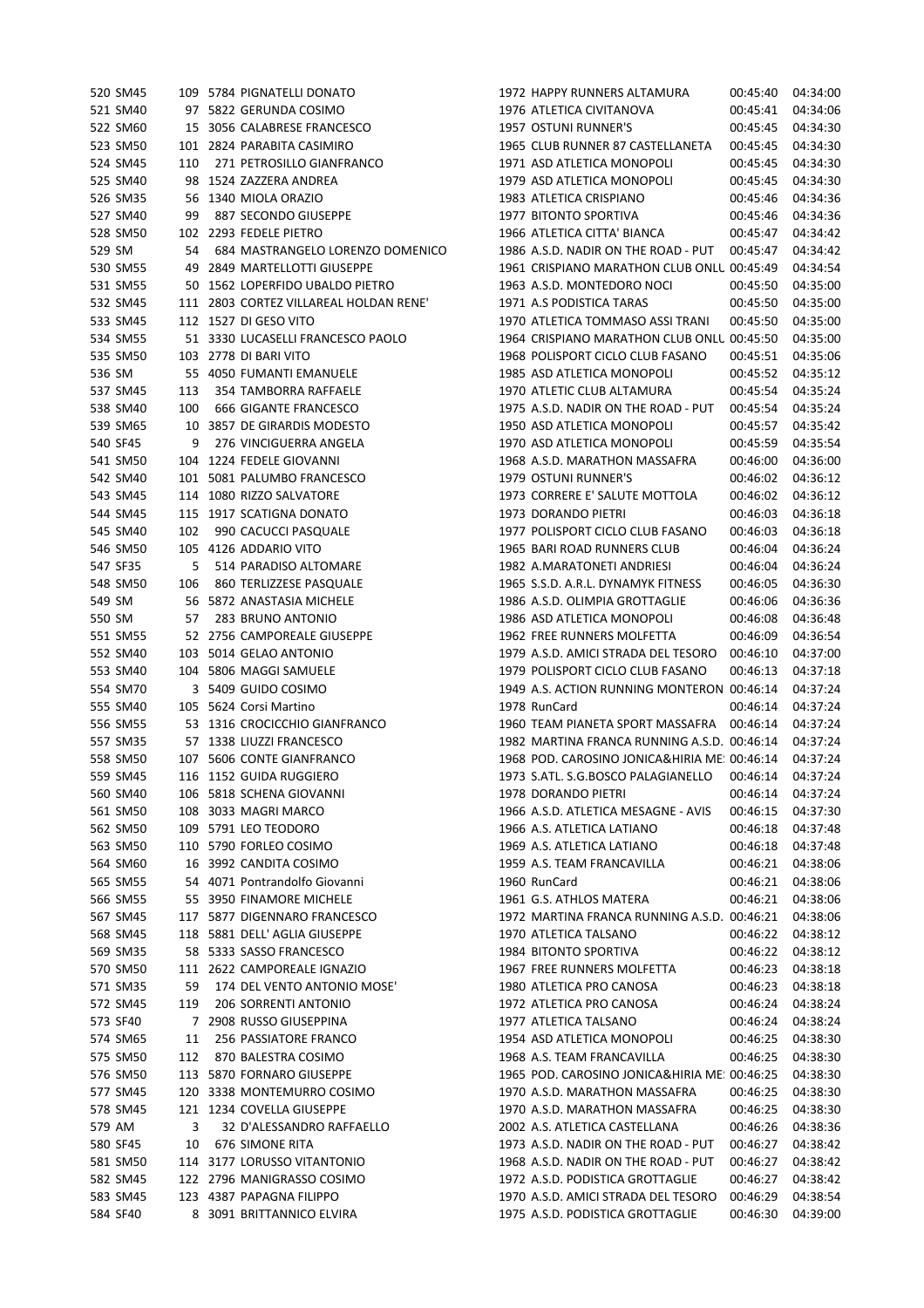| 520 SM45 |     | 109 5784 PIGNATELLI DONATO                     | 1972 HAPPY RUNNERS ALTAMURA                  | 00:45:40 | 04:34:00 |
|----------|-----|------------------------------------------------|----------------------------------------------|----------|----------|
| 521 SM40 |     | 97 5822 GERUNDA COSIMO                         | 1976 ATLETICA CIVITANOVA                     | 00:45:41 | 04:34:06 |
| 522 SM60 |     | 15 3056 CALABRESE FRANCESCO                    | 1957 OSTUNI RUNNER'S                         | 00:45:45 | 04:34:30 |
| 523 SM50 |     | 101 2824 PARABITA CASIMIRO                     | 1965 CLUB RUNNER 87 CASTELLANETA             | 00:45:45 | 04:34:30 |
| 524 SM45 | 110 | 271 PETROSILLO GIANFRANCO                      | 1971 ASD ATLETICA MONOPOLI                   | 00:45:45 | 04:34:30 |
| 525 SM40 |     | 98 1524 ZAZZERA ANDREA                         | 1979 ASD ATLETICA MONOPOLI                   | 00:45:45 | 04:34:30 |
| 526 SM35 |     | 56 1340 MIOLA ORAZIO                           | 1983 ATLETICA CRISPIANO                      | 00:45:46 | 04:34:36 |
| 527 SM40 | 99  | 887 SECONDO GIUSEPPE                           | 1977 BITONTO SPORTIVA                        | 00:45:46 | 04:34:36 |
| 528 SM50 |     | 102 2293 FEDELE PIETRO                         | 1966 ATLETICA CITTA' BIANCA                  | 00:45:47 | 04:34:42 |
| 529 SM   | 54  | 684 MASTRANGELO LORENZO DOMENICO               | 1986 A.S.D. NADIR ON THE ROAD - PUT          | 00:45:47 | 04:34:42 |
| 530 SM55 |     | 49 2849 MARTELLOTTI GIUSEPPE                   | 1961 CRISPIANO MARATHON CLUB ONLU 00:45:49   |          | 04:34:54 |
| 531 SM55 |     | 50 1562 LOPERFIDO UBALDO PIETRO                | 1963 A.S.D. MONTEDORO NOCI                   | 00:45:50 | 04:35:00 |
| 532 SM45 |     | 111 2803 CORTEZ VILLAREAL HOLDAN RENE'         | 1971 A.S PODISTICA TARAS                     | 00:45:50 | 04:35:00 |
| 533 SM45 |     | 112 1527 DI GESO VITO                          | 1970 ATLETICA TOMMASO ASSI TRANI             | 00:45:50 | 04:35:00 |
| 534 SM55 |     | 51 3330 LUCASELLI FRANCESCO PAOLO              | 1964 CRISPIANO MARATHON CLUB ONLU 00:45:50   |          | 04:35:00 |
| 535 SM50 |     | 103 2778 DI BARI VITO                          | 1968 POLISPORT CICLO CLUB FASANO             | 00:45:51 | 04:35:06 |
| 536 SM   |     | 55 4050 FUMANTI EMANUELE                       | 1985 ASD ATLETICA MONOPOLI                   | 00:45:52 | 04:35:12 |
| 537 SM45 |     |                                                |                                              |          | 04:35:24 |
|          | 113 | 354 TAMBORRA RAFFAELE<br>666 GIGANTE FRANCESCO | 1970 ATLETIC CLUB ALTAMURA                   | 00:45:54 |          |
| 538 SM40 | 100 |                                                | 1975 A.S.D. NADIR ON THE ROAD - PUT          | 00:45:54 | 04:35:24 |
| 539 SM65 |     | 10 3857 DE GIRARDIS MODESTO                    | 1950 ASD ATLETICA MONOPOLI                   | 00:45:57 | 04:35:42 |
| 540 SF45 | 9   | 276 VINCIGUERRA ANGELA                         | 1970 ASD ATLETICA MONOPOLI                   | 00:45:59 | 04:35:54 |
| 541 SM50 |     | 104 1224 FEDELE GIOVANNI                       | 1968 A.S.D. MARATHON MASSAFRA                | 00:46:00 | 04:36:00 |
| 542 SM40 |     | 101 5081 PALUMBO FRANCESCO                     | 1979 OSTUNI RUNNER'S                         | 00:46:02 | 04:36:12 |
| 543 SM45 |     | 114 1080 RIZZO SALVATORE                       | 1973 CORRERE E' SALUTE MOTTOLA               | 00:46:02 | 04:36:12 |
| 544 SM45 |     | 115 1917 SCATIGNA DONATO                       | 1973 DORANDO PIETRI                          | 00:46:03 | 04:36:18 |
| 545 SM40 | 102 | 990 CACUCCI PASQUALE                           | 1977 POLISPORT CICLO CLUB FASANO             | 00:46:03 | 04:36:18 |
| 546 SM50 |     | 105 4126 ADDARIO VITO                          | 1965 BARI ROAD RUNNERS CLUB                  | 00:46:04 | 04:36:24 |
| 547 SF35 | 5   | 514 PARADISO ALTOMARE                          | 1982 A.MARATONETI ANDRIESI                   | 00:46:04 | 04:36:24 |
| 548 SM50 | 106 | 860 TERLIZZESE PASQUALE                        | 1965 S.S.D. A.R.L. DYNAMYK FITNESS           | 00:46:05 | 04:36:30 |
| 549 SM   |     | 56 5872 ANASTASIA MICHELE                      | 1986 A.S.D. OLIMPIA GROTTAGLIE               | 00:46:06 | 04:36:36 |
| 550 SM   | 57  | 283 BRUNO ANTONIO                              | 1986 ASD ATLETICA MONOPOLI                   | 00:46:08 | 04:36:48 |
| 551 SM55 |     | 52 2756 CAMPOREALE GIUSEPPE                    | 1962 FREE RUNNERS MOLFETTA                   | 00:46:09 | 04:36:54 |
| 552 SM40 |     | 103 5014 GELAO ANTONIO                         | 1979 A.S.D. AMICI STRADA DEL TESORO          | 00:46:10 | 04:37:00 |
| 553 SM40 |     | 104 5806 MAGGI SAMUELE                         | 1979 POLISPORT CICLO CLUB FASANO             | 00:46:13 | 04:37:18 |
| 554 SM70 |     | 3 5409 GUIDO COSIMO                            | 1949 A.S. ACTION RUNNING MONTERON 00:46:14   |          | 04:37:24 |
| 555 SM40 |     | 105 5624 Corsi Martino                         | 1978 RunCard                                 | 00:46:14 | 04:37:24 |
| 556 SM55 |     | 53 1316 CROCICCHIO GIANFRANCO                  | 1960 TEAM PIANETA SPORT MASSAFRA             | 00:46:14 | 04:37:24 |
| 557 SM35 |     | 57 1338 LIUZZI FRANCESCO                       | 1982 MARTINA FRANCA RUNNING A.S.D. 00:46:14  |          | 04:37:24 |
| 558 SM50 |     | 107 5606 CONTE GIANFRANCO                      | 1968 POD. CAROSINO JONICA&HIRIA ME: 00:46:14 |          | 04:37:24 |
| 559 SM45 |     | 116 1152 GUIDA RUGGIERO                        | 1973 S.ATL. S.G.BOSCO PALAGIANELLO           | 00:46:14 | 04:37:24 |
| 560 SM40 |     | 106 5818 SCHENA GIOVANNI                       | 1978 DORANDO PIETRI                          | 00:46:14 | 04:37:24 |
| 561 SM50 |     | 108 3033 MAGRI MARCO                           | 1966 A.S.D. ATLETICA MESAGNE - AVIS          | 00:46:15 | 04:37:30 |
| 562 SM50 |     | 109 5791 LEO TEODORO                           | 1966 A.S. ATLETICA LATIANO                   | 00:46:18 | 04:37:48 |
| 563 SM50 |     | 110 5790 FORLEO COSIMO                         | 1969 A.S. ATLETICA LATIANO                   | 00:46:18 | 04:37:48 |
| 564 SM60 |     | 16 3992 CANDITA COSIMO                         | 1959 A.S. TEAM FRANCAVILLA                   | 00:46:21 | 04:38:06 |
| 565 SM55 |     | 54 4071 Pontrandolfo Giovanni                  | 1960 RunCard                                 | 00:46:21 | 04:38:06 |
| 566 SM55 |     | 55 3950 FINAMORE MICHELE                       | 1961 G.S. ATHLOS MATERA                      | 00:46:21 | 04:38:06 |
| 567 SM45 |     | 117 5877 DIGENNARO FRANCESCO                   | 1972 MARTINA FRANCA RUNNING A.S.D. 00:46:21  |          | 04:38:06 |
| 568 SM45 |     | 118 5881 DELL' AGLIA GIUSEPPE                  | 1970 ATLETICA TALSANO                        | 00:46:22 | 04:38:12 |
| 569 SM35 |     | 58 5333 SASSO FRANCESCO                        | 1984 BITONTO SPORTIVA                        | 00:46:22 | 04:38:12 |
| 570 SM50 |     | 111 2622 CAMPOREALE IGNAZIO                    | 1967 FREE RUNNERS MOLFETTA                   | 00:46:23 | 04:38:18 |
| 571 SM35 | 59  | 174 DEL VENTO ANTONIO MOSE'                    | 1980 ATLETICA PRO CANOSA                     | 00:46:23 | 04:38:18 |
| 572 SM45 | 119 | 206 SORRENTI ANTONIO                           | 1972 ATLETICA PRO CANOSA                     | 00:46:24 | 04:38:24 |
|          |     |                                                |                                              |          |          |
| 573 SF40 |     | 7 2908 RUSSO GIUSEPPINA                        | 1977 ATLETICA TALSANO                        | 00:46:24 | 04:38:24 |
| 574 SM65 | 11  | 256 PASSIATORE FRANCO                          | 1954 ASD ATLETICA MONOPOLI                   | 00:46:25 | 04:38:30 |
| 575 SM50 | 112 | 870 BALESTRA COSIMO                            | 1968 A.S. TEAM FRANCAVILLA                   | 00:46:25 | 04:38:30 |
| 576 SM50 |     | 113 5870 FORNARO GIUSEPPE                      | 1965 POD. CAROSINO JONICA&HIRIA ME: 00:46:25 |          | 04:38:30 |
| 577 SM45 |     | 120 3338 MONTEMURRO COSIMO                     | 1970 A.S.D. MARATHON MASSAFRA                | 00:46:25 | 04:38:30 |
| 578 SM45 |     | 121 1234 COVELLA GIUSEPPE                      | 1970 A.S.D. MARATHON MASSAFRA                | 00:46:25 | 04:38:30 |
| 579 AM   | 3   | 32 D'ALESSANDRO RAFFAELLO                      | 2002 A.S. ATLETICA CASTELLANA                | 00:46:26 | 04:38:36 |
| 580 SF45 | 10  | 676 SIMONE RITA                                | 1973 A.S.D. NADIR ON THE ROAD - PUT          | 00:46:27 | 04:38:42 |
| 581 SM50 |     | 114 3177 LORUSSO VITANTONIO                    | 1968 A.S.D. NADIR ON THE ROAD - PUT          | 00:46:27 | 04:38:42 |
| 582 SM45 |     | 122 2796 MANIGRASSO COSIMO                     | 1972 A.S.D. PODISTICA GROTTAGLIE             | 00:46:27 | 04:38:42 |
| 583 SM45 |     | 123 4387 PAPAGNA FILIPPO                       | 1970 A.S.D. AMICI STRADA DEL TESORO          | 00:46:29 | 04:38:54 |
| 584 SF40 |     | 8 3091 BRITTANNICO ELVIRA                      | 1975 A.S.D. PODISTICA GROTTAGLIE             | 00:46:30 | 04:39:00 |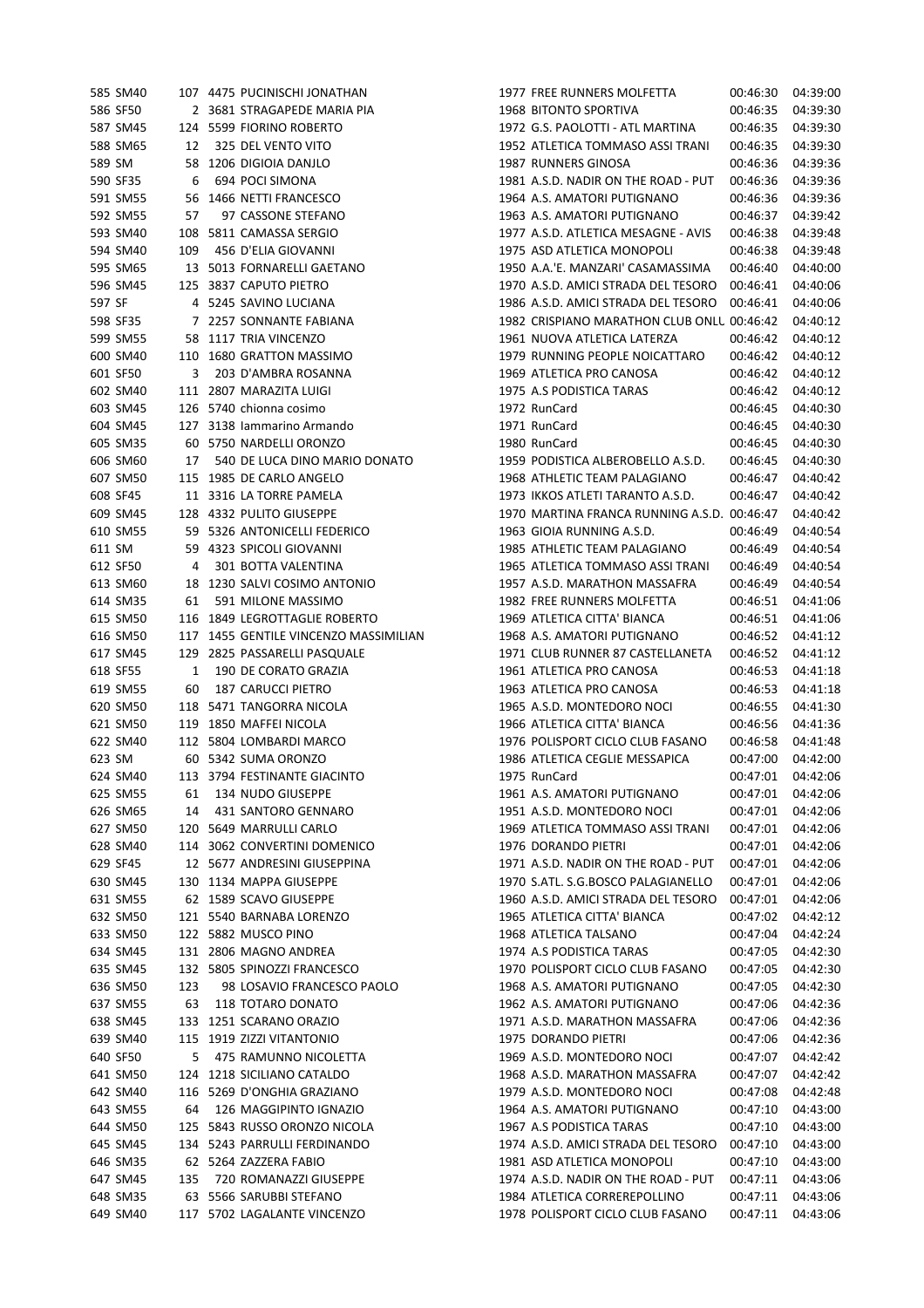|        | 585 SM40 |              | 107 4475 PUCINISCHI JONATHAN          | 1977 FREE RUNNERS MOLFETTA                  | 00:46:30 | 04:39:00 |
|--------|----------|--------------|---------------------------------------|---------------------------------------------|----------|----------|
|        | 586 SF50 |              | 2 3681 STRAGAPEDE MARIA PIA           | 1968 BITONTO SPORTIVA                       | 00:46:35 | 04:39:30 |
|        | 587 SM45 |              | 124 5599 FIORINO ROBERTO              | 1972 G.S. PAOLOTTI - ATL MARTINA            | 00:46:35 | 04:39:30 |
|        | 588 SM65 | 12           | 325 DEL VENTO VITO                    | 1952 ATLETICA TOMMASO ASSI TRANI            | 00:46:35 | 04:39:30 |
| 589 SM |          |              | 58 1206 DIGIOIA DANJLO                | 1987 RUNNERS GINOSA                         | 00:46:36 | 04:39:36 |
|        | 590 SF35 | 6            | 694 POCI SIMONA                       | 1981 A.S.D. NADIR ON THE ROAD - PUT         | 00:46:36 | 04:39:36 |
|        | 591 SM55 |              | 56 1466 NETTI FRANCESCO               | 1964 A.S. AMATORI PUTIGNANO                 | 00:46:36 | 04:39:36 |
|        | 592 SM55 | 57           | 97 CASSONE STEFANO                    | 1963 A.S. AMATORI PUTIGNANO                 | 00:46:37 | 04:39:42 |
|        | 593 SM40 |              | 108 5811 CAMASSA SERGIO               | 1977 A.S.D. ATLETICA MESAGNE - AVIS         | 00:46:38 | 04:39:48 |
|        | 594 SM40 | 109          | 456 D'ELIA GIOVANNI                   | 1975 ASD ATLETICA MONOPOLI                  | 00:46:38 | 04:39:48 |
|        | 595 SM65 |              | 13 5013 FORNARELLI GAETANO            | 1950 A.A.'E. MANZARI' CASAMASSIMA           | 00:46:40 | 04:40:00 |
|        | 596 SM45 |              | 125 3837 CAPUTO PIETRO                | 1970 A.S.D. AMICI STRADA DEL TESORO         | 00:46:41 | 04:40:06 |
| 597 SF |          |              | 4 5245 SAVINO LUCIANA                 | 1986 A.S.D. AMICI STRADA DEL TESORO         | 00:46:41 | 04:40:06 |
|        |          |              |                                       |                                             |          |          |
|        | 598 SF35 |              | 7 2257 SONNANTE FABIANA               | 1982 CRISPIANO MARATHON CLUB ONLL 00:46:42  |          | 04:40:12 |
|        | 599 SM55 |              | 58 1117 TRIA VINCENZO                 | 1961 NUOVA ATLETICA LATERZA                 | 00:46:42 | 04:40:12 |
|        | 600 SM40 |              | 110 1680 GRATTON MASSIMO              | 1979 RUNNING PEOPLE NOICATTARO              | 00:46:42 | 04:40:12 |
|        | 601 SF50 | 3            | 203 D'AMBRA ROSANNA                   | 1969 ATLETICA PRO CANOSA                    | 00:46:42 | 04:40:12 |
|        | 602 SM40 |              | 111 2807 MARAZITA LUIGI               | 1975 A.S PODISTICA TARAS                    | 00:46:42 | 04:40:12 |
|        | 603 SM45 |              | 126 5740 chionna cosimo               | 1972 RunCard                                | 00:46:45 | 04:40:30 |
|        | 604 SM45 |              | 127 3138 Iammarino Armando            | 1971 RunCard                                | 00:46:45 | 04:40:30 |
|        | 605 SM35 |              | 60 5750 NARDELLI ORONZO               | 1980 RunCard                                | 00:46:45 | 04:40:30 |
|        | 606 SM60 | 17           | 540 DE LUCA DINO MARIO DONATO         | 1959 PODISTICA ALBEROBELLO A.S.D.           | 00:46:45 | 04:40:30 |
|        | 607 SM50 |              | 115 1985 DE CARLO ANGELO              | 1968 ATHLETIC TEAM PALAGIANO                | 00:46:47 | 04:40:42 |
|        | 608 SF45 |              | 11 3316 LA TORRE PAMELA               | 1973 IKKOS ATLETI TARANTO A.S.D.            | 00:46:47 | 04:40:42 |
|        | 609 SM45 |              | 128 4332 PULITO GIUSEPPE              | 1970 MARTINA FRANCA RUNNING A.S.D. 00:46:47 |          | 04:40:42 |
|        | 610 SM55 |              | 59 5326 ANTONICELLI FEDERICO          | 1963 GIOIA RUNNING A.S.D.                   | 00:46:49 | 04:40:54 |
| 611 SM |          |              | 59 4323 SPICOLI GIOVANNI              | 1985 ATHLETIC TEAM PALAGIANO                | 00:46:49 | 04:40:54 |
|        | 612 SF50 | 4            | 301 BOTTA VALENTINA                   | 1965 ATLETICA TOMMASO ASSI TRANI            | 00:46:49 | 04:40:54 |
|        | 613 SM60 |              | 18 1230 SALVI COSIMO ANTONIO          | 1957 A.S.D. MARATHON MASSAFRA               | 00:46:49 | 04:40:54 |
|        | 614 SM35 | 61           | 591 MILONE MASSIMO                    | 1982 FREE RUNNERS MOLFETTA                  | 00:46:51 | 04:41:06 |
|        | 615 SM50 |              | 116 1849 LEGROTTAGLIE ROBERTO         | 1969 ATLETICA CITTA' BIANCA                 | 00:46:51 | 04:41:06 |
|        | 616 SM50 |              | 117 1455 GENTILE VINCENZO MASSIMILIAN | 1968 A.S. AMATORI PUTIGNANO                 | 00:46:52 | 04:41:12 |
|        | 617 SM45 |              | 129 2825 PASSARELLI PASQUALE          | 1971 CLUB RUNNER 87 CASTELLANETA            | 00:46:52 | 04:41:12 |
|        | 618 SF55 | $\mathbf{1}$ | 190 DE CORATO GRAZIA                  | 1961 ATLETICA PRO CANOSA                    | 00:46:53 | 04:41:18 |
|        | 619 SM55 | 60           | 187 CARUCCI PIETRO                    | 1963 ATLETICA PRO CANOSA                    | 00:46:53 | 04:41:18 |
|        | 620 SM50 |              |                                       | 1965 A.S.D. MONTEDORO NOCI                  |          |          |
|        |          |              | 118 5471 TANGORRA NICOLA              |                                             | 00:46:55 | 04:41:30 |
|        | 621 SM50 |              | 119 1850 MAFFEI NICOLA                | 1966 ATLETICA CITTA' BIANCA                 | 00:46:56 | 04:41:36 |
|        | 622 SM40 |              | 112 5804 LOMBARDI MARCO               | 1976 POLISPORT CICLO CLUB FASANO            | 00:46:58 | 04:41:48 |
| 623 SM |          |              | 60 5342 SUMA ORONZO                   | 1986 ATLETICA CEGLIE MESSAPICA              | 00:47:00 | 04:42:00 |
|        | 624 SM40 |              | 113 3794 FESTINANTE GIACINTO          | 1975 RunCard                                | 00:47:01 | 04:42:06 |
|        | 625 SM55 | 61           | 134 NUDO GIUSEPPE                     | 1961 A.S. AMATORI PUTIGNANO                 | 00:47:01 | 04:42:06 |
|        | 626 SM65 | 14           | 431 SANTORO GENNARO                   | 1951 A.S.D. MONTEDORO NOCI                  | 00:47:01 | 04:42:06 |
|        | 627 SM50 |              | 120 5649 MARRULLI CARLO               | 1969 ATLETICA TOMMASO ASSI TRANI            | 00:47:01 | 04:42:06 |
|        | 628 SM40 |              | 114 3062 CONVERTINI DOMENICO          | 1976 DORANDO PIETRI                         | 00:47:01 | 04:42:06 |
|        | 629 SF45 |              | 12 5677 ANDRESINI GIUSEPPINA          | 1971 A.S.D. NADIR ON THE ROAD - PUT         | 00:47:01 | 04:42:06 |
|        | 630 SM45 |              | 130 1134 MAPPA GIUSEPPE               | 1970 S.ATL. S.G.BOSCO PALAGIANELLO          | 00:47:01 | 04:42:06 |
|        | 631 SM55 |              | 62 1589 SCAVO GIUSEPPE                | 1960 A.S.D. AMICI STRADA DEL TESORO         | 00:47:01 | 04:42:06 |
|        | 632 SM50 |              | 121 5540 BARNABA LORENZO              | 1965 ATLETICA CITTA' BIANCA                 | 00:47:02 | 04:42:12 |
|        | 633 SM50 |              | 122 5882 MUSCO PINO                   | 1968 ATLETICA TALSANO                       | 00:47:04 | 04:42:24 |
|        | 634 SM45 |              | 131 2806 MAGNO ANDREA                 | 1974 A.S PODISTICA TARAS                    | 00:47:05 | 04:42:30 |
|        | 635 SM45 |              | 132 5805 SPINOZZI FRANCESCO           | 1970 POLISPORT CICLO CLUB FASANO            | 00:47:05 | 04:42:30 |
|        | 636 SM50 | 123          | 98 LOSAVIO FRANCESCO PAOLO            | 1968 A.S. AMATORI PUTIGNANO                 | 00:47:05 | 04:42:30 |
|        | 637 SM55 | 63           | 118 TOTARO DONATO                     | 1962 A.S. AMATORI PUTIGNANO                 | 00:47:06 | 04:42:36 |
|        | 638 SM45 |              | 133 1251 SCARANO ORAZIO               | 1971 A.S.D. MARATHON MASSAFRA               | 00:47:06 | 04:42:36 |
|        | 639 SM40 |              | 115 1919 ZIZZI VITANTONIO             | 1975 DORANDO PIETRI                         | 00:47:06 | 04:42:36 |
|        | 640 SF50 | 5            | 475 RAMUNNO NICOLETTA                 | 1969 A.S.D. MONTEDORO NOCI                  | 00:47:07 | 04:42:42 |
|        | 641 SM50 |              | 124 1218 SICILIANO CATALDO            | 1968 A.S.D. MARATHON MASSAFRA               | 00:47:07 | 04:42:42 |
|        | 642 SM40 |              | 116 5269 D'ONGHIA GRAZIANO            | 1979 A.S.D. MONTEDORO NOCI                  | 00:47:08 | 04:42:48 |
|        | 643 SM55 | 64           | 126 MAGGIPINTO IGNAZIO                | 1964 A.S. AMATORI PUTIGNANO                 | 00:47:10 | 04:43:00 |
|        | 644 SM50 |              | 125 5843 RUSSO ORONZO NICOLA          | 1967 A.S PODISTICA TARAS                    | 00:47:10 | 04:43:00 |
|        |          |              |                                       |                                             |          |          |
|        | 645 SM45 |              | 134 5243 PARRULLI FERDINANDO          | 1974 A.S.D. AMICI STRADA DEL TESORO         | 00:47:10 | 04:43:00 |
|        | 646 SM35 |              | 62 5264 ZAZZERA FABIO                 | 1981 ASD ATLETICA MONOPOLI                  | 00:47:10 | 04:43:00 |
|        | 647 SM45 | 135          | 720 ROMANAZZI GIUSEPPE                | 1974 A.S.D. NADIR ON THE ROAD - PUT         | 00:47:11 | 04:43:06 |
|        | 648 SM35 |              | 63 5566 SARUBBI STEFANO               | 1984 ATLETICA CORREREPOLLINO                | 00:47:11 | 04:43:06 |
|        | 649 SM40 |              | 117 5702 LAGALANTE VINCENZO           | 1978 POLISPORT CICLO CLUB FASANO            | 00:47:11 | 04:43:06 |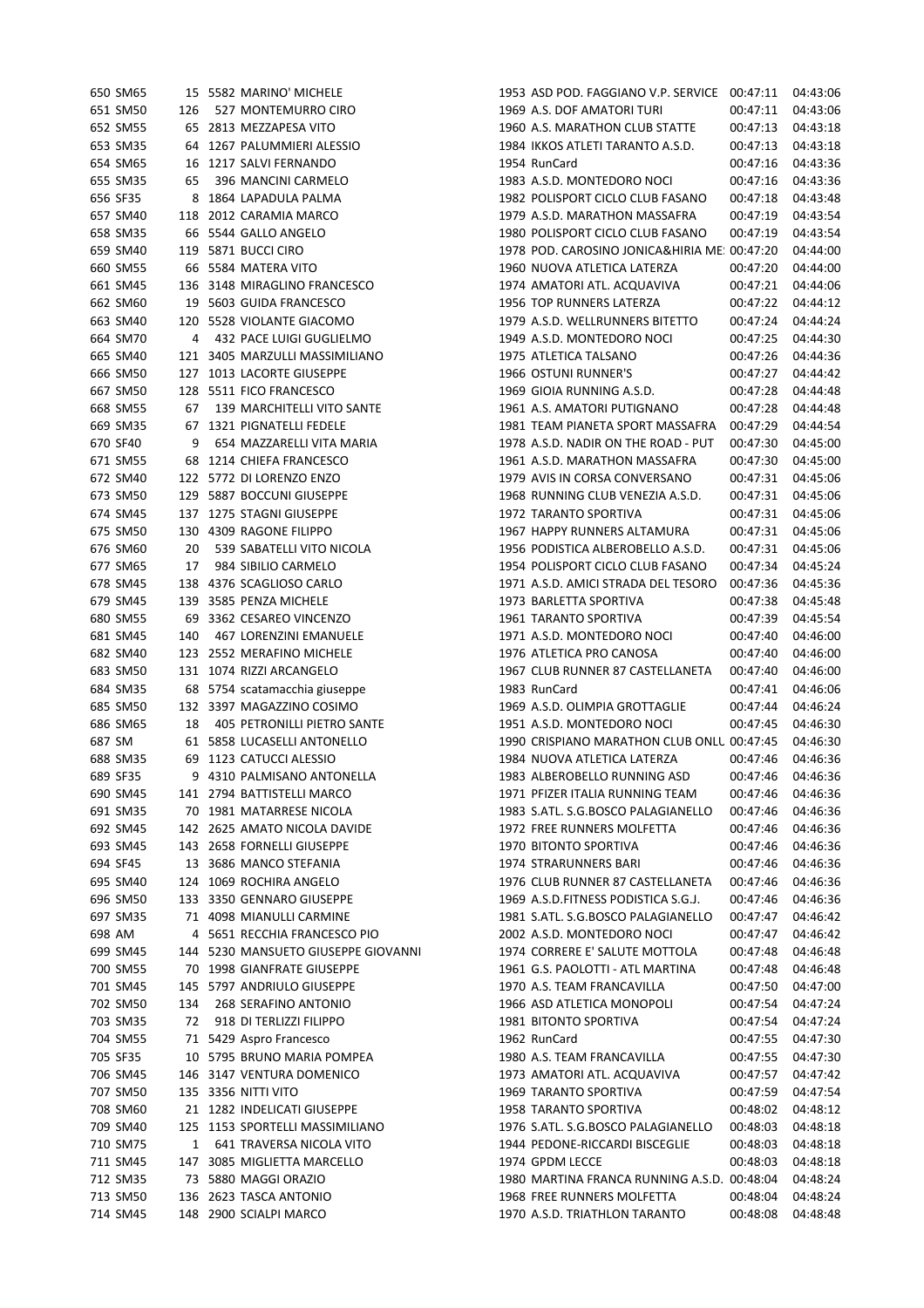|          | 650 SM65             |     | 15 5582 MARINO' MICHELE                         | 1953 ASD POD. FAGGIANO V.P. SERVICE 00:47:11 |                      | 04:43:06 |
|----------|----------------------|-----|-------------------------------------------------|----------------------------------------------|----------------------|----------|
|          | 651 SM50             | 126 | 527 MONTEMURRO CIRO                             | 1969 A.S. DOF AMATORI TURI                   | 00:47:11             | 04:43:06 |
|          | 652 SM55             |     | 65 2813 MEZZAPESA VITO                          | 1960 A.S. MARATHON CLUB STATTE               | 00:47:13             | 04:43:18 |
|          | 653 SM35             |     | 64 1267 PALUMMIERI ALESSIO                      | 1984 IKKOS ATLETI TARANTO A.S.D.             | 00:47:13             | 04:43:18 |
|          | 654 SM65             |     | 16 1217 SALVI FERNANDO                          | 1954 RunCard                                 | 00:47:16             | 04:43:36 |
|          | 655 SM35             | 65  | 396 MANCINI CARMELO                             | 1983 A.S.D. MONTEDORO NOCI                   | 00:47:16             | 04:43:36 |
|          | 656 SF35             |     | 8 1864 LAPADULA PALMA                           | 1982 POLISPORT CICLO CLUB FASANO             | 00:47:18             | 04:43:48 |
|          | 657 SM40             |     | 118 2012 CARAMIA MARCO                          | 1979 A.S.D. MARATHON MASSAFRA                | 00:47:19             | 04:43:54 |
|          | 658 SM35             |     | 66 5544 GALLO ANGELO                            | 1980 POLISPORT CICLO CLUB FASANO             | 00:47:19             | 04:43:54 |
|          | 659 SM40             |     | 119 5871 BUCCI CIRO                             | 1978 POD. CAROSINO JONICA&HIRIA ME: 00:47:20 |                      | 04:44:00 |
|          | 660 SM55             |     | 66 5584 MATERA VITO                             | 1960 NUOVA ATLETICA LATERZA                  | 00:47:20             | 04:44:00 |
|          | 661 SM45             |     | 136 3148 MIRAGLINO FRANCESCO                    | 1974 AMATORI ATL. ACQUAVIVA                  | 00:47:21             | 04:44:06 |
|          | 662 SM60             |     | 19 5603 GUIDA FRANCESCO                         | 1956 TOP RUNNERS LATERZA                     | 00:47:22             | 04:44:12 |
|          | 663 SM40             |     | 120 5528 VIOLANTE GIACOMO                       | 1979 A.S.D. WELLRUNNERS BITETTO              | 00:47:24             | 04:44:24 |
|          | 664 SM70             | 4   | 432 PACE LUIGI GUGLIELMO                        | 1949 A.S.D. MONTEDORO NOCI                   | 00:47:25             | 04:44:30 |
|          | 665 SM40             |     | 121 3405 MARZULLI MASSIMILIANO                  | 1975 ATLETICA TALSANO                        | 00:47:26             | 04:44:36 |
|          | 666 SM50             |     | 127 1013 LACORTE GIUSEPPE                       | 1966 OSTUNI RUNNER'S                         | 00:47:27             | 04:44:42 |
|          | 667 SM50             |     | 128 5511 FICO FRANCESCO                         | 1969 GIOIA RUNNING A.S.D.                    | 00:47:28             | 04:44:48 |
|          | 668 SM55             | 67  | 139 MARCHITELLI VITO SANTE                      | 1961 A.S. AMATORI PUTIGNANO                  | 00:47:28             | 04:44:48 |
|          | 669 SM35             |     | 67 1321 PIGNATELLI FEDELE                       | 1981 TEAM PIANETA SPORT MASSAFRA             | 00:47:29             | 04:44:54 |
|          | 670 SF40             | 9   | 654 MAZZARELLI VITA MARIA                       | 1978 A.S.D. NADIR ON THE ROAD - PUT          | 00:47:30             | 04:45:00 |
|          | 671 SM55             |     | 68 1214 CHIEFA FRANCESCO                        | 1961 A.S.D. MARATHON MASSAFRA                | 00:47:30             | 04:45:00 |
|          | 672 SM40             |     | 122 5772 DI LORENZO ENZO                        | 1979 AVIS IN CORSA CONVERSANO                | 00:47:31             | 04:45:06 |
|          | 673 SM50             |     | 129 5887 BOCCUNI GIUSEPPE                       | 1968 RUNNING CLUB VENEZIA A.S.D.             | 00:47:31             | 04:45:06 |
|          | 674 SM45             |     | 137 1275 STAGNI GIUSEPPE                        | 1972 TARANTO SPORTIVA                        | 00:47:31             | 04:45:06 |
|          | 675 SM50             |     | 130 4309 RAGONE FILIPPO                         | 1967 HAPPY RUNNERS ALTAMURA                  | 00:47:31             | 04:45:06 |
|          | 676 SM60             | 20  | 539 SABATELLI VITO NICOLA                       | 1956 PODISTICA ALBEROBELLO A.S.D.            | 00:47:31             | 04:45:06 |
|          |                      |     |                                                 |                                              |                      |          |
|          | 677 SM65<br>678 SM45 | 17  | 984 SIBILIO CARMELO<br>138 4376 SCAGLIOSO CARLO | 1954 POLISPORT CICLO CLUB FASANO             | 00:47:34<br>00:47:36 | 04:45:24 |
|          |                      |     |                                                 | 1971 A.S.D. AMICI STRADA DEL TESORO          |                      | 04:45:36 |
|          | 679 SM45             |     | 139 3585 PENZA MICHELE                          | 1973 BARLETTA SPORTIVA                       | 00:47:38             | 04:45:48 |
|          | 680 SM55             |     | 69 3362 CESAREO VINCENZO                        | 1961 TARANTO SPORTIVA                        | 00:47:39             | 04:45:54 |
|          | 681 SM45             | 140 | 467 LORENZINI EMANUELE                          | 1971 A.S.D. MONTEDORO NOCI                   | 00:47:40             | 04:46:00 |
|          | 682 SM40             |     | 123 2552 MERAFINO MICHELE                       | 1976 ATLETICA PRO CANOSA                     | 00:47:40             | 04:46:00 |
|          | 683 SM50             |     | 131 1074 RIZZI ARCANGELO                        | 1967 CLUB RUNNER 87 CASTELLANETA             | 00:47:40             | 04:46:00 |
|          | 684 SM35             |     | 68 5754 scatamacchia giuseppe                   | 1983 RunCard                                 | 00:47:41             | 04:46:06 |
|          | 685 SM50             |     | 132 3397 MAGAZZINO COSIMO                       | 1969 A.S.D. OLIMPIA GROTTAGLIE               | 00:47:44             | 04:46:24 |
|          | 686 SM65             | 18  | 405 PETRONILLI PIETRO SANTE                     | 1951 A.S.D. MONTEDORO NOCI                   | 00:47:45             | 04:46:30 |
| 687 SM   |                      |     | 61 5858 LUCASELLI ANTONELLO                     | 1990 CRISPIANO MARATHON CLUB ONLU 00:47:45   |                      | 04:46:30 |
|          | 688 SM35             |     | 69 1123 CATUCCI ALESSIO                         | 1984 NUOVA ATLETICA LATERZA                  | 00:47:46             | 04:46:36 |
|          | 689 SF35             |     | 9 4310 PALMISANO ANTONELLA                      | 1983 ALBEROBELLO RUNNING ASD                 | 00:47:46             | 04:46:36 |
|          | 690 SM45             |     | 141 2794 BATTISTELLI MARCO                      | 1971 PFIZER ITALIA RUNNING TEAM              | 00:47:46             | 04:46:36 |
|          | 691 SM35             |     | 70 1981 MATARRESE NICOLA                        | 1983 S.ATL, S.G.BOSCO PALAGIANELLO           | 00:47:46             | 04:46:36 |
|          | 692 SM45             |     | 142 2625 AMATO NICOLA DAVIDE                    | 1972 FREE RUNNERS MOLFETTA                   | 00:47:46             | 04:46:36 |
|          | 693 SM45             |     | 143 2658 FORNELLI GIUSEPPE                      | 1970 BITONTO SPORTIVA                        | 00:47:46             | 04:46:36 |
|          | 694 SF45             |     | 13 3686 MANCO STEFANIA                          | 1974 STRARUNNERS BARI                        | 00:47:46             | 04:46:36 |
|          | 695 SM40             |     | 124 1069 ROCHIRA ANGELO                         | 1976 CLUB RUNNER 87 CASTELLANETA             | 00:47:46             | 04:46:36 |
|          | 696 SM50             |     | 133 3350 GENNARO GIUSEPPE                       | 1969 A.S.D.FITNESS PODISTICA S.G.J.          | 00:47:46             | 04:46:36 |
|          | 697 SM35             |     | 71 4098 MIANULLI CARMINE                        | 1981 S.ATL. S.G.BOSCO PALAGIANELLO           | 00:47:47             | 04:46:42 |
| 698 AM   |                      |     | 4 5651 RECCHIA FRANCESCO PIO                    | 2002 A.S.D. MONTEDORO NOCI                   | 00:47:47             | 04:46:42 |
|          | 699 SM45             |     | 144 5230 MANSUETO GIUSEPPE GIOVANNI             | 1974 CORRERE E' SALUTE MOTTOLA               | 00:47:48             | 04:46:48 |
| 700 SM55 |                      |     | 70 1998 GIANFRATE GIUSEPPE                      |                                              |                      | 04:46:48 |
|          |                      |     |                                                 | 1961 G.S. PAOLOTTI - ATL MARTINA             | 00:47:48             |          |
|          | 701 SM45             |     | 145 5797 ANDRIULO GIUSEPPE                      | 1970 A.S. TEAM FRANCAVILLA                   | 00:47:50             | 04:47:00 |
|          | 702 SM50             | 134 | 268 SERAFINO ANTONIO                            | 1966 ASD ATLETICA MONOPOLI                   | 00:47:54             | 04:47:24 |
|          | 703 SM35             | 72  | 918 DI TERLIZZI FILIPPO                         | 1981 BITONTO SPORTIVA                        | 00:47:54             | 04:47:24 |
|          | 704 SM55             |     | 71 5429 Aspro Francesco                         | 1962 RunCard                                 | 00:47:55             | 04:47:30 |
|          | 705 SF35             |     | 10 5795 BRUNO MARIA POMPEA                      | 1980 A.S. TEAM FRANCAVILLA                   | 00:47:55             | 04:47:30 |
|          | 706 SM45             |     | 146 3147 VENTURA DOMENICO                       | 1973 AMATORI ATL. ACQUAVIVA                  | 00:47:57             | 04:47:42 |
|          | 707 SM50             |     | 135 3356 NITTI VITO                             | 1969 TARANTO SPORTIVA                        | 00:47:59             | 04:47:54 |
|          | 708 SM60             |     | 21 1282 INDELICATI GIUSEPPE                     | 1958 TARANTO SPORTIVA                        | 00:48:02             | 04:48:12 |
|          | 709 SM40             |     | 125 1153 SPORTELLI MASSIMILIANO                 | 1976 S.ATL. S.G.BOSCO PALAGIANELLO           | 00:48:03             | 04:48:18 |
|          | 710 SM75             | 1   | 641 TRAVERSA NICOLA VITO                        | 1944 PEDONE-RICCARDI BISCEGLIE               | 00:48:03             | 04:48:18 |
|          | 711 SM45             |     | 147 3085 MIGLIETTA MARCELLO                     | 1974 GPDM LECCE                              | 00:48:03             | 04:48:18 |
|          | 712 SM35             |     | 73 5880 MAGGI ORAZIO                            | 1980 MARTINA FRANCA RUNNING A.S.D. 00:48:04  |                      | 04:48:24 |
|          | 713 SM50             |     | 136 2623 TASCA ANTONIO                          | 1968 FREE RUNNERS MOLFETTA                   | 00:48:04             | 04:48:24 |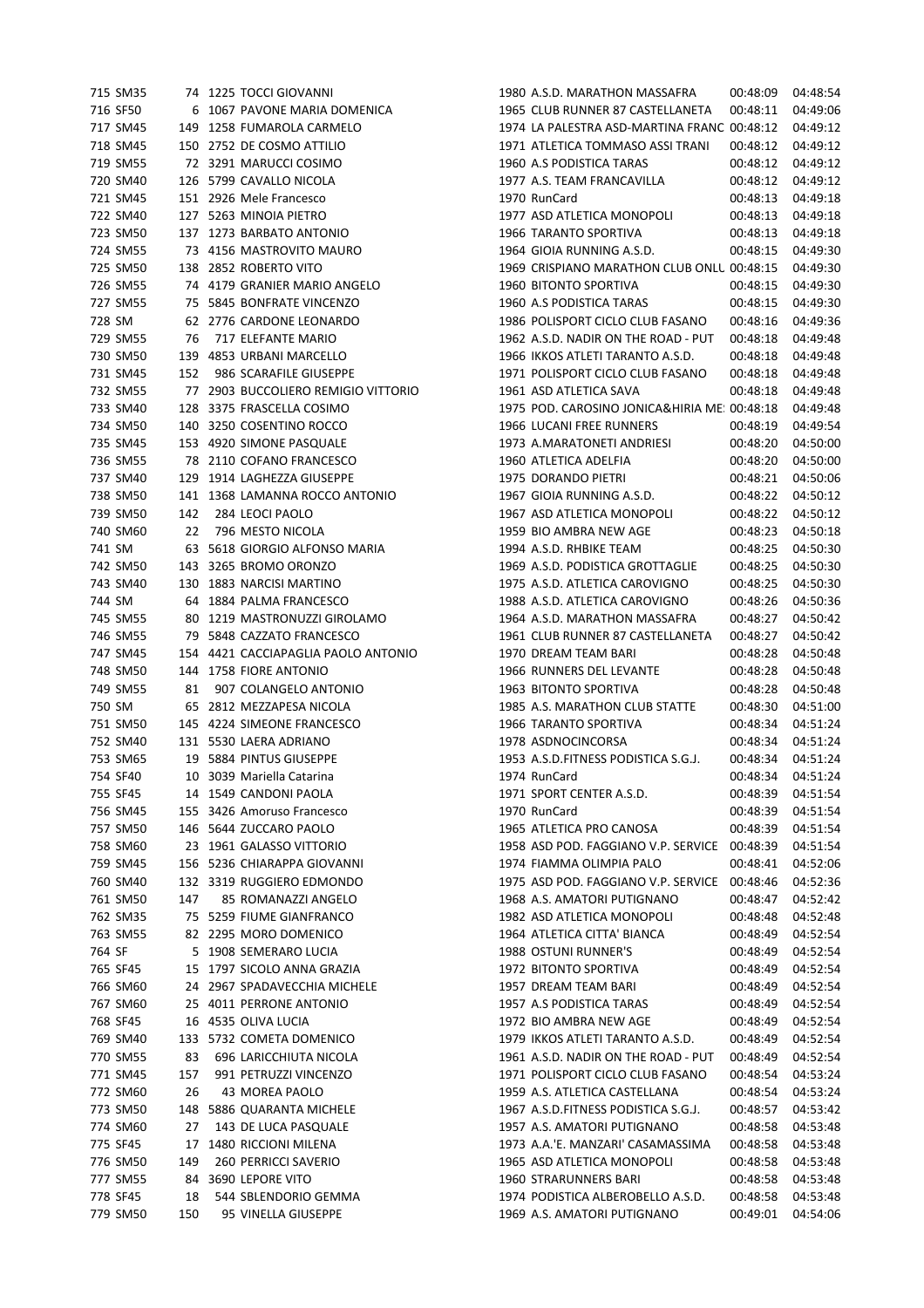|        | 715 SM35 |     | 74 1225 TOCCI GIOVANNI              | 1980 A.S.D. MARATHON MASSAFRA                | 00:48:09 | 04:48:54 |
|--------|----------|-----|-------------------------------------|----------------------------------------------|----------|----------|
|        | 716 SF50 |     | 6 1067 PAVONE MARIA DOMENICA        | 1965 CLUB RUNNER 87 CASTELLANETA             | 00:48:11 | 04:49:06 |
|        | 717 SM45 |     | 149 1258 FUMAROLA CARMELO           | 1974 LA PALESTRA ASD-MARTINA FRANC 00:48:12  |          | 04:49:12 |
|        | 718 SM45 |     | 150 2752 DE COSMO ATTILIO           | 1971 ATLETICA TOMMASO ASSI TRANI             | 00:48:12 | 04:49:12 |
|        | 719 SM55 |     | 72 3291 MARUCCI COSIMO              | 1960 A.S PODISTICA TARAS                     | 00:48:12 | 04:49:12 |
|        | 720 SM40 |     | 126 5799 CAVALLO NICOLA             | 1977 A.S. TEAM FRANCAVILLA                   | 00:48:12 | 04:49:12 |
|        | 721 SM45 |     | 151 2926 Mele Francesco             | 1970 RunCard                                 | 00:48:13 | 04:49:18 |
|        | 722 SM40 |     | 127 5263 MINOIA PIETRO              | 1977 ASD ATLETICA MONOPOLI                   | 00:48:13 | 04:49:18 |
|        | 723 SM50 |     | 137 1273 BARBATO ANTONIO            | 1966 TARANTO SPORTIVA                        | 00:48:13 | 04:49:18 |
|        | 724 SM55 |     | 73 4156 MASTROVITO MAURO            | 1964 GIOIA RUNNING A.S.D.                    | 00:48:15 | 04:49:30 |
|        | 725 SM50 |     | 138 2852 ROBERTO VITO               | 1969 CRISPIANO MARATHON CLUB ONLU 00:48:15   |          | 04:49:30 |
|        | 726 SM55 |     | 74 4179 GRANIER MARIO ANGELO        | 1960 BITONTO SPORTIVA                        | 00:48:15 | 04:49:30 |
|        | 727 SM55 |     | 75 5845 BONFRATE VINCENZO           | 1960 A.S PODISTICA TARAS                     | 00:48:15 | 04:49:30 |
|        | 728 SM   |     | 62 2776 CARDONE LEONARDO            | 1986 POLISPORT CICLO CLUB FASANO             | 00:48:16 | 04:49:36 |
|        | 729 SM55 | 76  | 717 ELEFANTE MARIO                  | 1962 A.S.D. NADIR ON THE ROAD - PUT          | 00:48:18 | 04:49:48 |
|        | 730 SM50 |     | 139 4853 URBANI MARCELLO            | 1966 IKKOS ATLETI TARANTO A.S.D.             | 00:48:18 | 04:49:48 |
|        | 731 SM45 | 152 | 986 SCARAFILE GIUSEPPE              | 1971 POLISPORT CICLO CLUB FASANO             | 00:48:18 | 04:49:48 |
|        | 732 SM55 |     | 77 2903 BUCCOLIERO REMIGIO VITTORIO | 1961 ASD ATLETICA SAVA                       | 00:48:18 | 04:49:48 |
|        | 733 SM40 |     | 128 3375 FRASCELLA COSIMO           | 1975 POD. CAROSINO JONICA&HIRIA ME: 00:48:18 |          | 04:49:48 |
|        | 734 SM50 |     | 140 3250 COSENTINO ROCCO            | 1966 LUCANI FREE RUNNERS                     | 00:48:19 | 04:49:54 |
|        | 735 SM45 |     | 153 4920 SIMONE PASQUALE            | 1973 A.MARATONETI ANDRIESI                   | 00:48:20 | 04:50:00 |
|        | 736 SM55 |     | 78 2110 COFANO FRANCESCO            | 1960 ATLETICA ADELFIA                        | 00:48:20 | 04:50:00 |
|        | 737 SM40 |     | 129 1914 LAGHEZZA GIUSEPPE          | 1975 DORANDO PIETRI                          | 00:48:21 | 04:50:06 |
|        | 738 SM50 |     | 141 1368 LAMANNA ROCCO ANTONIO      | 1967 GIOIA RUNNING A.S.D.                    | 00:48:22 | 04:50:12 |
|        | 739 SM50 | 142 | 284 LEOCI PAOLO                     | 1967 ASD ATLETICA MONOPOLI                   | 00:48:22 | 04:50:12 |
|        | 740 SM60 | 22  | 796 MESTO NICOLA                    | 1959 BIO AMBRA NEW AGE                       | 00:48:23 | 04:50:18 |
|        | 741 SM   |     | 63 5618 GIORGIO ALFONSO MARIA       | 1994 A.S.D. RHBIKE TEAM                      | 00:48:25 | 04:50:30 |
|        | 742 SM50 |     | 143 3265 BROMO ORONZO               | 1969 A.S.D. PODISTICA GROTTAGLIE             | 00:48:25 | 04:50:30 |
|        | 743 SM40 |     | 130 1883 NARCISI MARTINO            | 1975 A.S.D. ATLETICA CAROVIGNO               | 00:48:25 | 04:50:30 |
|        | 744 SM   |     | 64 1884 PALMA FRANCESCO             | 1988 A.S.D. ATLETICA CAROVIGNO               | 00:48:26 | 04:50:36 |
|        | 745 SM55 |     | 80 1219 MASTRONUZZI GIROLAMO        | 1964 A.S.D. MARATHON MASSAFRA                | 00:48:27 | 04:50:42 |
|        | 746 SM55 |     | 79 5848 CAZZATO FRANCESCO           | 1961 CLUB RUNNER 87 CASTELLANETA             | 00:48:27 | 04:50:42 |
|        | 747 SM45 |     | 154 4421 CACCIAPAGLIA PAOLO ANTONIO | 1970 DREAM TEAM BARI                         | 00:48:28 | 04:50:48 |
|        | 748 SM50 |     | 144 1758 FIORE ANTONIO              | 1966 RUNNERS DEL LEVANTE                     | 00:48:28 | 04:50:48 |
|        | 749 SM55 | 81  | 907 COLANGELO ANTONIO               | 1963 BITONTO SPORTIVA                        | 00:48:28 | 04:50:48 |
|        | 750 SM   |     | 65 2812 MEZZAPESA NICOLA            | 1985 A.S. MARATHON CLUB STATTE               | 00:48:30 | 04:51:00 |
|        | 751 SM50 |     | 145 4224 SIMEONE FRANCESCO          | 1966 TARANTO SPORTIVA                        | 00:48:34 | 04:51:24 |
|        | 752 SM40 |     | 131 5530 LAERA ADRIANO              | 1978 ASDNOCINCORSA                           | 00:48:34 | 04:51:24 |
|        | 753 SM65 |     | 19 5884 PINTUS GIUSEPPE             | 1953 A.S.D.FITNESS PODISTICA S.G.J.          | 00:48:34 | 04:51:24 |
|        | 754 SF40 |     | 10 3039 Mariella Catarina           | 1974 RunCard                                 | 00:48:34 | 04:51:24 |
|        | 755 SF45 |     | 14 1549 CANDONI PAOLA               | 1971 SPORT CENTER A.S.D.                     | 00:48:39 | 04:51:54 |
|        | 756 SM45 |     | 155 3426 Amoruso Francesco          | 1970 RunCard                                 | 00:48:39 | 04:51:54 |
|        | 757 SM50 |     | 146 5644 ZUCCARO PAOLO              | 1965 ATLETICA PRO CANOSA                     | 00:48:39 | 04:51:54 |
|        | 758 SM60 |     | 23 1961 GALASSO VITTORIO            | 1958 ASD POD. FAGGIANO V.P. SERVICE          | 00:48:39 | 04:51:54 |
|        | 759 SM45 |     | 156 5236 CHIARAPPA GIOVANNI         | 1974 FIAMMA OLIMPIA PALO                     | 00:48:41 | 04:52:06 |
|        | 760 SM40 |     | 132 3319 RUGGIERO EDMONDO           | 1975 ASD POD. FAGGIANO V.P. SERVICE          | 00:48:46 | 04:52:36 |
|        | 761 SM50 | 147 | 85 ROMANAZZI ANGELO                 | 1968 A.S. AMATORI PUTIGNANO                  | 00:48:47 | 04:52:42 |
|        | 762 SM35 |     | 75 5259 FIUME GIANFRANCO            | 1982 ASD ATLETICA MONOPOLI                   | 00:48:48 | 04:52:48 |
|        | 763 SM55 |     | 82 2295 MORO DOMENICO               | 1964 ATLETICA CITTA' BIANCA                  | 00:48:49 | 04:52:54 |
| 764 SF |          |     | 5 1908 SEMERARO LUCIA               | 1988 OSTUNI RUNNER'S                         | 00:48:49 | 04:52:54 |
|        | 765 SF45 |     | 15 1797 SICOLO ANNA GRAZIA          | 1972 BITONTO SPORTIVA                        | 00:48:49 | 04:52:54 |
|        | 766 SM60 |     | 24 2967 SPADAVECCHIA MICHELE        | 1957 DREAM TEAM BARI                         | 00:48:49 | 04:52:54 |
|        | 767 SM60 |     | 25 4011 PERRONE ANTONIO             | 1957 A.S PODISTICA TARAS                     | 00:48:49 | 04:52:54 |
|        | 768 SF45 |     | 16 4535 OLIVA LUCIA                 | 1972 BIO AMBRA NEW AGE                       | 00:48:49 | 04:52:54 |
|        | 769 SM40 |     | 133 5732 COMETA DOMENICO            | 1979 IKKOS ATLETI TARANTO A.S.D.             | 00:48:49 | 04:52:54 |
|        | 770 SM55 | 83  | 696 LARICCHIUTA NICOLA              | 1961 A.S.D. NADIR ON THE ROAD - PUT          | 00:48:49 | 04:52:54 |
|        | 771 SM45 | 157 | 991 PETRUZZI VINCENZO               | 1971 POLISPORT CICLO CLUB FASANO             | 00:48:54 | 04:53:24 |
|        | 772 SM60 | 26  | 43 MOREA PAOLO                      | 1959 A.S. ATLETICA CASTELLANA                | 00:48:54 | 04:53:24 |
|        | 773 SM50 |     | 148 5886 QUARANTA MICHELE           | 1967 A.S.D.FITNESS PODISTICA S.G.J.          | 00:48:57 | 04:53:42 |
|        | 774 SM60 | 27  | 143 DE LUCA PASQUALE                | 1957 A.S. AMATORI PUTIGNANO                  | 00:48:58 | 04:53:48 |
|        | 775 SF45 |     | 17 1480 RICCIONI MILENA             | 1973 A.A.'E. MANZARI' CASAMASSIMA            | 00:48:58 | 04:53:48 |
|        | 776 SM50 | 149 | 260 PERRICCI SAVERIO                | 1965 ASD ATLETICA MONOPOLI                   | 00:48:58 | 04:53:48 |
|        | 777 SM55 |     | 84 3690 LEPORE VITO                 | 1960 STRARUNNERS BARI                        | 00:48:58 | 04:53:48 |
|        | 778 SF45 | 18  | 544 SBLENDORIO GEMMA                | 1974 PODISTICA ALBEROBELLO A.S.D.            | 00:48:58 | 04:53:48 |
|        | 779 SM50 | 150 | 95 VINELLA GIUSEPPE                 | 1969 A.S. AMATORI PUTIGNANO                  | 00:49:01 | 04:54:06 |
|        |          |     |                                     |                                              |          |          |

| 180 A.S.D. MARATHON MASSAFRA                             | 00:48:09             | 04:48:54             |
|----------------------------------------------------------|----------------------|----------------------|
| 165 CLUB RUNNER 87 CASTELLANETA                          | 00:48:11             | 04:49:06             |
| 74 LA PALESTRA ASD-MARTINA FRANC                         | 00:48:12             | 04:49:12             |
| 171 ATLETICA TOMMASO ASSI TRANI                          | 00:48:12             | 04:49:12             |
| 160 A.S PODISTICA TARAS                                  | 00:48:12             | 04:49:12             |
| 77 A.S. TEAM FRANCAVILLA                                 | 00:48:12             | 04:49:12             |
| 170 RunCard                                              | 00:48:13             | 04:49:18             |
| 177 ASD ATLETICA MONOPOLI                                | 00:48:13             | 04:49:18             |
| 166 TARANTO SPORTIVA                                     | 00:48:13             | 04:49:18             |
| <b>164 GIOIA RUNNING A.S.D.</b>                          | 00:48:15             | 04:49:30             |
| 69 CRISPIANO MARATHON CLUB ONLL 00:48:15                 |                      | 04:49:30             |
| 160 BITONTO SPORTIVA                                     | 00:48:15             | 04:49:30             |
| 160 A.S PODISTICA TARAS                                  | 00:48:15             | 04:49:30             |
| 186 POLISPORT CICLO CLUB FASANO                          | 00:48:16             | 04:49:36             |
| 062 A.S.D. NADIR ON THE ROAD - PUT                       | 00:48:18             | 04:49:48             |
| 166 IKKOS ATLETI TARANTO A.S.D.                          | 00:48:18             | 04:49:48             |
| 171 POLISPORT CICLO CLUB FASANO                          | 00:48:18             | 04:49:48             |
| <b>161 ASD ATLETICA SAVA</b>                             | 00:48:18             | 04:49:48             |
| 75 POD. CAROSINO JONICA&HIRIA ME: 00:48:18               |                      | 04:49:48             |
| 166 LUCANI FREE RUNNERS                                  | 00:48:19             | 04:49:54             |
| 173 A.MARATONETI ANDRIESI                                | 00:48:20             | 04:50:00             |
| <b>160 ATLETICA ADELFIA</b>                              | 00:48:20             | 04:50:00             |
| 175 DORANDO PIETRI                                       | 00:48:21             | 04:50:06             |
| 167 GIOIA RUNNING A.S.D.                                 | 00:48:22             | 04:50:12             |
| 67 ASD ATLETICA MONOPOLI<br><b>959 BIO AMBRA NEW AGE</b> | 00:48:22             | 04:50:12             |
| 194 A.S.D. RHBIKE TEAM                                   | 00:48:23<br>00:48:25 | 04:50:18<br>04:50:30 |
| 169 A.S.D. PODISTICA GROTTAGLIE                          | 00:48:25             | 04:50:30             |
| 75 A.S.D. ATLETICA CAROVIGNO                             | 00:48:25             | 04:50:30             |
| 188 A.S.D. ATLETICA CAROVIGNO                            | 00:48:26             | 04:50:36             |
| 164 A.S.D. MARATHON MASSAFRA                             | 00:48:27             | 04:50:42             |
| 161 CLUB RUNNER 87 CASTELLANETA                          | 00:48:27             | 04:50:42             |
| 170 DREAM TEAM BARI                                      | 00:48:28             | 04:50:48             |
| 166 RUNNERS DEL LEVANTE                                  | 00:48:28             | 04:50:48             |
| 163 BITONTO SPORTIVA                                     | 00:48:28             | 04:50:48             |
| 85 A.S. MARATHON CLUB STATTE                             | 00:48:30             | 04:51:00             |
| 166 TARANTO SPORTIVA                                     | 00:48:34             | 04:51:24             |
| 178 ASDNOCINCORSA                                        | 00:48:34             | 04:51:24             |
| <b>953 A.S.D.FITNESS PODISTICA S.G.J.</b>                | 00:48:34             | 04:51:24             |
| 74 RunCard                                               | 00:48:34             | 04:51:24             |
| 171 SPORT CENTER A.S.D.                                  | 00:48:39             | 04:51:54             |
| 170 RunCard                                              | 00:48:39             | 04:51:54             |
| 65 ATLETICA PRO CANOSA                                   | 00:48:39             | 04:51:54             |
| 358 ASD POD. FAGGIANO V.P. SERVICE                       | 00:48:39             | 04:51:54             |
| 74 FIAMMA OLIMPIA PALO                                   | 00:48:41             | 04:52:06             |
| 75 ASD POD. FAGGIANO V.P. SERVICE                        | 00:48:46             | 04:52:36             |
| 68 A.S. AMATORI PUTIGNANO                                | 00:48:47             | 04:52:42             |
| 82 ASD ATLETICA MONOPOLI                                 | 00:48:48             | 04:52:48             |
| 164 ATLETICA CITTA' BIANCA                               | 00:48:49             | 04:52:54             |
| <b>88 OSTUNI RUNNER'S</b>                                | 00:48:49             | 04:52:54             |
| 72 BITONTO SPORTIVA                                      | 00:48:49             | 04:52:54             |
| 357 DREAM TEAM BARI                                      | 00:48:49             | 04:52:54             |
| <b>157 A.S PODISTICA TARAS</b>                           | 00:48:49             | 04:52:54             |
| 72 BIO AMBRA NEW AGE                                     | 00:48:49             | 04:52:54             |
| 179 IKKOS ATLETI TARANTO A.S.D.                          | 00:48:49             | 04:52:54             |
| 061 A.S.D. NADIR ON THE ROAD - PUT                       | 00:48:49             | 04:52:54             |
| 71 POLISPORT CICLO CLUB FASANO                           | 00:48:54             | 04:53:24             |
| 159 A.S. ATLETICA CASTELLANA                             | 00:48:54             | 04:53:24             |
| 067 A.S.D.FITNESS PODISTICA S.G.J.                       | 00:48:57             | 04:53:42             |
| 357 A.S. AMATORI PUTIGNANO                               | 00:48:58             | 04:53:48             |
| 173 A.A.'E. MANZARI' CASAMASSIMA                         | 00:48:58             | 04:53:48             |
| 165 ASD ATLETICA MONOPOLI                                | 00:48:58             | 04:53:48             |
| 160 STRARUNNERS BARI                                     | 00:48:58             | 04:53:48             |
| 174 PODISTICA ALBEROBELLO A.S.D.                         | 00:48:58             | 04:53:48             |
| 69 A.S. AMATORI PUTIGNANO                                | 00:49:01             | 04:54:06             |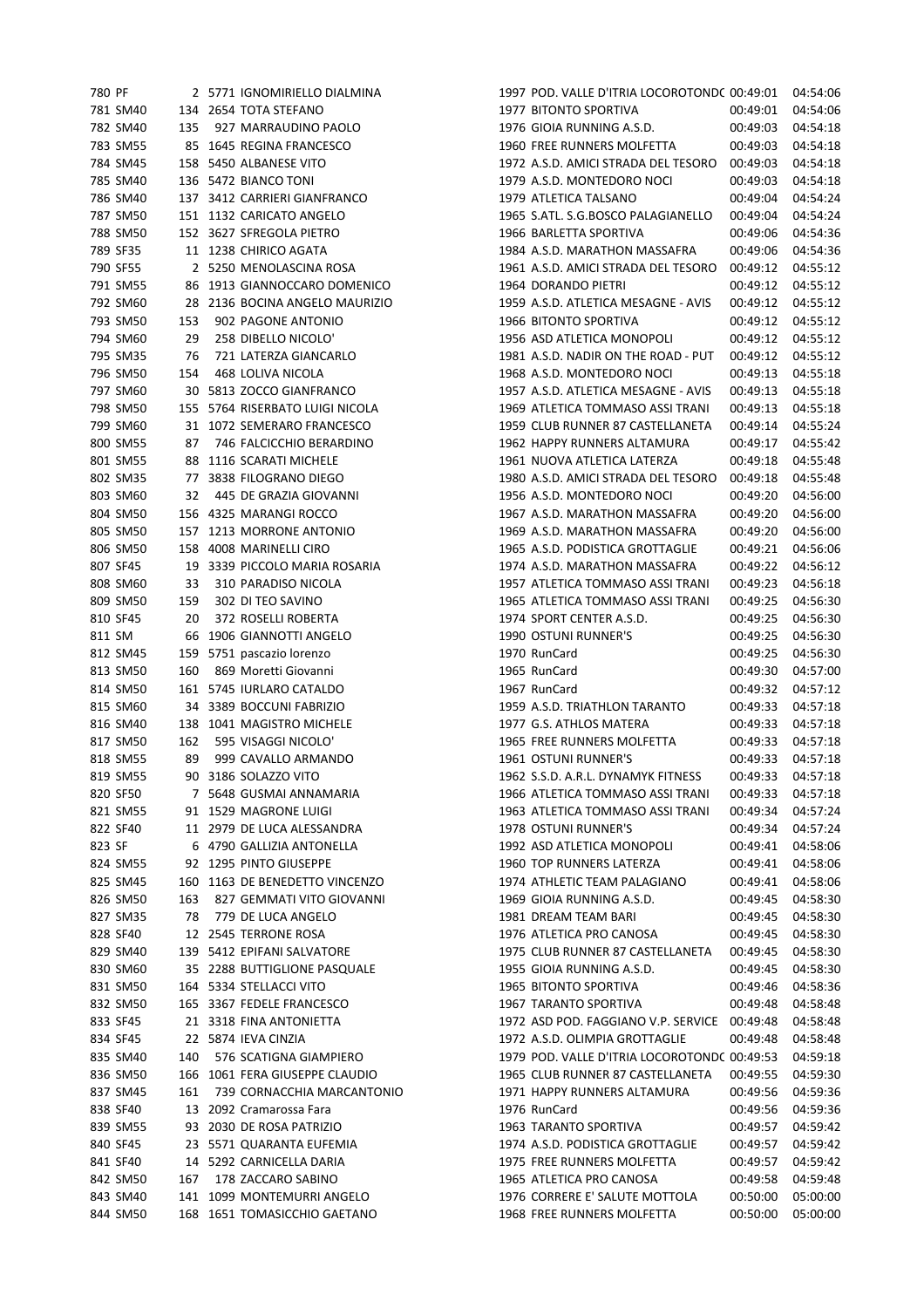| 780 PF |          |     | 2 5771 IGNOMIRIELLO DIALMINA    | 1997 POD. VALLE D'ITRIA LOCOROTONDC 00:49:01 |          | 04:54:06 |
|--------|----------|-----|---------------------------------|----------------------------------------------|----------|----------|
|        | 781 SM40 |     | 134 2654 TOTA STEFANO           | 1977 BITONTO SPORTIVA                        | 00:49:01 | 04:54:06 |
|        | 782 SM40 | 135 | 927 MARRAUDINO PAOLO            | 1976 GIOIA RUNNING A.S.D.                    | 00:49:03 | 04:54:18 |
|        | 783 SM55 |     | 85 1645 REGINA FRANCESCO        | 1960 FREE RUNNERS MOLFETTA                   | 00:49:03 | 04:54:18 |
|        | 784 SM45 |     | 158 5450 ALBANESE VITO          | 1972 A.S.D. AMICI STRADA DEL TESORO          | 00:49:03 | 04:54:18 |
|        | 785 SM40 |     | 136 5472 BIANCO TONI            | 1979 A.S.D. MONTEDORO NOCI                   | 00:49:03 | 04:54:18 |
|        | 786 SM40 |     |                                 | 1979 ATLETICA TALSANO                        |          | 04:54:24 |
|        |          |     | 137 3412 CARRIERI GIANFRANCO    |                                              | 00:49:04 |          |
|        | 787 SM50 |     | 151 1132 CARICATO ANGELO        | 1965 S.ATL. S.G.BOSCO PALAGIANELLO           | 00:49:04 | 04:54:24 |
|        | 788 SM50 |     | 152 3627 SFREGOLA PIETRO        | 1966 BARLETTA SPORTIVA                       | 00:49:06 | 04:54:36 |
|        | 789 SF35 |     | 11 1238 CHIRICO AGATA           | 1984 A.S.D. MARATHON MASSAFRA                | 00:49:06 | 04:54:36 |
|        | 790 SF55 |     | 2 5250 MENOLASCINA ROSA         | 1961 A.S.D. AMICI STRADA DEL TESORO          | 00:49:12 | 04:55:12 |
|        | 791 SM55 |     | 86 1913 GIANNOCCARO DOMENICO    | 1964 DORANDO PIETRI                          | 00:49:12 | 04:55:12 |
|        | 792 SM60 |     | 28 2136 BOCINA ANGELO MAURIZIO  | 1959 A.S.D. ATLETICA MESAGNE - AVIS          | 00:49:12 | 04:55:12 |
|        | 793 SM50 | 153 | 902 PAGONE ANTONIO              | 1966 BITONTO SPORTIVA                        | 00:49:12 | 04:55:12 |
|        | 794 SM60 | 29  | 258 DIBELLO NICOLO'             | 1956 ASD ATLETICA MONOPOLI                   | 00:49:12 | 04:55:12 |
|        | 795 SM35 | 76  | 721 LATERZA GIANCARLO           | 1981 A.S.D. NADIR ON THE ROAD - PUT          | 00:49:12 | 04:55:12 |
|        | 796 SM50 | 154 | 468 LOLIVA NICOLA               | 1968 A.S.D. MONTEDORO NOCI                   | 00:49:13 | 04:55:18 |
|        | 797 SM60 |     | 30 5813 ZOCCO GIANFRANCO        | 1957 A.S.D. ATLETICA MESAGNE - AVIS          | 00:49:13 | 04:55:18 |
|        | 798 SM50 |     | 155 5764 RISERBATO LUIGI NICOLA | 1969 ATLETICA TOMMASO ASSI TRANI             | 00:49:13 | 04:55:18 |
|        |          |     |                                 |                                              |          |          |
|        | 799 SM60 |     | 31 1072 SEMERARO FRANCESCO      | 1959 CLUB RUNNER 87 CASTELLANETA             | 00:49:14 | 04:55:24 |
|        | 800 SM55 | 87  | 746 FALCICCHIO BERARDINO        | 1962 HAPPY RUNNERS ALTAMURA                  | 00:49:17 | 04:55:42 |
|        | 801 SM55 |     | 88 1116 SCARATI MICHELE         | 1961 NUOVA ATLETICA LATERZA                  | 00:49:18 | 04:55:48 |
|        | 802 SM35 |     | 77 3838 FILOGRANO DIEGO         | 1980 A.S.D. AMICI STRADA DEL TESORO          | 00:49:18 | 04:55:48 |
|        | 803 SM60 | 32  | 445 DE GRAZIA GIOVANNI          | 1956 A.S.D. MONTEDORO NOCI                   | 00:49:20 | 04:56:00 |
|        | 804 SM50 |     | 156 4325 MARANGI ROCCO          | 1967 A.S.D. MARATHON MASSAFRA                | 00:49:20 | 04:56:00 |
|        | 805 SM50 |     | 157 1213 MORRONE ANTONIO        | 1969 A.S.D. MARATHON MASSAFRA                | 00:49:20 | 04:56:00 |
|        | 806 SM50 |     | 158 4008 MARINELLI CIRO         | 1965 A.S.D. PODISTICA GROTTAGLIE             | 00:49:21 | 04:56:06 |
|        | 807 SF45 |     | 19 3339 PICCOLO MARIA ROSARIA   | 1974 A.S.D. MARATHON MASSAFRA                | 00:49:22 | 04:56:12 |
|        | 808 SM60 | 33  | 310 PARADISO NICOLA             | 1957 ATLETICA TOMMASO ASSI TRANI             | 00:49:23 | 04:56:18 |
|        | 809 SM50 | 159 | 302 DI TEO SAVINO               | 1965 ATLETICA TOMMASO ASSI TRANI             | 00:49:25 | 04:56:30 |
|        | 810 SF45 | 20  |                                 |                                              |          | 04:56:30 |
|        |          |     | 372 ROSELLI ROBERTA             | 1974 SPORT CENTER A.S.D.                     | 00:49:25 |          |
| 811 SM |          |     | 66 1906 GIANNOTTI ANGELO        | 1990 OSTUNI RUNNER'S                         | 00:49:25 | 04:56:30 |
|        | 812 SM45 |     | 159 5751 pascazio lorenzo       | 1970 RunCard                                 | 00:49:25 | 04:56:30 |
|        | 813 SM50 | 160 | 869 Moretti Giovanni            | 1965 RunCard                                 | 00:49:30 | 04:57:00 |
|        | 814 SM50 |     | 161 5745 IURLARO CATALDO        | 1967 RunCard                                 | 00:49:32 | 04:57:12 |
|        | 815 SM60 |     | 34 3389 BOCCUNI FABRIZIO        | 1959 A.S.D. TRIATHLON TARANTO                | 00:49:33 | 04:57:18 |
|        | 816 SM40 |     | 138 1041 MAGISTRO MICHELE       | 1977 G.S. ATHLOS MATERA                      | 00:49:33 | 04:57:18 |
|        | 817 SM50 | 162 | 595 VISAGGI NICOLO'             | 1965 FREE RUNNERS MOLFETTA                   | 00:49:33 | 04:57:18 |
|        | 818 SM55 | 89  | 999 CAVALLO ARMANDO             | 1961 OSTUNI RUNNER'S                         | 00:49:33 | 04:57:18 |
|        | 819 SM55 |     | 90 3186 SOLAZZO VITO            | 1962 S.S.D. A.R.L. DYNAMYK FITNESS           | 00:49:33 | 04:57:18 |
|        | 820 SF50 |     | 7 5648 GUSMAI ANNAMARIA         | 1966 ATLETICA TOMMASO ASSI TRANI             | 00:49:33 | 04:57:18 |
|        | 821 SM55 |     | 91 1529 MAGRONE LUIGI           | 1963 ATLETICA TOMMASO ASSI TRANI             | 00:49:34 | 04:57:24 |
|        | 822 SF40 |     | 11 2979 DE LUCA ALESSANDRA      | 1978 OSTUNI RUNNER'S                         | 00:49:34 | 04:57:24 |
|        |          |     |                                 | 1992 ASD ATLETICA MONOPOLI                   |          | 04:58:06 |
| 823 SF |          |     | 6 4790 GALLIZIA ANTONELLA       |                                              | 00:49:41 |          |
|        | 824 SM55 |     | 92 1295 PINTO GIUSEPPE          | 1960 TOP RUNNERS LATERZA                     | 00:49:41 | 04:58:06 |
|        | 825 SM45 |     | 160 1163 DE BENEDETTO VINCENZO  | 1974 ATHLETIC TEAM PALAGIANO                 | 00:49:41 | 04:58:06 |
|        | 826 SM50 | 163 | 827 GEMMATI VITO GIOVANNI       | 1969 GIOIA RUNNING A.S.D.                    | 00:49:45 | 04:58:30 |
|        | 827 SM35 | 78  | 779 DE LUCA ANGELO              | 1981 DREAM TEAM BARI                         | 00:49:45 | 04:58:30 |
|        | 828 SF40 |     | 12 2545 TERRONE ROSA            | 1976 ATLETICA PRO CANOSA                     | 00:49:45 | 04:58:30 |
|        | 829 SM40 |     | 139 5412 EPIFANI SALVATORE      | 1975 CLUB RUNNER 87 CASTELLANETA             | 00:49:45 | 04:58:30 |
|        | 830 SM60 |     | 35 2288 BUTTIGLIONE PASQUALE    | 1955 GIOIA RUNNING A.S.D.                    | 00:49:45 | 04:58:30 |
|        | 831 SM50 |     | 164 5334 STELLACCI VITO         | 1965 BITONTO SPORTIVA                        | 00:49:46 | 04:58:36 |
|        | 832 SM50 |     | 165 3367 FEDELE FRANCESCO       | 1967 TARANTO SPORTIVA                        | 00:49:48 | 04:58:48 |
|        | 833 SF45 |     | 21 3318 FINA ANTONIETTA         | 1972 ASD POD. FAGGIANO V.P. SERVICE          | 00:49:48 | 04:58:48 |
|        | 834 SF45 |     | 22 5874 IEVA CINZIA             | 1972 A.S.D. OLIMPIA GROTTAGLIE               | 00:49:48 | 04:58:48 |
|        |          |     |                                 |                                              |          |          |
|        | 835 SM40 | 140 | 576 SCATIGNA GIAMPIERO          | 1979 POD. VALLE D'ITRIA LOCOROTONDC 00:49:53 |          | 04:59:18 |
|        | 836 SM50 |     | 166 1061 FERA GIUSEPPE CLAUDIO  | 1965 CLUB RUNNER 87 CASTELLANETA             | 00:49:55 | 04:59:30 |
|        | 837 SM45 | 161 | 739 CORNACCHIA MARCANTONIO      | 1971 HAPPY RUNNERS ALTAMURA                  | 00:49:56 | 04:59:36 |
|        | 838 SF40 |     | 13 2092 Cramarossa Fara         | 1976 RunCard                                 | 00:49:56 | 04:59:36 |
|        | 839 SM55 |     | 93 2030 DE ROSA PATRIZIO        | 1963 TARANTO SPORTIVA                        | 00:49:57 | 04:59:42 |
|        | 840 SF45 |     | 23 5571 QUARANTA EUFEMIA        | 1974 A.S.D. PODISTICA GROTTAGLIE             | 00:49:57 | 04:59:42 |
|        | 841 SF40 |     | 14 5292 CARNICELLA DARIA        | 1975 FREE RUNNERS MOLFETTA                   | 00:49:57 | 04:59:42 |
|        | 842 SM50 | 167 | 178 ZACCARO SABINO              | 1965 ATLETICA PRO CANOSA                     | 00:49:58 | 04:59:48 |
|        | 843 SM40 |     | 141 1099 MONTEMURRI ANGELO      | 1976 CORRERE E' SALUTE MOTTOLA               | 00:50:00 | 05:00:00 |
|        | 844 SM50 |     | 168 1651 TOMASICCHIO GAETANO    | 1968 FREE RUNNERS MOLFETTA                   | 00:50:00 | 05:00:00 |
|        |          |     |                                 |                                              |          |          |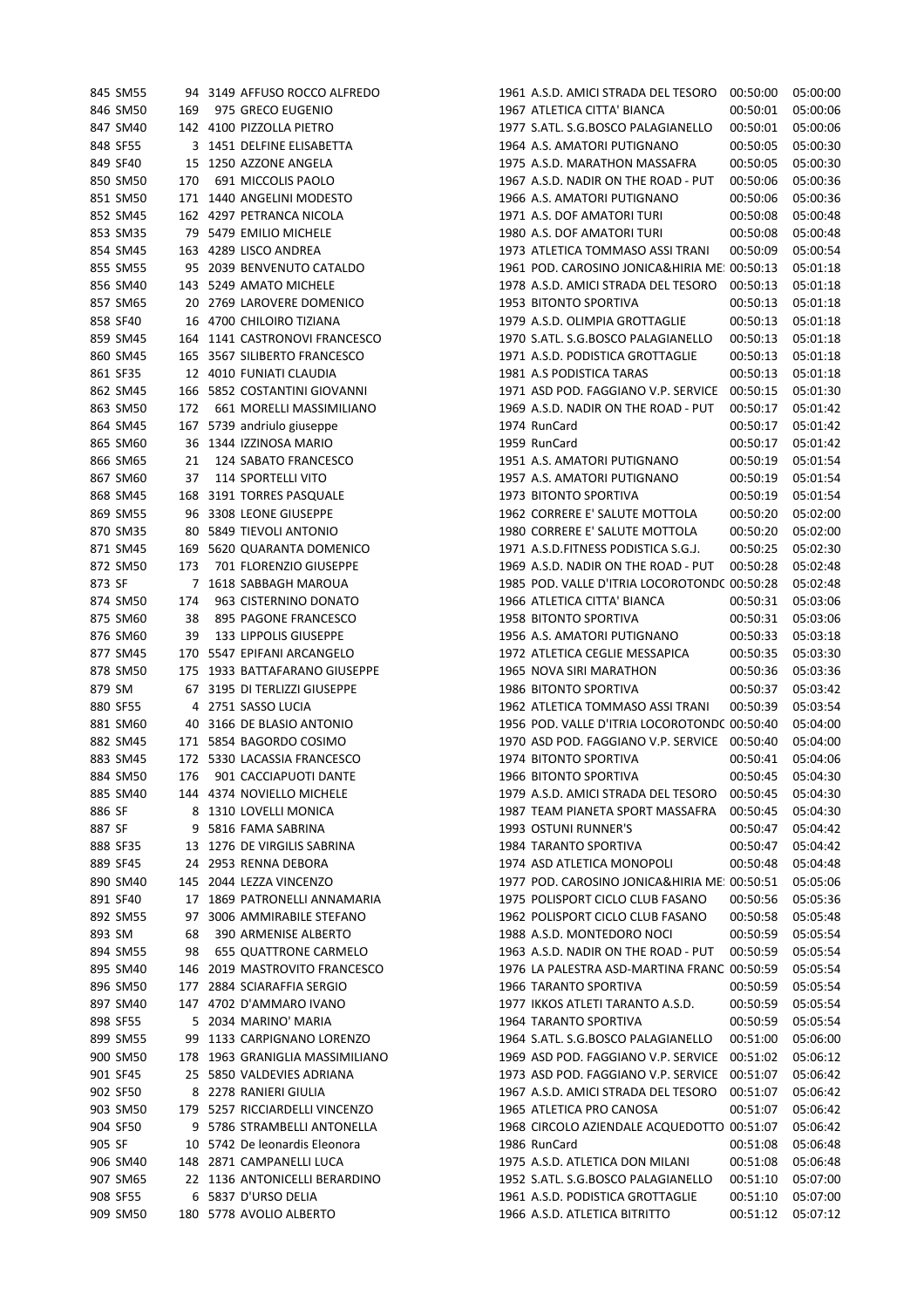|        | 845 SM55 |     | 94 3149 AFFUSO ROCCO ALFREDO    | 1961 A.S.D. AMICI STRADA DEL TESORO                 | 00:50:00 | 05:00:00 |
|--------|----------|-----|---------------------------------|-----------------------------------------------------|----------|----------|
|        | 846 SM50 | 169 | 975 GRECO EUGENIO               | 1967 ATLETICA CITTA' BIANCA                         | 00:50:01 | 05:00:06 |
|        | 847 SM40 |     | 142 4100 PIZZOLLA PIETRO        | 1977 S.ATL. S.G.BOSCO PALAGIANELLO                  | 00:50:01 | 05:00:06 |
|        | 848 SF55 |     | 3 1451 DELFINE ELISABETTA       | 1964 A.S. AMATORI PUTIGNANO                         | 00:50:05 | 05:00:30 |
|        | 849 SF40 |     | 15 1250 AZZONE ANGELA           | 1975 A.S.D. MARATHON MASSAFRA                       | 00:50:05 | 05:00:30 |
|        | 850 SM50 | 170 | 691 MICCOLIS PAOLO              | 1967 A.S.D. NADIR ON THE ROAD - PUT                 | 00:50:06 | 05:00:36 |
|        | 851 SM50 |     | 171 1440 ANGELINI MODESTO       | 1966 A.S. AMATORI PUTIGNANO                         | 00:50:06 | 05:00:36 |
|        | 852 SM45 |     | 162 4297 PETRANCA NICOLA        | 1971 A.S. DOF AMATORI TURI                          | 00:50:08 | 05:00:48 |
|        | 853 SM35 |     | 79 5479 EMILIO MICHELE          | 1980 A.S. DOF AMATORI TURI                          | 00:50:08 | 05:00:48 |
|        |          |     |                                 |                                                     |          |          |
|        | 854 SM45 |     | 163 4289 LISCO ANDREA           | 1973 ATLETICA TOMMASO ASSI TRANI                    | 00:50:09 | 05:00:54 |
|        | 855 SM55 |     | 95 2039 BENVENUTO CATALDO       | 1961 POD. CAROSINO JONICA&HIRIA ME: 00:50:13        |          | 05:01:18 |
|        | 856 SM40 |     | 143 5249 AMATO MICHELE          | 1978 A.S.D. AMICI STRADA DEL TESORO                 | 00:50:13 | 05:01:18 |
|        | 857 SM65 |     | 20 2769 LAROVERE DOMENICO       | 1953 BITONTO SPORTIVA                               | 00:50:13 | 05:01:18 |
|        | 858 SF40 |     | 16 4700 CHILOIRO TIZIANA        | 1979 A.S.D. OLIMPIA GROTTAGLIE                      | 00:50:13 | 05:01:18 |
|        | 859 SM45 |     | 164 1141 CASTRONOVI FRANCESCO   | 1970 S.ATL. S.G.BOSCO PALAGIANELLO                  | 00:50:13 | 05:01:18 |
|        | 860 SM45 |     | 165 3567 SILIBERTO FRANCESCO    | 1971 A.S.D. PODISTICA GROTTAGLIE                    | 00:50:13 | 05:01:18 |
|        | 861 SF35 |     | 12 4010 FUNIATI CLAUDIA         | 1981 A.S PODISTICA TARAS                            | 00:50:13 | 05:01:18 |
|        | 862 SM45 |     | 166 5852 COSTANTINI GIOVANNI    | 1971 ASD POD. FAGGIANO V.P. SERVICE                 | 00:50:15 | 05:01:30 |
|        | 863 SM50 | 172 | 661 MORELLI MASSIMILIANO        | 1969 A.S.D. NADIR ON THE ROAD - PUT                 | 00:50:17 | 05:01:42 |
|        | 864 SM45 |     | 167 5739 andriulo giuseppe      | 1974 RunCard                                        | 00:50:17 | 05:01:42 |
|        | 865 SM60 |     | 36 1344 IZZINOSA MARIO          | 1959 RunCard                                        | 00:50:17 | 05:01:42 |
|        | 866 SM65 | 21  | 124 SABATO FRANCESCO            | 1951 A.S. AMATORI PUTIGNANO                         | 00:50:19 | 05:01:54 |
|        | 867 SM60 | 37  | 114 SPORTELLI VITO              | 1957 A.S. AMATORI PUTIGNANO                         | 00:50:19 | 05:01:54 |
|        | 868 SM45 |     | 168 3191 TORRES PASQUALE        | 1973 BITONTO SPORTIVA                               | 00:50:19 | 05:01:54 |
|        | 869 SM55 |     | 96 3308 LEONE GIUSEPPE          | 1962 CORRERE E' SALUTE MOTTOLA                      | 00:50:20 | 05:02:00 |
|        | 870 SM35 |     | 80 5849 TIEVOLI ANTONIO         | 1980 CORRERE E' SALUTE MOTTOLA                      | 00:50:20 | 05:02:00 |
|        | 871 SM45 |     | 169 5620 QUARANTA DOMENICO      | 1971 A.S.D.FITNESS PODISTICA S.G.J.                 | 00:50:25 | 05:02:30 |
|        | 872 SM50 | 173 | 701 FLORENZIO GIUSEPPE          | 1969 A.S.D. NADIR ON THE ROAD - PUT                 | 00:50:28 | 05:02:48 |
| 873 SF |          |     | 7 1618 SABBAGH MAROUA           | 1985 POD. VALLE D'ITRIA LOCOROTONDC 00:50:28        |          | 05:02:48 |
|        | 874 SM50 | 174 | 963 CISTERNINO DONATO           | 1966 ATLETICA CITTA' BIANCA                         | 00:50:31 | 05:03:06 |
|        | 875 SM60 | 38  | 895 PAGONE FRANCESCO            | 1958 BITONTO SPORTIVA                               | 00:50:31 | 05:03:06 |
|        | 876 SM60 | 39  | 133 LIPPOLIS GIUSEPPE           | 1956 A.S. AMATORI PUTIGNANO                         | 00:50:33 | 05:03:18 |
|        | 877 SM45 |     | 170 5547 EPIFANI ARCANGELO      | 1972 ATLETICA CEGLIE MESSAPICA                      | 00:50:35 | 05:03:30 |
|        | 878 SM50 |     | 175 1933 BATTAFARANO GIUSEPPE   | 1965 NOVA SIRI MARATHON                             | 00:50:36 | 05:03:36 |
| 879 SM |          |     | 67 3195 DI TERLIZZI GIUSEPPE    | 1986 BITONTO SPORTIVA                               | 00:50:37 | 05:03:42 |
|        | 880 SF55 |     | 4 2751 SASSO LUCIA              | 1962 ATLETICA TOMMASO ASSI TRANI                    | 00:50:39 | 05:03:54 |
|        | 881 SM60 |     | 40 3166 DE BLASIO ANTONIO       | 1956 POD. VALLE D'ITRIA LOCOROTONDC 00:50:40        |          | 05:04:00 |
|        | 882 SM45 |     | 171 5854 BAGORDO COSIMO         | 1970 ASD POD. FAGGIANO V.P. SERVICE 00:50:40        |          | 05:04:00 |
|        | 883 SM45 |     | 172 5330 LACASSIA FRANCESCO     | 1974 BITONTO SPORTIVA                               | 00:50:41 | 05:04:06 |
|        | 884 SM50 | 176 | 901 CACCIAPUOTI DANTE           | 1966 BITONTO SPORTIVA                               | 00:50:45 | 05:04:30 |
|        | 885 SM40 |     | 144 4374 NOVIELLO MICHELE       | 1979 A.S.D. AMICI STRADA DEL TESORO                 | 00:50:45 | 05:04:30 |
| 886 SF |          |     | 8 1310 LOVELLI MONICA           | 1987 TEAM PIANETA SPORT MASSAFRA                    | 00:50:45 | 05:04:30 |
|        |          |     |                                 |                                                     |          | 05:04:42 |
| 887 SF |          |     | 9 5816 FAMA SABRINA             | 1993 OSTUNI RUNNER'S                                | 00:50:47 | 05:04:42 |
|        | 888 SF35 |     | 13 1276 DE VIRGILIS SABRINA     | 1984 TARANTO SPORTIVA<br>1974 ASD ATLETICA MONOPOLI | 00:50:47 |          |
|        | 889 SF45 |     | 24 2953 RENNA DEBORA            |                                                     | 00:50:48 | 05:04:48 |
|        | 890 SM40 |     | 145 2044 LEZZA VINCENZO         | 1977 POD. CAROSINO JONICA&HIRIA ME: 00:50:51        |          | 05:05:06 |
|        | 891 SF40 |     | 17 1869 PATRONELLI ANNAMARIA    | 1975 POLISPORT CICLO CLUB FASANO                    | 00:50:56 | 05:05:36 |
|        | 892 SM55 |     | 97 3006 AMMIRABILE STEFANO      | 1962 POLISPORT CICLO CLUB FASANO                    | 00:50:58 | 05:05:48 |
| 893 SM |          | 68  | 390 ARMENISE ALBERTO            | 1988 A.S.D. MONTEDORO NOCI                          | 00:50:59 | 05:05:54 |
|        | 894 SM55 | 98  | <b>655 QUATTRONE CARMELO</b>    | 1963 A.S.D. NADIR ON THE ROAD - PUT                 | 00:50:59 | 05:05:54 |
|        | 895 SM40 |     | 146 2019 MASTROVITO FRANCESCO   | 1976 LA PALESTRA ASD-MARTINA FRANC 00:50:59         |          | 05:05:54 |
|        | 896 SM50 |     | 177 2884 SCIARAFFIA SERGIO      | 1966 TARANTO SPORTIVA                               | 00:50:59 | 05:05:54 |
|        | 897 SM40 |     | 147 4702 D'AMMARO IVANO         | 1977 IKKOS ATLETI TARANTO A.S.D.                    | 00:50:59 | 05:05:54 |
|        | 898 SF55 |     | 5 2034 MARINO' MARIA            | 1964 TARANTO SPORTIVA                               | 00:50:59 | 05:05:54 |
|        | 899 SM55 |     | 99 1133 CARPIGNANO LORENZO      | 1964 S.ATL. S.G.BOSCO PALAGIANELLO                  | 00:51:00 | 05:06:00 |
|        | 900 SM50 |     | 178 1963 GRANIGLIA MASSIMILIANO | 1969 ASD POD. FAGGIANO V.P. SERVICE 00:51:02        |          | 05:06:12 |
|        | 901 SF45 |     | 25 5850 VALDEVIES ADRIANA       | 1973 ASD POD. FAGGIANO V.P. SERVICE 00:51:07        |          | 05:06:42 |
|        | 902 SF50 |     | 8 2278 RANIERI GIULIA           | 1967 A.S.D. AMICI STRADA DEL TESORO                 | 00:51:07 | 05:06:42 |
|        | 903 SM50 |     | 179 5257 RICCIARDELLI VINCENZO  | 1965 ATLETICA PRO CANOSA                            | 00:51:07 | 05:06:42 |
|        | 904 SF50 |     | 9 5786 STRAMBELLI ANTONELLA     | 1968 CIRCOLO AZIENDALE ACQUEDOTTO 00:51:07          |          | 05:06:42 |
| 905 SF |          |     | 10 5742 De leonardis Eleonora   | 1986 RunCard                                        | 00:51:08 | 05:06:48 |
|        | 906 SM40 |     | 148 2871 CAMPANELLI LUCA        | 1975 A.S.D. ATLETICA DON MILANI                     | 00:51:08 | 05:06:48 |
|        | 907 SM65 |     | 22 1136 ANTONICELLI BERARDINO   | 1952 S.ATL. S.G.BOSCO PALAGIANELLO                  | 00:51:10 | 05:07:00 |
|        | 908 SF55 |     | 6 5837 D'URSO DELIA             | 1961 A.S.D. PODISTICA GROTTAGLIE                    | 00:51:10 | 05:07:00 |
|        | 909 SM50 |     | 180 5778 AVOLIO ALBERTO         | 1966 A.S.D. ATLETICA BITRITTO                       | 00:51:12 | 05:07:12 |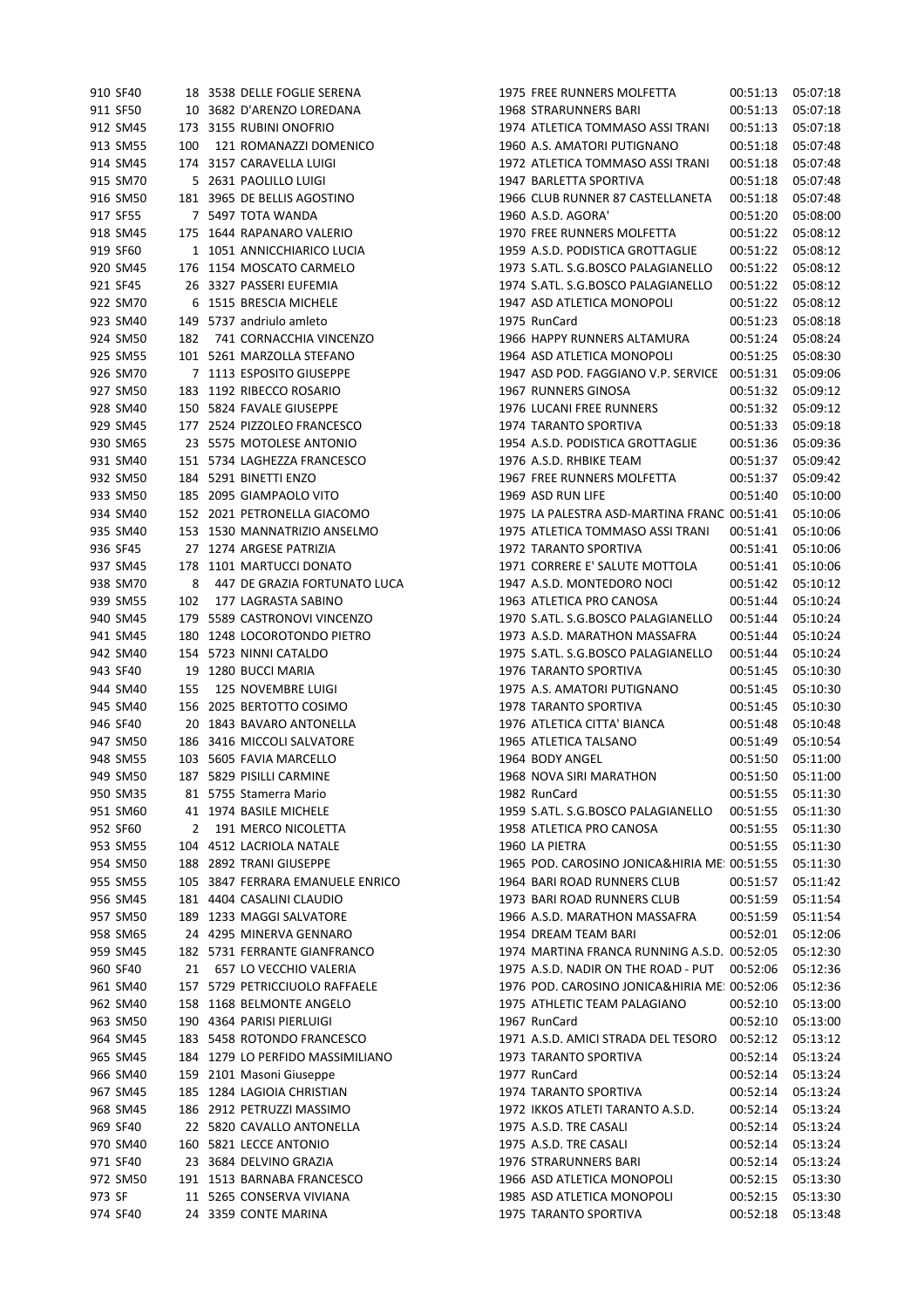|        | 910 SF40 |     | 18 3538 DELLE FOGLIE SERENA      | 1975 FREE RUNNERS MOLFETTA                   | 00:51:13 05:07:18 |          |
|--------|----------|-----|----------------------------------|----------------------------------------------|-------------------|----------|
|        | 911 SF50 |     | 10 3682 D'ARENZO LOREDANA        | 1968 STRARUNNERS BARI                        | 00:51:13          | 05:07:18 |
|        | 912 SM45 |     | 173 3155 RUBINI ONOFRIO          | 1974 ATLETICA TOMMASO ASSI TRANI             | 00:51:13          | 05:07:18 |
|        | 913 SM55 | 100 | 121 ROMANAZZI DOMENICO           | 1960 A.S. AMATORI PUTIGNANO                  | 00:51:18          | 05:07:48 |
|        | 914 SM45 |     | 174 3157 CARAVELLA LUIGI         | 1972 ATLETICA TOMMASO ASSI TRANI             | 00:51:18          | 05:07:48 |
|        | 915 SM70 |     |                                  | 1947 BARLETTA SPORTIVA                       |                   | 05:07:48 |
|        |          |     | 5 2631 PAOLILLO LUIGI            |                                              | 00:51:18          |          |
|        | 916 SM50 |     | 181 3965 DE BELLIS AGOSTINO      | 1966 CLUB RUNNER 87 CASTELLANETA             | 00:51:18          | 05:07:48 |
|        | 917 SF55 |     | 7 5497 TOTA WANDA                | 1960 A.S.D. AGORA'                           | 00:51:20          | 05:08:00 |
|        | 918 SM45 |     | 175 1644 RAPANARO VALERIO        | 1970 FREE RUNNERS MOLFETTA                   | 00:51:22          | 05:08:12 |
|        | 919 SF60 |     | 1 1051 ANNICCHIARICO LUCIA       | 1959 A.S.D. PODISTICA GROTTAGLIE             | 00:51:22          | 05:08:12 |
|        | 920 SM45 |     | 176 1154 MOSCATO CARMELO         | 1973 S.ATL. S.G.BOSCO PALAGIANELLO           | 00:51:22          | 05:08:12 |
|        | 921 SF45 |     | 26 3327 PASSERI EUFEMIA          | 1974 S.ATL. S.G.BOSCO PALAGIANELLO           | 00:51:22          | 05:08:12 |
|        | 922 SM70 |     | 6 1515 BRESCIA MICHELE           | 1947 ASD ATLETICA MONOPOLI                   | 00:51:22          | 05:08:12 |
|        | 923 SM40 |     | 149 5737 andriulo amleto         | 1975 RunCard                                 | 00:51:23          | 05:08:18 |
|        | 924 SM50 | 182 | 741 CORNACCHIA VINCENZO          | 1966 HAPPY RUNNERS ALTAMURA                  | 00:51:24          | 05:08:24 |
|        | 925 SM55 |     | 101 5261 MARZOLLA STEFANO        | 1964 ASD ATLETICA MONOPOLI                   | 00:51:25          | 05:08:30 |
|        | 926 SM70 |     | 7 1113 ESPOSITO GIUSEPPE         | 1947 ASD POD. FAGGIANO V.P. SERVICE 00:51:31 |                   | 05:09:06 |
|        | 927 SM50 |     | 183 1192 RIBECCO ROSARIO         | 1967 RUNNERS GINOSA                          | 00:51:32          | 05:09:12 |
|        |          |     |                                  |                                              |                   |          |
|        | 928 SM40 |     | 150 5824 FAVALE GIUSEPPE         | 1976 LUCANI FREE RUNNERS                     | 00:51:32          | 05:09:12 |
|        | 929 SM45 |     | 177 2524 PIZZOLEO FRANCESCO      | 1974 TARANTO SPORTIVA                        | 00:51:33          | 05:09:18 |
|        | 930 SM65 |     | 23 5575 MOTOLESE ANTONIO         | 1954 A.S.D. PODISTICA GROTTAGLIE             | 00:51:36          | 05:09:36 |
|        | 931 SM40 |     | 151 5734 LAGHEZZA FRANCESCO      | 1976 A.S.D. RHBIKE TEAM                      | 00:51:37          | 05:09:42 |
|        | 932 SM50 |     | 184 5291 BINETTI ENZO            | 1967 FREE RUNNERS MOLFETTA                   | 00:51:37          | 05:09:42 |
|        | 933 SM50 |     | 185 2095 GIAMPAOLO VITO          | 1969 ASD RUN LIFE                            | 00:51:40          | 05:10:00 |
|        | 934 SM40 |     | 152 2021 PETRONELLA GIACOMO      | 1975 LA PALESTRA ASD-MARTINA FRANC 00:51:41  |                   | 05:10:06 |
|        | 935 SM40 |     | 153 1530 MANNATRIZIO ANSELMO     | 1975 ATLETICA TOMMASO ASSI TRANI             | 00:51:41          | 05:10:06 |
|        | 936 SF45 |     | 27 1274 ARGESE PATRIZIA          | 1972 TARANTO SPORTIVA                        | 00:51:41          | 05:10:06 |
|        | 937 SM45 |     | 178 1101 MARTUCCI DONATO         | 1971 CORRERE E' SALUTE MOTTOLA               | 00:51:41          | 05:10:06 |
|        | 938 SM70 | 8   | 447 DE GRAZIA FORTUNATO LUCA     | 1947 A.S.D. MONTEDORO NOCI                   | 00:51:42          | 05:10:12 |
|        | 939 SM55 | 102 | 177 LAGRASTA SABINO              | 1963 ATLETICA PRO CANOSA                     | 00:51:44          | 05:10:24 |
|        | 940 SM45 |     | 179 5589 CASTRONOVI VINCENZO     | 1970 S.ATL. S.G.BOSCO PALAGIANELLO           | 00:51:44          | 05:10:24 |
|        |          |     |                                  |                                              |                   |          |
|        | 941 SM45 |     | 180 1248 LOCOROTONDO PIETRO      | 1973 A.S.D. MARATHON MASSAFRA                | 00:51:44          | 05:10:24 |
|        | 942 SM40 |     | 154 5723 NINNI CATALDO           | 1975 S.ATL. S.G.BOSCO PALAGIANELLO           | 00:51:44          | 05:10:24 |
|        | 943 SF40 |     | 19 1280 BUCCI MARIA              | 1976 TARANTO SPORTIVA                        | 00:51:45          | 05:10:30 |
|        | 944 SM40 | 155 | 125 NOVEMBRE LUIGI               | 1975 A.S. AMATORI PUTIGNANO                  | 00:51:45          | 05:10:30 |
|        | 945 SM40 |     | 156 2025 BERTOTTO COSIMO         | 1978 TARANTO SPORTIVA                        | 00:51:45          | 05:10:30 |
|        | 946 SF40 |     | 20 1843 BAVARO ANTONELLA         | 1976 ATLETICA CITTA' BIANCA                  | 00:51:48          | 05:10:48 |
|        | 947 SM50 |     | 186 3416 MICCOLI SALVATORE       | 1965 ATLETICA TALSANO                        | 00:51:49          | 05:10:54 |
|        | 948 SM55 |     | 103 5605 FAVIA MARCELLO          | 1964 BODY ANGEL                              | 00:51:50          | 05:11:00 |
|        | 949 SM50 |     | 187 5829 PISILLI CARMINE         | 1968 NOVA SIRI MARATHON                      | 00:51:50          | 05:11:00 |
|        | 950 SM35 |     | 81 5755 Stamerra Mario           | 1982 RunCard                                 | 00:51:55          | 05:11:30 |
|        | 951 SM60 |     | 41 1974 BASILE MICHELE           | 1959 S.ATL. S.G.BOSCO PALAGIANELLO           | 00:51:55          | 05:11:30 |
|        | 952 SF60 | 2   | 191 MERCO NICOLETTA              | 1958 ATLETICA PRO CANOSA                     | 00:51:55          | 05:11:30 |
|        | 953 SM55 |     | 104 4512 LACRIOLA NATALE         | 1960 LA PIETRA                               | 00:51:55          | 05:11:30 |
|        | 954 SM50 |     | 188 2892 TRANI GIUSEPPE          | 1965 POD. CAROSINO JONICA&HIRIA ME: 00:51:55 |                   | 05:11:30 |
|        | 955 SM55 |     | 105 3847 FERRARA EMANUELE ENRICO | 1964 BARI ROAD RUNNERS CLUB                  | 00:51:57          | 05:11:42 |
|        |          |     |                                  |                                              |                   |          |
|        | 956 SM45 |     | 181 4404 CASALINI CLAUDIO        | 1973 BARI ROAD RUNNERS CLUB                  | 00:51:59          | 05:11:54 |
|        | 957 SM50 |     | 189 1233 MAGGI SALVATORE         | 1966 A.S.D. MARATHON MASSAFRA                | 00:51:59          | 05:11:54 |
|        | 958 SM65 |     | 24 4295 MINERVA GENNARO          | 1954 DREAM TEAM BARI                         | 00:52:01          | 05:12:06 |
|        | 959 SM45 |     | 182 5731 FERRANTE GIANFRANCO     | 1974 MARTINA FRANCA RUNNING A.S.D. 00:52:05  |                   | 05:12:30 |
|        | 960 SF40 | 21  | 657 LO VECCHIO VALERIA           | 1975 A.S.D. NADIR ON THE ROAD - PUT          | 00:52:06          | 05:12:36 |
|        | 961 SM40 |     | 157 5729 PETRICCIUOLO RAFFAELE   | 1976 POD. CAROSINO JONICA&HIRIA ME: 00:52:06 |                   | 05:12:36 |
|        | 962 SM40 |     | 158 1168 BELMONTE ANGELO         | 1975 ATHLETIC TEAM PALAGIANO                 | 00:52:10          | 05:13:00 |
|        | 963 SM50 |     | 190 4364 PARISI PIERLUIGI        | 1967 RunCard                                 | 00:52:10          | 05:13:00 |
|        | 964 SM45 |     | 183 5458 ROTONDO FRANCESCO       | 1971 A.S.D. AMICI STRADA DEL TESORO          | 00:52:12          | 05:13:12 |
|        | 965 SM45 |     | 184 1279 LO PERFIDO MASSIMILIANO | 1973 TARANTO SPORTIVA                        | 00:52:14          | 05:13:24 |
|        | 966 SM40 |     | 159 2101 Masoni Giuseppe         | 1977 RunCard                                 | 00:52:14          | 05:13:24 |
|        | 967 SM45 |     | 185 1284 LAGIOIA CHRISTIAN       | 1974 TARANTO SPORTIVA                        | 00:52:14          | 05:13:24 |
|        | 968 SM45 |     | 186 2912 PETRUZZI MASSIMO        | 1972 IKKOS ATLETI TARANTO A.S.D.             | 00:52:14          | 05:13:24 |
|        | 969 SF40 |     |                                  | 1975 A.S.D. TRE CASALI                       |                   | 05:13:24 |
|        |          |     | 22 5820 CAVALLO ANTONELLA        |                                              | 00:52:14          |          |
|        | 970 SM40 |     | 160 5821 LECCE ANTONIO           | 1975 A.S.D. TRE CASALI                       | 00:52:14          | 05:13:24 |
|        | 971 SF40 |     | 23 3684 DELVINO GRAZIA           | 1976 STRARUNNERS BARI                        | 00:52:14          | 05:13:24 |
|        | 972 SM50 |     | 191 1513 BARNABA FRANCESCO       | 1966 ASD ATLETICA MONOPOLI                   | 00:52:15          | 05:13:30 |
| 973 SF |          |     | 11 5265 CONSERVA VIVIANA         | 1985 ASD ATLETICA MONOPOLI                   | 00:52:15          | 05:13:30 |
|        | 974 SF40 |     | 24 3359 CONTE MARINA             | 1975 TARANTO SPORTIVA                        | 00:52:18          | 05:13:48 |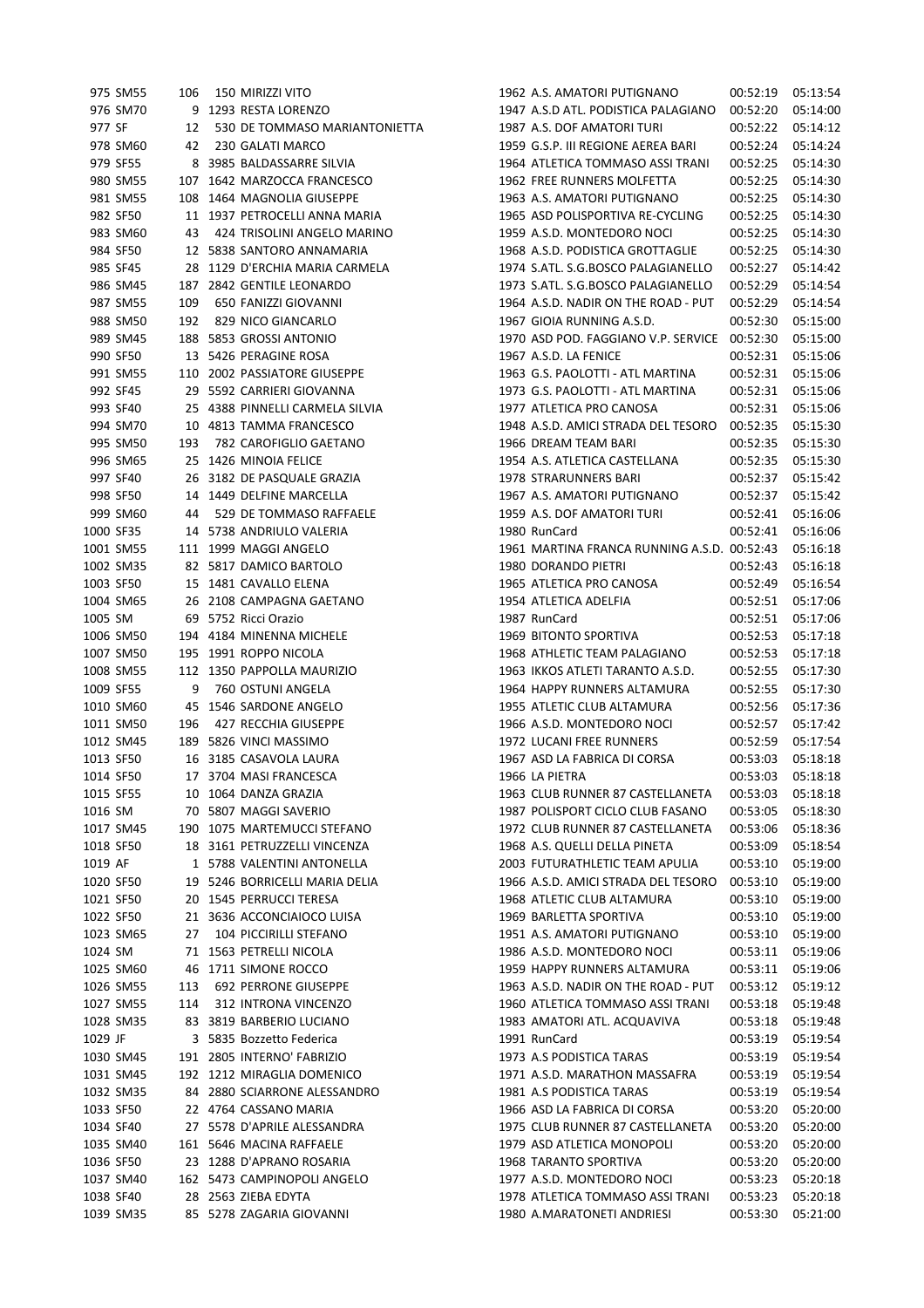|           | 975 SM55  | 106 | 150 MIRIZZI VITO                | 1962 A.S. AMATORI PUTIGNANO                 | 00:52:19 | 05:13:54 |
|-----------|-----------|-----|---------------------------------|---------------------------------------------|----------|----------|
|           | 976 SM70  |     | 9 1293 RESTA LORENZO            | 1947 A.S.D ATL. PODISTICA PALAGIANO         | 00:52:20 | 05:14:00 |
| 977 SF    |           | 12  | 530 DE TOMMASO MARIANTONIETTA   | 1987 A.S. DOF AMATORI TURI                  | 00:52:22 | 05:14:12 |
|           | 978 SM60  | 42  | 230 GALATI MARCO                | 1959 G.S.P. III REGIONE AEREA BARI          | 00:52:24 | 05:14:24 |
|           | 979 SF55  |     | 8 3985 BALDASSARRE SILVIA       | 1964 ATLETICA TOMMASO ASSI TRANI            | 00:52:25 | 05:14:30 |
|           | 980 SM55  |     | 107 1642 MARZOCCA FRANCESCO     | 1962 FREE RUNNERS MOLFETTA                  | 00:52:25 | 05:14:30 |
|           | 981 SM55  |     | 108 1464 MAGNOLIA GIUSEPPE      | 1963 A.S. AMATORI PUTIGNANO                 | 00:52:25 | 05:14:30 |
|           | 982 SF50  |     | 11 1937 PETROCELLI ANNA MARIA   | 1965 ASD POLISPORTIVA RE-CYCLING            | 00:52:25 | 05:14:30 |
|           | 983 SM60  | 43  | 424 TRISOLINI ANGELO MARINO     | 1959 A.S.D. MONTEDORO NOCI                  | 00:52:25 | 05:14:30 |
|           | 984 SF50  |     | 12 5838 SANTORO ANNAMARIA       | 1968 A.S.D. PODISTICA GROTTAGLIE            | 00:52:25 | 05:14:30 |
|           | 985 SF45  |     | 28 1129 D'ERCHIA MARIA CARMELA  | 1974 S.ATL. S.G.BOSCO PALAGIANELLO          | 00:52:27 | 05:14:42 |
|           | 986 SM45  |     | 187 2842 GENTILE LEONARDO       | 1973 S.ATL. S.G.BOSCO PALAGIANELLO          | 00:52:29 | 05:14:54 |
|           | 987 SM55  | 109 | 650 FANIZZI GIOVANNI            | 1964 A.S.D. NADIR ON THE ROAD - PUT         | 00:52:29 | 05:14:54 |
|           | 988 SM50  | 192 | 829 NICO GIANCARLO              | 1967 GIOIA RUNNING A.S.D.                   | 00:52:30 | 05:15:00 |
|           | 989 SM45  |     | 188 5853 GROSSI ANTONIO         | 1970 ASD POD. FAGGIANO V.P. SERVICE         | 00:52:30 | 05:15:00 |
|           | 990 SF50  |     | 13 5426 PERAGINE ROSA           | 1967 A.S.D. LA FENICE                       | 00:52:31 | 05:15:06 |
|           | 991 SM55  |     | 110 2002 PASSIATORE GIUSEPPE    | 1963 G.S. PAOLOTTI - ATL MARTINA            | 00:52:31 | 05:15:06 |
|           |           |     |                                 |                                             |          |          |
|           | 992 SF45  |     | 29 5592 CARRIERI GIOVANNA       | 1973 G.S. PAOLOTTI - ATL MARTINA            | 00:52:31 | 05:15:06 |
|           | 993 SF40  |     | 25 4388 PINNELLI CARMELA SILVIA | 1977 ATLETICA PRO CANOSA                    | 00:52:31 | 05:15:06 |
|           | 994 SM70  |     | 10 4813 TAMMA FRANCESCO         | 1948 A.S.D. AMICI STRADA DEL TESORO         | 00:52:35 | 05:15:30 |
|           | 995 SM50  | 193 | 782 CAROFIGLIO GAETANO          | 1966 DREAM TEAM BARI                        | 00:52:35 | 05:15:30 |
|           | 996 SM65  |     | 25 1426 MINOIA FELICE           | 1954 A.S. ATLETICA CASTELLANA               | 00:52:35 | 05:15:30 |
|           | 997 SF40  |     | 26 3182 DE PASQUALE GRAZIA      | 1978 STRARUNNERS BARI                       | 00:52:37 | 05:15:42 |
|           | 998 SF50  |     | 14 1449 DELFINE MARCELLA        | 1967 A.S. AMATORI PUTIGNANO                 | 00:52:37 | 05:15:42 |
|           | 999 SM60  | 44  | 529 DE TOMMASO RAFFAELE         | 1959 A.S. DOF AMATORI TURI                  | 00:52:41 | 05:16:06 |
|           | 1000 SF35 |     | 14 5738 ANDRIULO VALERIA        | 1980 RunCard                                | 00:52:41 | 05:16:06 |
|           | 1001 SM55 |     | 111 1999 MAGGI ANGELO           | 1961 MARTINA FRANCA RUNNING A.S.D. 00:52:43 |          | 05:16:18 |
|           | 1002 SM35 |     | 82 5817 DAMICO BARTOLO          | 1980 DORANDO PIETRI                         | 00:52:43 | 05:16:18 |
|           | 1003 SF50 |     | 15 1481 CAVALLO ELENA           | 1965 ATLETICA PRO CANOSA                    | 00:52:49 | 05:16:54 |
|           | 1004 SM65 |     | 26 2108 CAMPAGNA GAETANO        | 1954 ATLETICA ADELFIA                       | 00:52:51 | 05:17:06 |
| 1005 SM   |           |     | 69 5752 Ricci Orazio            | 1987 RunCard                                | 00:52:51 | 05:17:06 |
|           | 1006 SM50 |     | 194 4184 MINENNA MICHELE        | 1969 BITONTO SPORTIVA                       | 00:52:53 | 05:17:18 |
|           | 1007 SM50 |     | 195 1991 ROPPO NICOLA           | 1968 ATHLETIC TEAM PALAGIANO                | 00:52:53 | 05:17:18 |
|           | 1008 SM55 |     | 112 1350 PAPPOLLA MAURIZIO      | 1963 IKKOS ATLETI TARANTO A.S.D.            | 00:52:55 | 05:17:30 |
| 1009 SF55 |           | 9   | 760 OSTUNI ANGELA               | 1964 HAPPY RUNNERS ALTAMURA                 | 00:52:55 | 05:17:30 |
|           | 1010 SM60 |     | 45 1546 SARDONE ANGELO          | 1955 ATLETIC CLUB ALTAMURA                  | 00:52:56 | 05:17:36 |
|           | 1011 SM50 | 196 | 427 RECCHIA GIUSEPPE            | 1966 A.S.D. MONTEDORO NOCI                  | 00:52:57 | 05:17:42 |
|           | 1012 SM45 |     | 189 5826 VINCI MASSIMO          | 1972 LUCANI FREE RUNNERS                    | 00:52:59 | 05:17:54 |
|           | 1013 SF50 |     | 16 3185 CASAVOLA LAURA          | 1967 ASD LA FABRICA DI CORSA                | 00:53:03 | 05:18:18 |
|           | 1014 SF50 |     | 17 3704 MASI FRANCESCA          | 1966 LA PIETRA                              | 00:53:03 | 05:18:18 |
|           | 1015 SF55 |     | 10 1064 DANZA GRAZIA            | 1963 CLUB RUNNER 87 CASTELLANETA            | 00:53:03 | 05:18:18 |
| 1016 SM   |           |     | 70 5807 MAGGI SAVERIO           | 1987 POLISPORT CICLO CLUB FASANO            | 00:53:05 | 05:18:30 |
|           | 1017 SM45 |     | 190 1075 MARTEMUCCI STEFANO     | 1972 CLUB RUNNER 87 CASTELLANETA            | 00:53:06 | 05:18:36 |
| 1018 SF50 |           |     | 18 3161 PETRUZZELLI VINCENZA    | 1968 A.S. QUELLI DELLA PINETA               | 00:53:09 | 05:18:54 |
| 1019 AF   |           |     | 1 5788 VALENTINI ANTONELLA      | 2003 FUTURATHLETIC TEAM APULIA              | 00:53:10 | 05:19:00 |
| 1020 SF50 |           |     | 19 5246 BORRICELLI MARIA DELIA  | 1966 A.S.D. AMICI STRADA DEL TESORO         | 00:53:10 | 05:19:00 |
|           | 1021 SF50 |     | 20 1545 PERRUCCI TERESA         | 1968 ATLETIC CLUB ALTAMURA                  | 00:53:10 | 05:19:00 |
|           |           |     | 21 3636 ACCONCIAIOCO LUISA      |                                             |          |          |
| 1022 SF50 |           |     |                                 | 1969 BARLETTA SPORTIVA                      | 00:53:10 | 05:19:00 |
|           | 1023 SM65 | 27  | 104 PICCIRILLI STEFANO          | 1951 A.S. AMATORI PUTIGNANO                 | 00:53:10 | 05:19:00 |
| 1024 SM   |           |     | 71 1563 PETRELLI NICOLA         | 1986 A.S.D. MONTEDORO NOCI                  | 00:53:11 | 05:19:06 |
|           | 1025 SM60 |     | 46 1711 SIMONE ROCCO            | 1959 HAPPY RUNNERS ALTAMURA                 | 00:53:11 | 05:19:06 |
|           | 1026 SM55 | 113 | <b>692 PERRONE GIUSEPPE</b>     | 1963 A.S.D. NADIR ON THE ROAD - PUT         | 00:53:12 | 05:19:12 |
|           | 1027 SM55 | 114 | 312 INTRONA VINCENZO            | 1960 ATLETICA TOMMASO ASSI TRANI            | 00:53:18 | 05:19:48 |
|           | 1028 SM35 |     | 83 3819 BARBERIO LUCIANO        | 1983 AMATORI ATL. ACQUAVIVA                 | 00:53:18 | 05:19:48 |
| 1029 JF   |           |     | 3 5835 Bozzetto Federica        | 1991 RunCard                                | 00:53:19 | 05:19:54 |
|           | 1030 SM45 |     | 191 2805 INTERNO' FABRIZIO      | 1973 A.S PODISTICA TARAS                    | 00:53:19 | 05:19:54 |
|           | 1031 SM45 |     | 192 1212 MIRAGLIA DOMENICO      | 1971 A.S.D. MARATHON MASSAFRA               | 00:53:19 | 05:19:54 |
|           | 1032 SM35 |     | 84 2880 SCIARRONE ALESSANDRO    | 1981 A.S PODISTICA TARAS                    | 00:53:19 | 05:19:54 |
| 1033 SF50 |           |     | 22 4764 CASSANO MARIA           | 1966 ASD LA FABRICA DI CORSA                | 00:53:20 | 05:20:00 |
| 1034 SF40 |           |     | 27 5578 D'APRILE ALESSANDRA     | 1975 CLUB RUNNER 87 CASTELLANETA            | 00:53:20 | 05:20:00 |
|           | 1035 SM40 |     | 161 5646 MACINA RAFFAELE        | 1979 ASD ATLETICA MONOPOLI                  | 00:53:20 | 05:20:00 |
| 1036 SF50 |           |     | 23 1288 D'APRANO ROSARIA        | 1968 TARANTO SPORTIVA                       | 00:53:20 | 05:20:00 |
|           | 1037 SM40 |     | 162 5473 CAMPINOPOLI ANGELO     | 1977 A.S.D. MONTEDORO NOCI                  | 00:53:23 | 05:20:18 |
|           | 1038 SF40 |     | 28 2563 ZIEBA EDYTA             | 1978 ATLETICA TOMMASO ASSI TRANI            | 00:53:23 | 05:20:18 |
|           | 1039 SM35 |     | 85 5278 ZAGARIA GIOVANNI        | 1980 A.MARATONETI ANDRIESI                  | 00:53:30 | 05:21:00 |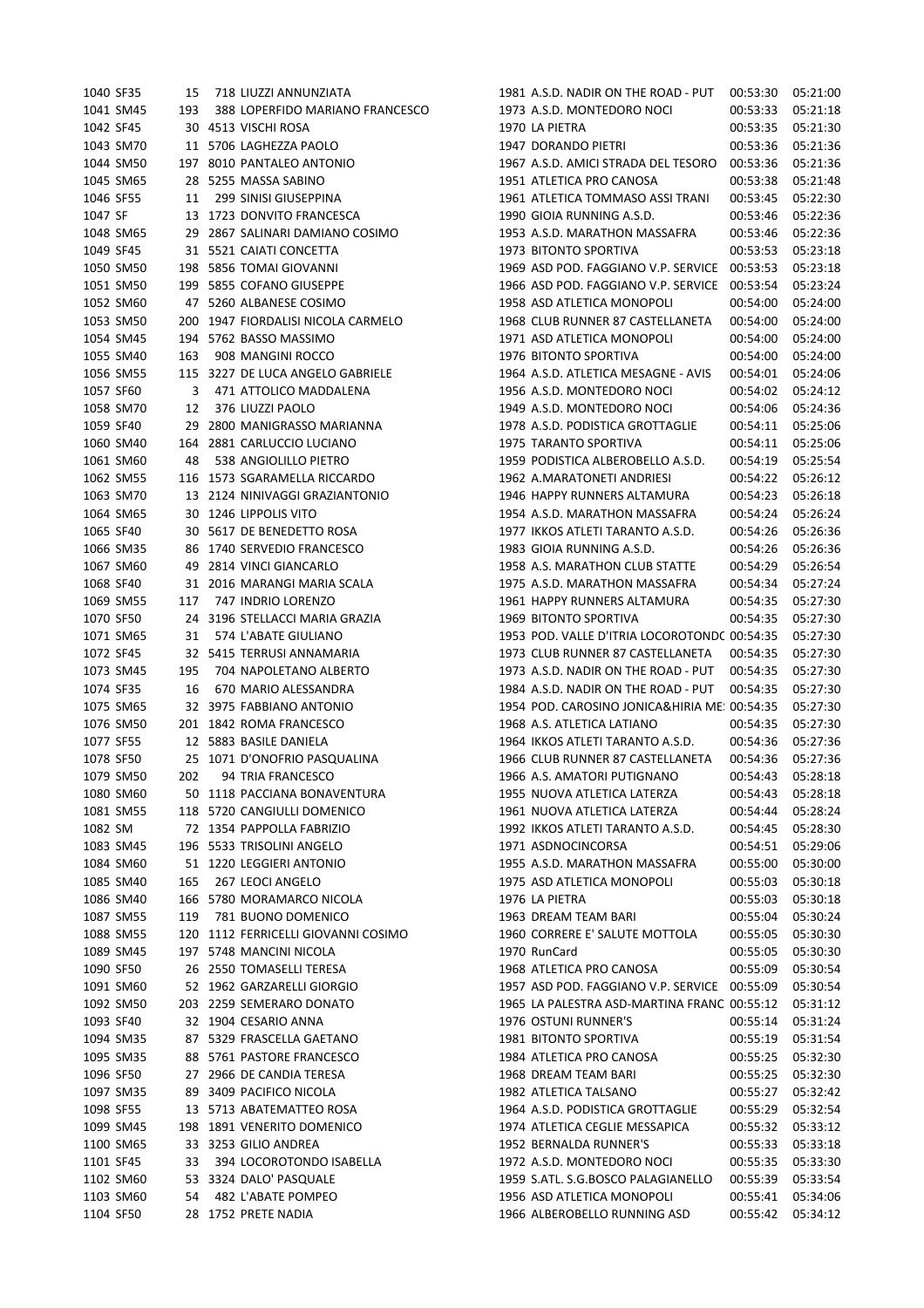|           | 1040 SF35 | 15  | 718 LIUZZI ANNUNZIATA               | 1981 A.S.D. NADIR ON THE ROAD - PUT          | 00:53:30 | 05:21:00 |
|-----------|-----------|-----|-------------------------------------|----------------------------------------------|----------|----------|
|           | 1041 SM45 | 193 | 388 LOPERFIDO MARIANO FRANCESCO     | 1973 A.S.D. MONTEDORO NOCI                   | 00:53:33 | 05:21:18 |
| 1042 SF45 |           |     | 30 4513 VISCHI ROSA                 | 1970 LA PIETRA                               | 00:53:35 | 05:21:30 |
|           | 1043 SM70 |     | 11 5706 LAGHEZZA PAOLO              | 1947 DORANDO PIETRI                          | 00:53:36 | 05:21:36 |
|           | 1044 SM50 |     | 197 8010 PANTALEO ANTONIO           | 1967 A.S.D. AMICI STRADA DEL TESORO          | 00:53:36 | 05:21:36 |
|           | 1045 SM65 |     | 28 5255 MASSA SABINO                | 1951 ATLETICA PRO CANOSA                     | 00:53:38 | 05:21:48 |
| 1046 SF55 |           | 11  | 299 SINISI GIUSEPPINA               | 1961 ATLETICA TOMMASO ASSI TRANI             | 00:53:45 | 05:22:30 |
| 1047 SF   |           |     | 13 1723 DONVITO FRANCESCA           | 1990 GIOIA RUNNING A.S.D.                    |          | 05:22:36 |
|           |           |     |                                     |                                              | 00:53:46 |          |
|           | 1048 SM65 |     | 29 2867 SALINARI DAMIANO COSIMO     | 1953 A.S.D. MARATHON MASSAFRA                | 00:53:46 | 05:22:36 |
| 1049 SF45 |           |     | 31 5521 CAIATI CONCETTA             | 1973 BITONTO SPORTIVA                        | 00:53:53 | 05:23:18 |
|           | 1050 SM50 |     | 198 5856 TOMAI GIOVANNI             | 1969 ASD POD, FAGGIANO V.P. SERVICE          | 00:53:53 | 05:23:18 |
|           | 1051 SM50 |     | 199 5855 COFANO GIUSEPPE            | 1966 ASD POD. FAGGIANO V.P. SERVICE          | 00:53:54 | 05:23:24 |
|           | 1052 SM60 |     | 47 5260 ALBANESE COSIMO             | 1958 ASD ATLETICA MONOPOLI                   | 00:54:00 | 05:24:00 |
|           | 1053 SM50 |     | 200 1947 FIORDALISI NICOLA CARMELO  | 1968 CLUB RUNNER 87 CASTELLANETA             | 00:54:00 | 05:24:00 |
|           | 1054 SM45 |     | 194 5762 BASSO MASSIMO              | 1971 ASD ATLETICA MONOPOLI                   | 00:54:00 | 05:24:00 |
|           | 1055 SM40 | 163 | 908 MANGINI ROCCO                   | 1976 BITONTO SPORTIVA                        | 00:54:00 | 05:24:00 |
|           | 1056 SM55 |     | 115 3227 DE LUCA ANGELO GABRIELE    | 1964 A.S.D. ATLETICA MESAGNE - AVIS          | 00:54:01 | 05:24:06 |
| 1057 SF60 |           | 3   | 471 ATTOLICO MADDALENA              | 1956 A.S.D. MONTEDORO NOCI                   | 00:54:02 | 05:24:12 |
|           | 1058 SM70 | 12  | 376 LIUZZI PAOLO                    | 1949 A.S.D. MONTEDORO NOCI                   | 00:54:06 | 05:24:36 |
| 1059 SF40 |           |     | 29 2800 MANIGRASSO MARIANNA         | 1978 A.S.D. PODISTICA GROTTAGLIE             | 00:54:11 | 05:25:06 |
|           | 1060 SM40 |     | 164 2881 CARLUCCIO LUCIANO          | 1975 TARANTO SPORTIVA                        | 00:54:11 | 05:25:06 |
|           | 1061 SM60 | 48  | 538 ANGIOLILLO PIETRO               | 1959 PODISTICA ALBEROBELLO A.S.D.            | 00:54:19 | 05:25:54 |
|           | 1062 SM55 |     | 116 1573 SGARAMELLA RICCARDO        | 1962 A.MARATONETI ANDRIESI                   | 00:54:22 | 05:26:12 |
|           | 1063 SM70 |     | 13 2124 NINIVAGGI GRAZIANTONIO      | 1946 HAPPY RUNNERS ALTAMURA                  | 00:54:23 | 05:26:18 |
|           | 1064 SM65 |     | 30 1246 LIPPOLIS VITO               | 1954 A.S.D. MARATHON MASSAFRA                | 00:54:24 | 05:26:24 |
| 1065 SF40 |           |     | 30 5617 DE BENEDETTO ROSA           | 1977 IKKOS ATLETI TARANTO A.S.D.             | 00:54:26 | 05:26:36 |
|           | 1066 SM35 |     | 86 1740 SERVEDIO FRANCESCO          | 1983 GIOIA RUNNING A.S.D.                    | 00:54:26 | 05:26:36 |
|           | 1067 SM60 |     | 49 2814 VINCI GIANCARLO             | 1958 A.S. MARATHON CLUB STATTE               | 00:54:29 | 05:26:54 |
|           | 1068 SF40 |     | 31 2016 MARANGI MARIA SCALA         | 1975 A.S.D. MARATHON MASSAFRA                | 00:54:34 | 05:27:24 |
|           | 1069 SM55 | 117 | 747 INDRIO LORENZO                  | 1961 HAPPY RUNNERS ALTAMURA                  | 00:54:35 | 05:27:30 |
| 1070 SF50 |           |     | 24 3196 STELLACCI MARIA GRAZIA      | 1969 BITONTO SPORTIVA                        | 00:54:35 | 05:27:30 |
|           | 1071 SM65 | 31  | 574 L'ABATE GIULIANO                | 1953 POD. VALLE D'ITRIA LOCOROTONDC 00:54:35 |          | 05:27:30 |
| 1072 SF45 |           |     | 32 5415 TERRUSI ANNAMARIA           | 1973 CLUB RUNNER 87 CASTELLANETA             | 00:54:35 | 05:27:30 |
|           | 1073 SM45 | 195 | 704 NAPOLETANO ALBERTO              | 1973 A.S.D. NADIR ON THE ROAD - PUT          | 00:54:35 | 05:27:30 |
| 1074 SF35 |           | 16  | 670 MARIO ALESSANDRA                | 1984 A.S.D. NADIR ON THE ROAD - PUT          | 00:54:35 | 05:27:30 |
|           | 1075 SM65 |     | 32 3975 FABBIANO ANTONIO            | 1954 POD. CAROSINO JONICA&HIRIA ME: 00:54:35 |          | 05:27:30 |
|           |           |     |                                     | 1968 A.S. ATLETICA LATIANO                   |          |          |
|           | 1076 SM50 |     | 201 1842 ROMA FRANCESCO             |                                              | 00:54:35 | 05:27:30 |
| 1077 SF55 |           |     | 12 5883 BASILE DANIELA              | 1964 IKKOS ATLETI TARANTO A.S.D.             | 00:54:36 | 05:27:36 |
| 1078 SF50 |           |     | 25 1071 D'ONOFRIO PASQUALINA        | 1966 CLUB RUNNER 87 CASTELLANETA             | 00:54:36 | 05:27:36 |
|           | 1079 SM50 | 202 | 94 TRIA FRANCESCO                   | 1966 A.S. AMATORI PUTIGNANO                  | 00:54:43 | 05:28:18 |
|           | 1080 SM60 |     | 50 1118 PACCIANA BONAVENTURA        | 1955 NUOVA ATLETICA LATERZA                  | 00:54:43 | 05:28:18 |
|           | 1081 SM55 |     | 118 5720 CANGIULLI DOMENICO         | 1961 NUOVA ATLETICA LATERZA                  | 00:54:44 | 05:28:24 |
| 1082 SM   |           |     | 72 1354 PAPPOLLA FABRIZIO           | 1992 IKKOS ATLETI TARANTO A.S.D.             | 00:54:45 | 05:28:30 |
|           | 1083 SM45 |     | 196 5533 TRISOLINI ANGELO           | 1971 ASDNOCINCORSA                           | 00:54:51 | 05:29:06 |
|           | 1084 SM60 |     | 51 1220 LEGGIERI ANTONIO            | 1955 A.S.D. MARATHON MASSAFRA                | 00:55:00 | 05:30:00 |
|           | 1085 SM40 | 165 | 267 LEOCI ANGELO                    | 1975 ASD ATLETICA MONOPOLI                   | 00:55:03 | 05:30:18 |
|           | 1086 SM40 |     | 166 5780 MORAMARCO NICOLA           | 1976 LA PIETRA                               | 00:55:03 | 05:30:18 |
|           | 1087 SM55 | 119 | 781 BUONO DOMENICO                  | 1963 DREAM TEAM BARI                         | 00:55:04 | 05:30:24 |
|           | 1088 SM55 |     | 120 1112 FERRICELLI GIOVANNI COSIMO | 1960 CORRERE E' SALUTE MOTTOLA               | 00:55:05 | 05:30:30 |
|           | 1089 SM45 |     | 197 5748 MANCINI NICOLA             | 1970 RunCard                                 | 00:55:05 | 05:30:30 |
| 1090 SF50 |           |     | 26 2550 TOMASELLI TERESA            | 1968 ATLETICA PRO CANOSA                     | 00:55:09 | 05:30:54 |
|           | 1091 SM60 |     | 52 1962 GARZARELLI GIORGIO          | 1957 ASD POD. FAGGIANO V.P. SERVICE 00:55:09 |          | 05:30:54 |
|           | 1092 SM50 |     | 203 2259 SEMERARO DONATO            | 1965 LA PALESTRA ASD-MARTINA FRANC 00:55:12  |          | 05:31:12 |
|           | 1093 SF40 |     | 32 1904 CESARIO ANNA                | 1976 OSTUNI RUNNER'S                         | 00:55:14 | 05:31:24 |
|           | 1094 SM35 |     | 87 5329 FRASCELLA GAETANO           | 1981 BITONTO SPORTIVA                        | 00:55:19 | 05:31:54 |
|           | 1095 SM35 |     | 88 5761 PASTORE FRANCESCO           | 1984 ATLETICA PRO CANOSA                     | 00:55:25 | 05:32:30 |
|           | 1096 SF50 |     | 27 2966 DE CANDIA TERESA            | 1968 DREAM TEAM BARI                         | 00:55:25 | 05:32:30 |
|           | 1097 SM35 |     | 89 3409 PACIFICO NICOLA             | 1982 ATLETICA TALSANO                        | 00:55:27 | 05:32:42 |
| 1098 SF55 |           |     | 13 5713 ABATEMATTEO ROSA            | 1964 A.S.D. PODISTICA GROTTAGLIE             | 00:55:29 | 05:32:54 |
|           | 1099 SM45 |     | 198 1891 VENERITO DOMENICO          | 1974 ATLETICA CEGLIE MESSAPICA               | 00:55:32 | 05:33:12 |
|           | 1100 SM65 |     | 33 3253 GILIO ANDREA                | 1952 BERNALDA RUNNER'S                       | 00:55:33 | 05:33:18 |
|           | 1101 SF45 | 33  | 394 LOCOROTONDO ISABELLA            | 1972 A.S.D. MONTEDORO NOCI                   | 00:55:35 | 05:33:30 |
|           | 1102 SM60 |     | 53 3324 DALO' PASQUALE              | 1959 S.ATL. S.G.BOSCO PALAGIANELLO           | 00:55:39 | 05:33:54 |
|           | 1103 SM60 | 54  | 482 L'ABATE POMPEO                  | 1956 ASD ATLETICA MONOPOLI                   | 00:55:41 | 05:34:06 |
| 1104 SF50 |           |     | 28 1752 PRETE NADIA                 | 1966 ALBEROBELLO RUNNING ASD                 | 00:55:42 | 05:34:12 |
|           |           |     |                                     |                                              |          |          |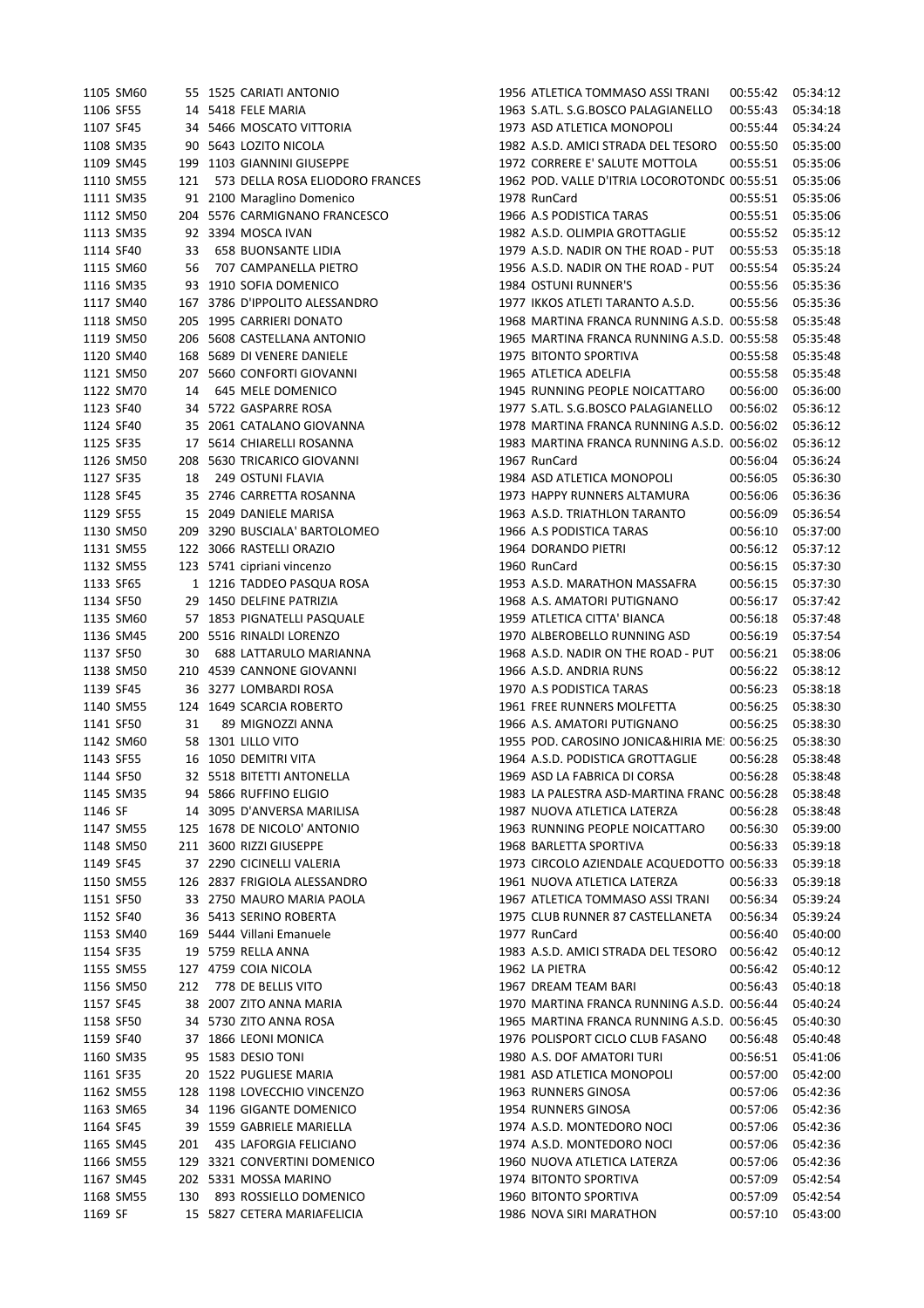| 1106 SF55<br>14 5418 FELE MARIA<br>1963 S.ATL. S.G.BOSCO PALAGIANELLO<br>34 5466 MOSCATO VITTORIA<br>1973 ASD ATLETICA MONOPOLI<br>1107 SF45<br>90 5643 LOZITO NICOLA<br>1108 SM35<br>1982 A.S.D. AMICI STRADA DEL TESORO<br>199 1103 GIANNINI GIUSEPPE<br>1109 SM45<br>1972 CORRERE E' SALUTE MOTTOLA<br>1110 SM55<br>121<br>573 DELLA ROSA ELIODORO FRANCES<br>1962 POD. VALLE D'ITRIA LOCOROTOND( 00:55:51<br>1111 SM35<br>91 2100 Maraglino Domenico<br>1978 RunCard<br>1112 SM50<br>204 5576 CARMIGNANO FRANCESCO<br>1966 A.S PODISTICA TARAS<br>1982 A.S.D. OLIMPIA GROTTAGLIE<br>1113 SM35<br>92 3394 MOSCA IVAN<br>1979 A.S.D. NADIR ON THE ROAD - PUT<br>1114 SF40<br>33<br><b>658 BUONSANTE LIDIA</b><br>1956 A.S.D. NADIR ON THE ROAD - PUT<br>1115 SM60<br>707 CAMPANELLA PIETRO<br>56<br>1116 SM35<br>93 1910 SOFIA DOMENICO<br>1984 OSTUNI RUNNER'S<br>00:55:56<br>1117 SM40<br>167 3786 D'IPPOLITO ALESSANDRO<br>1977 IKKOS ATLETI TARANTO A.S.D.<br>00:55:56<br>1118 SM50<br>205 1995 CARRIERI DONATO<br>1968 MARTINA FRANCA RUNNING A.S.D. 00:55:58<br>1119 SM50<br>206 5608 CASTELLANA ANTONIO<br>1965 MARTINA FRANCA RUNNING A.S.D. 00:55:58<br>1120 SM40<br>168 5689 DI VENERE DANIELE<br>1975 BITONTO SPORTIVA<br>00:55:58<br>1121 SM50<br>207 5660 CONFORTI GIOVANNI<br>1965 ATLETICA ADELFIA<br>00:55:58<br>1122 SM70<br>645 MELE DOMENICO<br>1945 RUNNING PEOPLE NOICATTARO<br>00:56:00<br>14<br>34 5722 GASPARRE ROSA<br>1977 S.ATL. S.G.BOSCO PALAGIANELLO<br>1123 SF40<br>00:56:02<br>35 2061 CATALANO GIOVANNA<br>1978 MARTINA FRANCA RUNNING A.S.D. 00:56:02<br>1124 SF40<br>1125 SF35<br>17 5614 CHIARELLI ROSANNA<br>1983 MARTINA FRANCA RUNNING A.S.D. 00:56:02<br>1126 SM50<br>208 5630 TRICARICO GIOVANNI<br>1967 RunCard<br>1127 SF35<br>249 OSTUNI FLAVIA<br>1984 ASD ATLETICA MONOPOLI<br>18<br>1128 SF45<br>35 2746 CARRETTA ROSANNA<br>1973 HAPPY RUNNERS ALTAMURA<br>1129 SF55<br>15 2049 DANIELE MARISA<br>1963 A.S.D. TRIATHLON TARANTO<br>1130 SM50<br>209 3290 BUSCIALA' BARTOLOMEO<br>1966 A.S PODISTICA TARAS<br>1131 SM55<br>122 3066 RASTELLI ORAZIO<br>1964 DORANDO PIETRI<br>1960 RunCard<br>1132 SM55<br>123 5741 cipriani vincenzo<br>1133 SF65<br>1 1216 TADDEO PASQUA ROSA<br>1953 A.S.D. MARATHON MASSAFRA<br>29 1450 DELFINE PATRIZIA<br>1134 SF50<br>1968 A.S. AMATORI PUTIGNANO<br>1135 SM60<br>57 1853 PIGNATELLI PASQUALE<br>1959 ATLETICA CITTA' BIANCA<br>1136 SM45<br>200 5516 RINALDI LORENZO<br>1970 ALBEROBELLO RUNNING ASD<br>1137 SF50<br>688 LATTARULO MARIANNA<br>1968 A.S.D. NADIR ON THE ROAD - PUT<br>30<br>1138 SM50<br>210 4539 CANNONE GIOVANNI<br>1966 A.S.D. ANDRIA RUNS<br>1139 SF45<br>36 3277 LOMBARDI ROSA<br>1970 A.S PODISTICA TARAS<br>124 1649 SCARCIA ROBERTO<br>1961 FREE RUNNERS MOLFETTA<br>1140 SM55<br>89 MIGNOZZI ANNA<br>1966 A.S. AMATORI PUTIGNANO<br>1141 SF50<br>31<br>1142 SM60<br>58 1301 LILLO VITO<br>1955 POD. CAROSINO JONICA&HIRIA ME: 00:56:25<br>1143 SF55<br>16 1050 DEMITRI VITA<br>1964 A.S.D. PODISTICA GROTTAGLIE<br>32 5518 BITETTI ANTONELLA<br>1969 ASD LA FABRICA DI CORSA<br>1144 SF50<br>94 5866 RUFFINO ELIGIO<br>1983 LA PALESTRA ASD-MARTINA FRANC 00:56:28<br>1145 SM35<br>1146 SF<br>14 3095 D'ANVERSA MARILISA<br>1987 NUOVA ATLETICA LATERZA<br>00:56:28<br>1147 SM55<br>125 1678 DE NICOLO' ANTONIO<br>1963 RUNNING PEOPLE NOICATTARO<br>00:56:30<br>1148 SM50<br>211 3600 RIZZI GIUSEPPE<br>1968 BARLETTA SPORTIVA<br>00:56:33<br>1149 SF45<br>37 2290 CICINELLI VALERIA<br>1973 CIRCOLO AZIENDALE ACQUEDOTTO 00:56:33<br>126 2837 FRIGIOLA ALESSANDRO<br>1961 NUOVA ATLETICA LATERZA<br>1150 SM55<br>00:56:33<br>1151 SF50<br>33 2750 MAURO MARIA PAOLA<br>1967 ATLETICA TOMMASO ASSI TRANI<br>00:56:34<br>1152 SF40<br>36 5413 SERINO ROBERTA<br>1975 CLUB RUNNER 87 CASTELLANETA<br>00:56:34<br>1153 SM40<br>169 5444 Villani Emanuele<br>1977 RunCard<br>00:56:40<br>1154 SF35<br>19 5759 RELLA ANNA<br>1983 A.S.D. AMICI STRADA DEL TESORO<br>00:56:42<br>1155 SM55<br>127 4759 COIA NICOLA<br>1962 LA PIETRA<br>00:56:42<br>1156 SM50<br>778 DE BELLIS VITO<br>1967 DREAM TEAM BARI<br>212<br>1157 SF45<br>38 2007 ZITO ANNA MARIA<br>1970 MARTINA FRANCA RUNNING A.S.D. 00:56:44<br>1158 SF50<br>34 5730 ZITO ANNA ROSA<br>1965 MARTINA FRANCA RUNNING A.S.D. 00:56:45<br>1159 SF40<br>37 1866 LEONI MONICA<br>1976 POLISPORT CICLO CLUB FASANO<br>1160 SM35<br>95 1583 DESIO TONI<br>1980 A.S. DOF AMATORI TURI<br>1161 SF35<br>20 1522 PUGLIESE MARIA<br>1981 ASD ATLETICA MONOPOLI<br>1162 SM55<br>128 1198 LOVECCHIO VINCENZO<br>1963 RUNNERS GINOSA<br>1163 SM65<br>34 1196 GIGANTE DOMENICO<br>1954 RUNNERS GINOSA<br>39 1559 GABRIELE MARIELLA<br>1974 A.S.D. MONTEDORO NOCI<br>1164 SF45<br>1974 A.S.D. MONTEDORO NOCI<br>1165 SM45<br>435 LAFORGIA FELICIANO<br>201<br>1166 SM55<br>129 3321 CONVERTINI DOMENICO<br>1960 NUOVA ATLETICA LATERZA<br>1167 SM45<br>202 5331 MOSSA MARINO<br>1974 BITONTO SPORTIVA<br>893 ROSSIELLO DOMENICO<br>1168 SM55<br>130<br>1960 BITONTO SPORTIVA<br>1169 SF<br>15 5827 CETERA MARIAFELICIA<br>1986 NOVA SIRI MARATHON | 1105 SM60 |  | 55 1525 CARIATI ANTONIO | 1956 ATLETICA TOMMASO ASSI TRANI | 00:55:42 | 05:34:12 |
|-----------------------------------------------------------------------------------------------------------------------------------------------------------------------------------------------------------------------------------------------------------------------------------------------------------------------------------------------------------------------------------------------------------------------------------------------------------------------------------------------------------------------------------------------------------------------------------------------------------------------------------------------------------------------------------------------------------------------------------------------------------------------------------------------------------------------------------------------------------------------------------------------------------------------------------------------------------------------------------------------------------------------------------------------------------------------------------------------------------------------------------------------------------------------------------------------------------------------------------------------------------------------------------------------------------------------------------------------------------------------------------------------------------------------------------------------------------------------------------------------------------------------------------------------------------------------------------------------------------------------------------------------------------------------------------------------------------------------------------------------------------------------------------------------------------------------------------------------------------------------------------------------------------------------------------------------------------------------------------------------------------------------------------------------------------------------------------------------------------------------------------------------------------------------------------------------------------------------------------------------------------------------------------------------------------------------------------------------------------------------------------------------------------------------------------------------------------------------------------------------------------------------------------------------------------------------------------------------------------------------------------------------------------------------------------------------------------------------------------------------------------------------------------------------------------------------------------------------------------------------------------------------------------------------------------------------------------------------------------------------------------------------------------------------------------------------------------------------------------------------------------------------------------------------------------------------------------------------------------------------------------------------------------------------------------------------------------------------------------------------------------------------------------------------------------------------------------------------------------------------------------------------------------------------------------------------------------------------------------------------------------------------------------------------------------------------------------------------------------------------------------------------------------------------------------------------------------------------------------------------------------------------------------------------------------------------------------------------------------------------------------------------------------------------------------------------------------------------------------------------------------------------------------------------------------------------------------------------------------------------------------------------------------------------------------------------------------------------------------------------------------------------------------------------------------------------------------------------------------------------------------------------------------------------------------------------------------------------------------------------------------------------------------------------------------------------------------------------------------------------------------------------------------------------------------------------------------------------------------------------------------------------------------------------------------------------------------------------------------------------------------------------------------------------------------------------------------------------------------|-----------|--|-------------------------|----------------------------------|----------|----------|
|                                                                                                                                                                                                                                                                                                                                                                                                                                                                                                                                                                                                                                                                                                                                                                                                                                                                                                                                                                                                                                                                                                                                                                                                                                                                                                                                                                                                                                                                                                                                                                                                                                                                                                                                                                                                                                                                                                                                                                                                                                                                                                                                                                                                                                                                                                                                                                                                                                                                                                                                                                                                                                                                                                                                                                                                                                                                                                                                                                                                                                                                                                                                                                                                                                                                                                                                                                                                                                                                                                                                                                                                                                                                                                                                                                                                                                                                                                                                                                                                                                                                                                                                                                                                                                                                                                                                                                                                                                                                                                                                                                                                                                                                                                                                                                                                                                                                                                                                                                                                                                                                                                           |           |  |                         |                                  | 00:55:43 | 05:34:18 |
|                                                                                                                                                                                                                                                                                                                                                                                                                                                                                                                                                                                                                                                                                                                                                                                                                                                                                                                                                                                                                                                                                                                                                                                                                                                                                                                                                                                                                                                                                                                                                                                                                                                                                                                                                                                                                                                                                                                                                                                                                                                                                                                                                                                                                                                                                                                                                                                                                                                                                                                                                                                                                                                                                                                                                                                                                                                                                                                                                                                                                                                                                                                                                                                                                                                                                                                                                                                                                                                                                                                                                                                                                                                                                                                                                                                                                                                                                                                                                                                                                                                                                                                                                                                                                                                                                                                                                                                                                                                                                                                                                                                                                                                                                                                                                                                                                                                                                                                                                                                                                                                                                                           |           |  |                         |                                  | 00:55:44 | 05:34:24 |
|                                                                                                                                                                                                                                                                                                                                                                                                                                                                                                                                                                                                                                                                                                                                                                                                                                                                                                                                                                                                                                                                                                                                                                                                                                                                                                                                                                                                                                                                                                                                                                                                                                                                                                                                                                                                                                                                                                                                                                                                                                                                                                                                                                                                                                                                                                                                                                                                                                                                                                                                                                                                                                                                                                                                                                                                                                                                                                                                                                                                                                                                                                                                                                                                                                                                                                                                                                                                                                                                                                                                                                                                                                                                                                                                                                                                                                                                                                                                                                                                                                                                                                                                                                                                                                                                                                                                                                                                                                                                                                                                                                                                                                                                                                                                                                                                                                                                                                                                                                                                                                                                                                           |           |  |                         |                                  | 00:55:50 | 05:35:00 |
|                                                                                                                                                                                                                                                                                                                                                                                                                                                                                                                                                                                                                                                                                                                                                                                                                                                                                                                                                                                                                                                                                                                                                                                                                                                                                                                                                                                                                                                                                                                                                                                                                                                                                                                                                                                                                                                                                                                                                                                                                                                                                                                                                                                                                                                                                                                                                                                                                                                                                                                                                                                                                                                                                                                                                                                                                                                                                                                                                                                                                                                                                                                                                                                                                                                                                                                                                                                                                                                                                                                                                                                                                                                                                                                                                                                                                                                                                                                                                                                                                                                                                                                                                                                                                                                                                                                                                                                                                                                                                                                                                                                                                                                                                                                                                                                                                                                                                                                                                                                                                                                                                                           |           |  |                         |                                  | 00:55:51 | 05:35:06 |
|                                                                                                                                                                                                                                                                                                                                                                                                                                                                                                                                                                                                                                                                                                                                                                                                                                                                                                                                                                                                                                                                                                                                                                                                                                                                                                                                                                                                                                                                                                                                                                                                                                                                                                                                                                                                                                                                                                                                                                                                                                                                                                                                                                                                                                                                                                                                                                                                                                                                                                                                                                                                                                                                                                                                                                                                                                                                                                                                                                                                                                                                                                                                                                                                                                                                                                                                                                                                                                                                                                                                                                                                                                                                                                                                                                                                                                                                                                                                                                                                                                                                                                                                                                                                                                                                                                                                                                                                                                                                                                                                                                                                                                                                                                                                                                                                                                                                                                                                                                                                                                                                                                           |           |  |                         |                                  |          | 05:35:06 |
|                                                                                                                                                                                                                                                                                                                                                                                                                                                                                                                                                                                                                                                                                                                                                                                                                                                                                                                                                                                                                                                                                                                                                                                                                                                                                                                                                                                                                                                                                                                                                                                                                                                                                                                                                                                                                                                                                                                                                                                                                                                                                                                                                                                                                                                                                                                                                                                                                                                                                                                                                                                                                                                                                                                                                                                                                                                                                                                                                                                                                                                                                                                                                                                                                                                                                                                                                                                                                                                                                                                                                                                                                                                                                                                                                                                                                                                                                                                                                                                                                                                                                                                                                                                                                                                                                                                                                                                                                                                                                                                                                                                                                                                                                                                                                                                                                                                                                                                                                                                                                                                                                                           |           |  |                         |                                  | 00:55:51 | 05:35:06 |
|                                                                                                                                                                                                                                                                                                                                                                                                                                                                                                                                                                                                                                                                                                                                                                                                                                                                                                                                                                                                                                                                                                                                                                                                                                                                                                                                                                                                                                                                                                                                                                                                                                                                                                                                                                                                                                                                                                                                                                                                                                                                                                                                                                                                                                                                                                                                                                                                                                                                                                                                                                                                                                                                                                                                                                                                                                                                                                                                                                                                                                                                                                                                                                                                                                                                                                                                                                                                                                                                                                                                                                                                                                                                                                                                                                                                                                                                                                                                                                                                                                                                                                                                                                                                                                                                                                                                                                                                                                                                                                                                                                                                                                                                                                                                                                                                                                                                                                                                                                                                                                                                                                           |           |  |                         |                                  | 00:55:51 | 05:35:06 |
|                                                                                                                                                                                                                                                                                                                                                                                                                                                                                                                                                                                                                                                                                                                                                                                                                                                                                                                                                                                                                                                                                                                                                                                                                                                                                                                                                                                                                                                                                                                                                                                                                                                                                                                                                                                                                                                                                                                                                                                                                                                                                                                                                                                                                                                                                                                                                                                                                                                                                                                                                                                                                                                                                                                                                                                                                                                                                                                                                                                                                                                                                                                                                                                                                                                                                                                                                                                                                                                                                                                                                                                                                                                                                                                                                                                                                                                                                                                                                                                                                                                                                                                                                                                                                                                                                                                                                                                                                                                                                                                                                                                                                                                                                                                                                                                                                                                                                                                                                                                                                                                                                                           |           |  |                         |                                  | 00:55:52 | 05:35:12 |
|                                                                                                                                                                                                                                                                                                                                                                                                                                                                                                                                                                                                                                                                                                                                                                                                                                                                                                                                                                                                                                                                                                                                                                                                                                                                                                                                                                                                                                                                                                                                                                                                                                                                                                                                                                                                                                                                                                                                                                                                                                                                                                                                                                                                                                                                                                                                                                                                                                                                                                                                                                                                                                                                                                                                                                                                                                                                                                                                                                                                                                                                                                                                                                                                                                                                                                                                                                                                                                                                                                                                                                                                                                                                                                                                                                                                                                                                                                                                                                                                                                                                                                                                                                                                                                                                                                                                                                                                                                                                                                                                                                                                                                                                                                                                                                                                                                                                                                                                                                                                                                                                                                           |           |  |                         |                                  | 00:55:53 | 05:35:18 |
|                                                                                                                                                                                                                                                                                                                                                                                                                                                                                                                                                                                                                                                                                                                                                                                                                                                                                                                                                                                                                                                                                                                                                                                                                                                                                                                                                                                                                                                                                                                                                                                                                                                                                                                                                                                                                                                                                                                                                                                                                                                                                                                                                                                                                                                                                                                                                                                                                                                                                                                                                                                                                                                                                                                                                                                                                                                                                                                                                                                                                                                                                                                                                                                                                                                                                                                                                                                                                                                                                                                                                                                                                                                                                                                                                                                                                                                                                                                                                                                                                                                                                                                                                                                                                                                                                                                                                                                                                                                                                                                                                                                                                                                                                                                                                                                                                                                                                                                                                                                                                                                                                                           |           |  |                         |                                  | 00:55:54 | 05:35:24 |
|                                                                                                                                                                                                                                                                                                                                                                                                                                                                                                                                                                                                                                                                                                                                                                                                                                                                                                                                                                                                                                                                                                                                                                                                                                                                                                                                                                                                                                                                                                                                                                                                                                                                                                                                                                                                                                                                                                                                                                                                                                                                                                                                                                                                                                                                                                                                                                                                                                                                                                                                                                                                                                                                                                                                                                                                                                                                                                                                                                                                                                                                                                                                                                                                                                                                                                                                                                                                                                                                                                                                                                                                                                                                                                                                                                                                                                                                                                                                                                                                                                                                                                                                                                                                                                                                                                                                                                                                                                                                                                                                                                                                                                                                                                                                                                                                                                                                                                                                                                                                                                                                                                           |           |  |                         |                                  |          | 05:35:36 |
|                                                                                                                                                                                                                                                                                                                                                                                                                                                                                                                                                                                                                                                                                                                                                                                                                                                                                                                                                                                                                                                                                                                                                                                                                                                                                                                                                                                                                                                                                                                                                                                                                                                                                                                                                                                                                                                                                                                                                                                                                                                                                                                                                                                                                                                                                                                                                                                                                                                                                                                                                                                                                                                                                                                                                                                                                                                                                                                                                                                                                                                                                                                                                                                                                                                                                                                                                                                                                                                                                                                                                                                                                                                                                                                                                                                                                                                                                                                                                                                                                                                                                                                                                                                                                                                                                                                                                                                                                                                                                                                                                                                                                                                                                                                                                                                                                                                                                                                                                                                                                                                                                                           |           |  |                         |                                  |          | 05:35:36 |
|                                                                                                                                                                                                                                                                                                                                                                                                                                                                                                                                                                                                                                                                                                                                                                                                                                                                                                                                                                                                                                                                                                                                                                                                                                                                                                                                                                                                                                                                                                                                                                                                                                                                                                                                                                                                                                                                                                                                                                                                                                                                                                                                                                                                                                                                                                                                                                                                                                                                                                                                                                                                                                                                                                                                                                                                                                                                                                                                                                                                                                                                                                                                                                                                                                                                                                                                                                                                                                                                                                                                                                                                                                                                                                                                                                                                                                                                                                                                                                                                                                                                                                                                                                                                                                                                                                                                                                                                                                                                                                                                                                                                                                                                                                                                                                                                                                                                                                                                                                                                                                                                                                           |           |  |                         |                                  |          | 05:35:48 |
|                                                                                                                                                                                                                                                                                                                                                                                                                                                                                                                                                                                                                                                                                                                                                                                                                                                                                                                                                                                                                                                                                                                                                                                                                                                                                                                                                                                                                                                                                                                                                                                                                                                                                                                                                                                                                                                                                                                                                                                                                                                                                                                                                                                                                                                                                                                                                                                                                                                                                                                                                                                                                                                                                                                                                                                                                                                                                                                                                                                                                                                                                                                                                                                                                                                                                                                                                                                                                                                                                                                                                                                                                                                                                                                                                                                                                                                                                                                                                                                                                                                                                                                                                                                                                                                                                                                                                                                                                                                                                                                                                                                                                                                                                                                                                                                                                                                                                                                                                                                                                                                                                                           |           |  |                         |                                  |          | 05:35:48 |
|                                                                                                                                                                                                                                                                                                                                                                                                                                                                                                                                                                                                                                                                                                                                                                                                                                                                                                                                                                                                                                                                                                                                                                                                                                                                                                                                                                                                                                                                                                                                                                                                                                                                                                                                                                                                                                                                                                                                                                                                                                                                                                                                                                                                                                                                                                                                                                                                                                                                                                                                                                                                                                                                                                                                                                                                                                                                                                                                                                                                                                                                                                                                                                                                                                                                                                                                                                                                                                                                                                                                                                                                                                                                                                                                                                                                                                                                                                                                                                                                                                                                                                                                                                                                                                                                                                                                                                                                                                                                                                                                                                                                                                                                                                                                                                                                                                                                                                                                                                                                                                                                                                           |           |  |                         |                                  |          | 05:35:48 |
|                                                                                                                                                                                                                                                                                                                                                                                                                                                                                                                                                                                                                                                                                                                                                                                                                                                                                                                                                                                                                                                                                                                                                                                                                                                                                                                                                                                                                                                                                                                                                                                                                                                                                                                                                                                                                                                                                                                                                                                                                                                                                                                                                                                                                                                                                                                                                                                                                                                                                                                                                                                                                                                                                                                                                                                                                                                                                                                                                                                                                                                                                                                                                                                                                                                                                                                                                                                                                                                                                                                                                                                                                                                                                                                                                                                                                                                                                                                                                                                                                                                                                                                                                                                                                                                                                                                                                                                                                                                                                                                                                                                                                                                                                                                                                                                                                                                                                                                                                                                                                                                                                                           |           |  |                         |                                  |          | 05:35:48 |
|                                                                                                                                                                                                                                                                                                                                                                                                                                                                                                                                                                                                                                                                                                                                                                                                                                                                                                                                                                                                                                                                                                                                                                                                                                                                                                                                                                                                                                                                                                                                                                                                                                                                                                                                                                                                                                                                                                                                                                                                                                                                                                                                                                                                                                                                                                                                                                                                                                                                                                                                                                                                                                                                                                                                                                                                                                                                                                                                                                                                                                                                                                                                                                                                                                                                                                                                                                                                                                                                                                                                                                                                                                                                                                                                                                                                                                                                                                                                                                                                                                                                                                                                                                                                                                                                                                                                                                                                                                                                                                                                                                                                                                                                                                                                                                                                                                                                                                                                                                                                                                                                                                           |           |  |                         |                                  |          |          |
|                                                                                                                                                                                                                                                                                                                                                                                                                                                                                                                                                                                                                                                                                                                                                                                                                                                                                                                                                                                                                                                                                                                                                                                                                                                                                                                                                                                                                                                                                                                                                                                                                                                                                                                                                                                                                                                                                                                                                                                                                                                                                                                                                                                                                                                                                                                                                                                                                                                                                                                                                                                                                                                                                                                                                                                                                                                                                                                                                                                                                                                                                                                                                                                                                                                                                                                                                                                                                                                                                                                                                                                                                                                                                                                                                                                                                                                                                                                                                                                                                                                                                                                                                                                                                                                                                                                                                                                                                                                                                                                                                                                                                                                                                                                                                                                                                                                                                                                                                                                                                                                                                                           |           |  |                         |                                  |          | 05:36:00 |
|                                                                                                                                                                                                                                                                                                                                                                                                                                                                                                                                                                                                                                                                                                                                                                                                                                                                                                                                                                                                                                                                                                                                                                                                                                                                                                                                                                                                                                                                                                                                                                                                                                                                                                                                                                                                                                                                                                                                                                                                                                                                                                                                                                                                                                                                                                                                                                                                                                                                                                                                                                                                                                                                                                                                                                                                                                                                                                                                                                                                                                                                                                                                                                                                                                                                                                                                                                                                                                                                                                                                                                                                                                                                                                                                                                                                                                                                                                                                                                                                                                                                                                                                                                                                                                                                                                                                                                                                                                                                                                                                                                                                                                                                                                                                                                                                                                                                                                                                                                                                                                                                                                           |           |  |                         |                                  |          | 05:36:12 |
|                                                                                                                                                                                                                                                                                                                                                                                                                                                                                                                                                                                                                                                                                                                                                                                                                                                                                                                                                                                                                                                                                                                                                                                                                                                                                                                                                                                                                                                                                                                                                                                                                                                                                                                                                                                                                                                                                                                                                                                                                                                                                                                                                                                                                                                                                                                                                                                                                                                                                                                                                                                                                                                                                                                                                                                                                                                                                                                                                                                                                                                                                                                                                                                                                                                                                                                                                                                                                                                                                                                                                                                                                                                                                                                                                                                                                                                                                                                                                                                                                                                                                                                                                                                                                                                                                                                                                                                                                                                                                                                                                                                                                                                                                                                                                                                                                                                                                                                                                                                                                                                                                                           |           |  |                         |                                  |          | 05:36:12 |
|                                                                                                                                                                                                                                                                                                                                                                                                                                                                                                                                                                                                                                                                                                                                                                                                                                                                                                                                                                                                                                                                                                                                                                                                                                                                                                                                                                                                                                                                                                                                                                                                                                                                                                                                                                                                                                                                                                                                                                                                                                                                                                                                                                                                                                                                                                                                                                                                                                                                                                                                                                                                                                                                                                                                                                                                                                                                                                                                                                                                                                                                                                                                                                                                                                                                                                                                                                                                                                                                                                                                                                                                                                                                                                                                                                                                                                                                                                                                                                                                                                                                                                                                                                                                                                                                                                                                                                                                                                                                                                                                                                                                                                                                                                                                                                                                                                                                                                                                                                                                                                                                                                           |           |  |                         |                                  |          | 05:36:12 |
|                                                                                                                                                                                                                                                                                                                                                                                                                                                                                                                                                                                                                                                                                                                                                                                                                                                                                                                                                                                                                                                                                                                                                                                                                                                                                                                                                                                                                                                                                                                                                                                                                                                                                                                                                                                                                                                                                                                                                                                                                                                                                                                                                                                                                                                                                                                                                                                                                                                                                                                                                                                                                                                                                                                                                                                                                                                                                                                                                                                                                                                                                                                                                                                                                                                                                                                                                                                                                                                                                                                                                                                                                                                                                                                                                                                                                                                                                                                                                                                                                                                                                                                                                                                                                                                                                                                                                                                                                                                                                                                                                                                                                                                                                                                                                                                                                                                                                                                                                                                                                                                                                                           |           |  |                         |                                  | 00:56:04 | 05:36:24 |
|                                                                                                                                                                                                                                                                                                                                                                                                                                                                                                                                                                                                                                                                                                                                                                                                                                                                                                                                                                                                                                                                                                                                                                                                                                                                                                                                                                                                                                                                                                                                                                                                                                                                                                                                                                                                                                                                                                                                                                                                                                                                                                                                                                                                                                                                                                                                                                                                                                                                                                                                                                                                                                                                                                                                                                                                                                                                                                                                                                                                                                                                                                                                                                                                                                                                                                                                                                                                                                                                                                                                                                                                                                                                                                                                                                                                                                                                                                                                                                                                                                                                                                                                                                                                                                                                                                                                                                                                                                                                                                                                                                                                                                                                                                                                                                                                                                                                                                                                                                                                                                                                                                           |           |  |                         |                                  | 00:56:05 | 05:36:30 |
|                                                                                                                                                                                                                                                                                                                                                                                                                                                                                                                                                                                                                                                                                                                                                                                                                                                                                                                                                                                                                                                                                                                                                                                                                                                                                                                                                                                                                                                                                                                                                                                                                                                                                                                                                                                                                                                                                                                                                                                                                                                                                                                                                                                                                                                                                                                                                                                                                                                                                                                                                                                                                                                                                                                                                                                                                                                                                                                                                                                                                                                                                                                                                                                                                                                                                                                                                                                                                                                                                                                                                                                                                                                                                                                                                                                                                                                                                                                                                                                                                                                                                                                                                                                                                                                                                                                                                                                                                                                                                                                                                                                                                                                                                                                                                                                                                                                                                                                                                                                                                                                                                                           |           |  |                         |                                  | 00:56:06 | 05:36:36 |
|                                                                                                                                                                                                                                                                                                                                                                                                                                                                                                                                                                                                                                                                                                                                                                                                                                                                                                                                                                                                                                                                                                                                                                                                                                                                                                                                                                                                                                                                                                                                                                                                                                                                                                                                                                                                                                                                                                                                                                                                                                                                                                                                                                                                                                                                                                                                                                                                                                                                                                                                                                                                                                                                                                                                                                                                                                                                                                                                                                                                                                                                                                                                                                                                                                                                                                                                                                                                                                                                                                                                                                                                                                                                                                                                                                                                                                                                                                                                                                                                                                                                                                                                                                                                                                                                                                                                                                                                                                                                                                                                                                                                                                                                                                                                                                                                                                                                                                                                                                                                                                                                                                           |           |  |                         |                                  | 00:56:09 | 05:36:54 |
|                                                                                                                                                                                                                                                                                                                                                                                                                                                                                                                                                                                                                                                                                                                                                                                                                                                                                                                                                                                                                                                                                                                                                                                                                                                                                                                                                                                                                                                                                                                                                                                                                                                                                                                                                                                                                                                                                                                                                                                                                                                                                                                                                                                                                                                                                                                                                                                                                                                                                                                                                                                                                                                                                                                                                                                                                                                                                                                                                                                                                                                                                                                                                                                                                                                                                                                                                                                                                                                                                                                                                                                                                                                                                                                                                                                                                                                                                                                                                                                                                                                                                                                                                                                                                                                                                                                                                                                                                                                                                                                                                                                                                                                                                                                                                                                                                                                                                                                                                                                                                                                                                                           |           |  |                         |                                  | 00:56:10 | 05:37:00 |
|                                                                                                                                                                                                                                                                                                                                                                                                                                                                                                                                                                                                                                                                                                                                                                                                                                                                                                                                                                                                                                                                                                                                                                                                                                                                                                                                                                                                                                                                                                                                                                                                                                                                                                                                                                                                                                                                                                                                                                                                                                                                                                                                                                                                                                                                                                                                                                                                                                                                                                                                                                                                                                                                                                                                                                                                                                                                                                                                                                                                                                                                                                                                                                                                                                                                                                                                                                                                                                                                                                                                                                                                                                                                                                                                                                                                                                                                                                                                                                                                                                                                                                                                                                                                                                                                                                                                                                                                                                                                                                                                                                                                                                                                                                                                                                                                                                                                                                                                                                                                                                                                                                           |           |  |                         |                                  | 00:56:12 | 05:37:12 |
|                                                                                                                                                                                                                                                                                                                                                                                                                                                                                                                                                                                                                                                                                                                                                                                                                                                                                                                                                                                                                                                                                                                                                                                                                                                                                                                                                                                                                                                                                                                                                                                                                                                                                                                                                                                                                                                                                                                                                                                                                                                                                                                                                                                                                                                                                                                                                                                                                                                                                                                                                                                                                                                                                                                                                                                                                                                                                                                                                                                                                                                                                                                                                                                                                                                                                                                                                                                                                                                                                                                                                                                                                                                                                                                                                                                                                                                                                                                                                                                                                                                                                                                                                                                                                                                                                                                                                                                                                                                                                                                                                                                                                                                                                                                                                                                                                                                                                                                                                                                                                                                                                                           |           |  |                         |                                  | 00:56:15 | 05:37:30 |
|                                                                                                                                                                                                                                                                                                                                                                                                                                                                                                                                                                                                                                                                                                                                                                                                                                                                                                                                                                                                                                                                                                                                                                                                                                                                                                                                                                                                                                                                                                                                                                                                                                                                                                                                                                                                                                                                                                                                                                                                                                                                                                                                                                                                                                                                                                                                                                                                                                                                                                                                                                                                                                                                                                                                                                                                                                                                                                                                                                                                                                                                                                                                                                                                                                                                                                                                                                                                                                                                                                                                                                                                                                                                                                                                                                                                                                                                                                                                                                                                                                                                                                                                                                                                                                                                                                                                                                                                                                                                                                                                                                                                                                                                                                                                                                                                                                                                                                                                                                                                                                                                                                           |           |  |                         |                                  | 00:56:15 | 05:37:30 |
|                                                                                                                                                                                                                                                                                                                                                                                                                                                                                                                                                                                                                                                                                                                                                                                                                                                                                                                                                                                                                                                                                                                                                                                                                                                                                                                                                                                                                                                                                                                                                                                                                                                                                                                                                                                                                                                                                                                                                                                                                                                                                                                                                                                                                                                                                                                                                                                                                                                                                                                                                                                                                                                                                                                                                                                                                                                                                                                                                                                                                                                                                                                                                                                                                                                                                                                                                                                                                                                                                                                                                                                                                                                                                                                                                                                                                                                                                                                                                                                                                                                                                                                                                                                                                                                                                                                                                                                                                                                                                                                                                                                                                                                                                                                                                                                                                                                                                                                                                                                                                                                                                                           |           |  |                         |                                  | 00:56:17 | 05:37:42 |
|                                                                                                                                                                                                                                                                                                                                                                                                                                                                                                                                                                                                                                                                                                                                                                                                                                                                                                                                                                                                                                                                                                                                                                                                                                                                                                                                                                                                                                                                                                                                                                                                                                                                                                                                                                                                                                                                                                                                                                                                                                                                                                                                                                                                                                                                                                                                                                                                                                                                                                                                                                                                                                                                                                                                                                                                                                                                                                                                                                                                                                                                                                                                                                                                                                                                                                                                                                                                                                                                                                                                                                                                                                                                                                                                                                                                                                                                                                                                                                                                                                                                                                                                                                                                                                                                                                                                                                                                                                                                                                                                                                                                                                                                                                                                                                                                                                                                                                                                                                                                                                                                                                           |           |  |                         |                                  | 00:56:18 | 05:37:48 |
|                                                                                                                                                                                                                                                                                                                                                                                                                                                                                                                                                                                                                                                                                                                                                                                                                                                                                                                                                                                                                                                                                                                                                                                                                                                                                                                                                                                                                                                                                                                                                                                                                                                                                                                                                                                                                                                                                                                                                                                                                                                                                                                                                                                                                                                                                                                                                                                                                                                                                                                                                                                                                                                                                                                                                                                                                                                                                                                                                                                                                                                                                                                                                                                                                                                                                                                                                                                                                                                                                                                                                                                                                                                                                                                                                                                                                                                                                                                                                                                                                                                                                                                                                                                                                                                                                                                                                                                                                                                                                                                                                                                                                                                                                                                                                                                                                                                                                                                                                                                                                                                                                                           |           |  |                         |                                  | 00:56:19 | 05:37:54 |
|                                                                                                                                                                                                                                                                                                                                                                                                                                                                                                                                                                                                                                                                                                                                                                                                                                                                                                                                                                                                                                                                                                                                                                                                                                                                                                                                                                                                                                                                                                                                                                                                                                                                                                                                                                                                                                                                                                                                                                                                                                                                                                                                                                                                                                                                                                                                                                                                                                                                                                                                                                                                                                                                                                                                                                                                                                                                                                                                                                                                                                                                                                                                                                                                                                                                                                                                                                                                                                                                                                                                                                                                                                                                                                                                                                                                                                                                                                                                                                                                                                                                                                                                                                                                                                                                                                                                                                                                                                                                                                                                                                                                                                                                                                                                                                                                                                                                                                                                                                                                                                                                                                           |           |  |                         |                                  | 00:56:21 | 05:38:06 |
|                                                                                                                                                                                                                                                                                                                                                                                                                                                                                                                                                                                                                                                                                                                                                                                                                                                                                                                                                                                                                                                                                                                                                                                                                                                                                                                                                                                                                                                                                                                                                                                                                                                                                                                                                                                                                                                                                                                                                                                                                                                                                                                                                                                                                                                                                                                                                                                                                                                                                                                                                                                                                                                                                                                                                                                                                                                                                                                                                                                                                                                                                                                                                                                                                                                                                                                                                                                                                                                                                                                                                                                                                                                                                                                                                                                                                                                                                                                                                                                                                                                                                                                                                                                                                                                                                                                                                                                                                                                                                                                                                                                                                                                                                                                                                                                                                                                                                                                                                                                                                                                                                                           |           |  |                         |                                  | 00:56:22 | 05:38:12 |
|                                                                                                                                                                                                                                                                                                                                                                                                                                                                                                                                                                                                                                                                                                                                                                                                                                                                                                                                                                                                                                                                                                                                                                                                                                                                                                                                                                                                                                                                                                                                                                                                                                                                                                                                                                                                                                                                                                                                                                                                                                                                                                                                                                                                                                                                                                                                                                                                                                                                                                                                                                                                                                                                                                                                                                                                                                                                                                                                                                                                                                                                                                                                                                                                                                                                                                                                                                                                                                                                                                                                                                                                                                                                                                                                                                                                                                                                                                                                                                                                                                                                                                                                                                                                                                                                                                                                                                                                                                                                                                                                                                                                                                                                                                                                                                                                                                                                                                                                                                                                                                                                                                           |           |  |                         |                                  | 00:56:23 | 05:38:18 |
|                                                                                                                                                                                                                                                                                                                                                                                                                                                                                                                                                                                                                                                                                                                                                                                                                                                                                                                                                                                                                                                                                                                                                                                                                                                                                                                                                                                                                                                                                                                                                                                                                                                                                                                                                                                                                                                                                                                                                                                                                                                                                                                                                                                                                                                                                                                                                                                                                                                                                                                                                                                                                                                                                                                                                                                                                                                                                                                                                                                                                                                                                                                                                                                                                                                                                                                                                                                                                                                                                                                                                                                                                                                                                                                                                                                                                                                                                                                                                                                                                                                                                                                                                                                                                                                                                                                                                                                                                                                                                                                                                                                                                                                                                                                                                                                                                                                                                                                                                                                                                                                                                                           |           |  |                         |                                  | 00:56:25 | 05:38:30 |
|                                                                                                                                                                                                                                                                                                                                                                                                                                                                                                                                                                                                                                                                                                                                                                                                                                                                                                                                                                                                                                                                                                                                                                                                                                                                                                                                                                                                                                                                                                                                                                                                                                                                                                                                                                                                                                                                                                                                                                                                                                                                                                                                                                                                                                                                                                                                                                                                                                                                                                                                                                                                                                                                                                                                                                                                                                                                                                                                                                                                                                                                                                                                                                                                                                                                                                                                                                                                                                                                                                                                                                                                                                                                                                                                                                                                                                                                                                                                                                                                                                                                                                                                                                                                                                                                                                                                                                                                                                                                                                                                                                                                                                                                                                                                                                                                                                                                                                                                                                                                                                                                                                           |           |  |                         |                                  | 00:56:25 | 05:38:30 |
|                                                                                                                                                                                                                                                                                                                                                                                                                                                                                                                                                                                                                                                                                                                                                                                                                                                                                                                                                                                                                                                                                                                                                                                                                                                                                                                                                                                                                                                                                                                                                                                                                                                                                                                                                                                                                                                                                                                                                                                                                                                                                                                                                                                                                                                                                                                                                                                                                                                                                                                                                                                                                                                                                                                                                                                                                                                                                                                                                                                                                                                                                                                                                                                                                                                                                                                                                                                                                                                                                                                                                                                                                                                                                                                                                                                                                                                                                                                                                                                                                                                                                                                                                                                                                                                                                                                                                                                                                                                                                                                                                                                                                                                                                                                                                                                                                                                                                                                                                                                                                                                                                                           |           |  |                         |                                  |          | 05:38:30 |
|                                                                                                                                                                                                                                                                                                                                                                                                                                                                                                                                                                                                                                                                                                                                                                                                                                                                                                                                                                                                                                                                                                                                                                                                                                                                                                                                                                                                                                                                                                                                                                                                                                                                                                                                                                                                                                                                                                                                                                                                                                                                                                                                                                                                                                                                                                                                                                                                                                                                                                                                                                                                                                                                                                                                                                                                                                                                                                                                                                                                                                                                                                                                                                                                                                                                                                                                                                                                                                                                                                                                                                                                                                                                                                                                                                                                                                                                                                                                                                                                                                                                                                                                                                                                                                                                                                                                                                                                                                                                                                                                                                                                                                                                                                                                                                                                                                                                                                                                                                                                                                                                                                           |           |  |                         |                                  | 00:56:28 | 05:38:48 |
|                                                                                                                                                                                                                                                                                                                                                                                                                                                                                                                                                                                                                                                                                                                                                                                                                                                                                                                                                                                                                                                                                                                                                                                                                                                                                                                                                                                                                                                                                                                                                                                                                                                                                                                                                                                                                                                                                                                                                                                                                                                                                                                                                                                                                                                                                                                                                                                                                                                                                                                                                                                                                                                                                                                                                                                                                                                                                                                                                                                                                                                                                                                                                                                                                                                                                                                                                                                                                                                                                                                                                                                                                                                                                                                                                                                                                                                                                                                                                                                                                                                                                                                                                                                                                                                                                                                                                                                                                                                                                                                                                                                                                                                                                                                                                                                                                                                                                                                                                                                                                                                                                                           |           |  |                         |                                  | 00:56:28 | 05:38:48 |
|                                                                                                                                                                                                                                                                                                                                                                                                                                                                                                                                                                                                                                                                                                                                                                                                                                                                                                                                                                                                                                                                                                                                                                                                                                                                                                                                                                                                                                                                                                                                                                                                                                                                                                                                                                                                                                                                                                                                                                                                                                                                                                                                                                                                                                                                                                                                                                                                                                                                                                                                                                                                                                                                                                                                                                                                                                                                                                                                                                                                                                                                                                                                                                                                                                                                                                                                                                                                                                                                                                                                                                                                                                                                                                                                                                                                                                                                                                                                                                                                                                                                                                                                                                                                                                                                                                                                                                                                                                                                                                                                                                                                                                                                                                                                                                                                                                                                                                                                                                                                                                                                                                           |           |  |                         |                                  |          | 05:38:48 |
|                                                                                                                                                                                                                                                                                                                                                                                                                                                                                                                                                                                                                                                                                                                                                                                                                                                                                                                                                                                                                                                                                                                                                                                                                                                                                                                                                                                                                                                                                                                                                                                                                                                                                                                                                                                                                                                                                                                                                                                                                                                                                                                                                                                                                                                                                                                                                                                                                                                                                                                                                                                                                                                                                                                                                                                                                                                                                                                                                                                                                                                                                                                                                                                                                                                                                                                                                                                                                                                                                                                                                                                                                                                                                                                                                                                                                                                                                                                                                                                                                                                                                                                                                                                                                                                                                                                                                                                                                                                                                                                                                                                                                                                                                                                                                                                                                                                                                                                                                                                                                                                                                                           |           |  |                         |                                  |          | 05:38:48 |
|                                                                                                                                                                                                                                                                                                                                                                                                                                                                                                                                                                                                                                                                                                                                                                                                                                                                                                                                                                                                                                                                                                                                                                                                                                                                                                                                                                                                                                                                                                                                                                                                                                                                                                                                                                                                                                                                                                                                                                                                                                                                                                                                                                                                                                                                                                                                                                                                                                                                                                                                                                                                                                                                                                                                                                                                                                                                                                                                                                                                                                                                                                                                                                                                                                                                                                                                                                                                                                                                                                                                                                                                                                                                                                                                                                                                                                                                                                                                                                                                                                                                                                                                                                                                                                                                                                                                                                                                                                                                                                                                                                                                                                                                                                                                                                                                                                                                                                                                                                                                                                                                                                           |           |  |                         |                                  |          | 05:39:00 |
|                                                                                                                                                                                                                                                                                                                                                                                                                                                                                                                                                                                                                                                                                                                                                                                                                                                                                                                                                                                                                                                                                                                                                                                                                                                                                                                                                                                                                                                                                                                                                                                                                                                                                                                                                                                                                                                                                                                                                                                                                                                                                                                                                                                                                                                                                                                                                                                                                                                                                                                                                                                                                                                                                                                                                                                                                                                                                                                                                                                                                                                                                                                                                                                                                                                                                                                                                                                                                                                                                                                                                                                                                                                                                                                                                                                                                                                                                                                                                                                                                                                                                                                                                                                                                                                                                                                                                                                                                                                                                                                                                                                                                                                                                                                                                                                                                                                                                                                                                                                                                                                                                                           |           |  |                         |                                  |          | 05:39:18 |
|                                                                                                                                                                                                                                                                                                                                                                                                                                                                                                                                                                                                                                                                                                                                                                                                                                                                                                                                                                                                                                                                                                                                                                                                                                                                                                                                                                                                                                                                                                                                                                                                                                                                                                                                                                                                                                                                                                                                                                                                                                                                                                                                                                                                                                                                                                                                                                                                                                                                                                                                                                                                                                                                                                                                                                                                                                                                                                                                                                                                                                                                                                                                                                                                                                                                                                                                                                                                                                                                                                                                                                                                                                                                                                                                                                                                                                                                                                                                                                                                                                                                                                                                                                                                                                                                                                                                                                                                                                                                                                                                                                                                                                                                                                                                                                                                                                                                                                                                                                                                                                                                                                           |           |  |                         |                                  |          | 05:39:18 |
|                                                                                                                                                                                                                                                                                                                                                                                                                                                                                                                                                                                                                                                                                                                                                                                                                                                                                                                                                                                                                                                                                                                                                                                                                                                                                                                                                                                                                                                                                                                                                                                                                                                                                                                                                                                                                                                                                                                                                                                                                                                                                                                                                                                                                                                                                                                                                                                                                                                                                                                                                                                                                                                                                                                                                                                                                                                                                                                                                                                                                                                                                                                                                                                                                                                                                                                                                                                                                                                                                                                                                                                                                                                                                                                                                                                                                                                                                                                                                                                                                                                                                                                                                                                                                                                                                                                                                                                                                                                                                                                                                                                                                                                                                                                                                                                                                                                                                                                                                                                                                                                                                                           |           |  |                         |                                  |          | 05:39:18 |
|                                                                                                                                                                                                                                                                                                                                                                                                                                                                                                                                                                                                                                                                                                                                                                                                                                                                                                                                                                                                                                                                                                                                                                                                                                                                                                                                                                                                                                                                                                                                                                                                                                                                                                                                                                                                                                                                                                                                                                                                                                                                                                                                                                                                                                                                                                                                                                                                                                                                                                                                                                                                                                                                                                                                                                                                                                                                                                                                                                                                                                                                                                                                                                                                                                                                                                                                                                                                                                                                                                                                                                                                                                                                                                                                                                                                                                                                                                                                                                                                                                                                                                                                                                                                                                                                                                                                                                                                                                                                                                                                                                                                                                                                                                                                                                                                                                                                                                                                                                                                                                                                                                           |           |  |                         |                                  |          |          |
|                                                                                                                                                                                                                                                                                                                                                                                                                                                                                                                                                                                                                                                                                                                                                                                                                                                                                                                                                                                                                                                                                                                                                                                                                                                                                                                                                                                                                                                                                                                                                                                                                                                                                                                                                                                                                                                                                                                                                                                                                                                                                                                                                                                                                                                                                                                                                                                                                                                                                                                                                                                                                                                                                                                                                                                                                                                                                                                                                                                                                                                                                                                                                                                                                                                                                                                                                                                                                                                                                                                                                                                                                                                                                                                                                                                                                                                                                                                                                                                                                                                                                                                                                                                                                                                                                                                                                                                                                                                                                                                                                                                                                                                                                                                                                                                                                                                                                                                                                                                                                                                                                                           |           |  |                         |                                  |          | 05:39:24 |
|                                                                                                                                                                                                                                                                                                                                                                                                                                                                                                                                                                                                                                                                                                                                                                                                                                                                                                                                                                                                                                                                                                                                                                                                                                                                                                                                                                                                                                                                                                                                                                                                                                                                                                                                                                                                                                                                                                                                                                                                                                                                                                                                                                                                                                                                                                                                                                                                                                                                                                                                                                                                                                                                                                                                                                                                                                                                                                                                                                                                                                                                                                                                                                                                                                                                                                                                                                                                                                                                                                                                                                                                                                                                                                                                                                                                                                                                                                                                                                                                                                                                                                                                                                                                                                                                                                                                                                                                                                                                                                                                                                                                                                                                                                                                                                                                                                                                                                                                                                                                                                                                                                           |           |  |                         |                                  |          | 05:39:24 |
|                                                                                                                                                                                                                                                                                                                                                                                                                                                                                                                                                                                                                                                                                                                                                                                                                                                                                                                                                                                                                                                                                                                                                                                                                                                                                                                                                                                                                                                                                                                                                                                                                                                                                                                                                                                                                                                                                                                                                                                                                                                                                                                                                                                                                                                                                                                                                                                                                                                                                                                                                                                                                                                                                                                                                                                                                                                                                                                                                                                                                                                                                                                                                                                                                                                                                                                                                                                                                                                                                                                                                                                                                                                                                                                                                                                                                                                                                                                                                                                                                                                                                                                                                                                                                                                                                                                                                                                                                                                                                                                                                                                                                                                                                                                                                                                                                                                                                                                                                                                                                                                                                                           |           |  |                         |                                  |          | 05:40:00 |
|                                                                                                                                                                                                                                                                                                                                                                                                                                                                                                                                                                                                                                                                                                                                                                                                                                                                                                                                                                                                                                                                                                                                                                                                                                                                                                                                                                                                                                                                                                                                                                                                                                                                                                                                                                                                                                                                                                                                                                                                                                                                                                                                                                                                                                                                                                                                                                                                                                                                                                                                                                                                                                                                                                                                                                                                                                                                                                                                                                                                                                                                                                                                                                                                                                                                                                                                                                                                                                                                                                                                                                                                                                                                                                                                                                                                                                                                                                                                                                                                                                                                                                                                                                                                                                                                                                                                                                                                                                                                                                                                                                                                                                                                                                                                                                                                                                                                                                                                                                                                                                                                                                           |           |  |                         |                                  |          | 05:40:12 |
|                                                                                                                                                                                                                                                                                                                                                                                                                                                                                                                                                                                                                                                                                                                                                                                                                                                                                                                                                                                                                                                                                                                                                                                                                                                                                                                                                                                                                                                                                                                                                                                                                                                                                                                                                                                                                                                                                                                                                                                                                                                                                                                                                                                                                                                                                                                                                                                                                                                                                                                                                                                                                                                                                                                                                                                                                                                                                                                                                                                                                                                                                                                                                                                                                                                                                                                                                                                                                                                                                                                                                                                                                                                                                                                                                                                                                                                                                                                                                                                                                                                                                                                                                                                                                                                                                                                                                                                                                                                                                                                                                                                                                                                                                                                                                                                                                                                                                                                                                                                                                                                                                                           |           |  |                         |                                  |          | 05:40:12 |
|                                                                                                                                                                                                                                                                                                                                                                                                                                                                                                                                                                                                                                                                                                                                                                                                                                                                                                                                                                                                                                                                                                                                                                                                                                                                                                                                                                                                                                                                                                                                                                                                                                                                                                                                                                                                                                                                                                                                                                                                                                                                                                                                                                                                                                                                                                                                                                                                                                                                                                                                                                                                                                                                                                                                                                                                                                                                                                                                                                                                                                                                                                                                                                                                                                                                                                                                                                                                                                                                                                                                                                                                                                                                                                                                                                                                                                                                                                                                                                                                                                                                                                                                                                                                                                                                                                                                                                                                                                                                                                                                                                                                                                                                                                                                                                                                                                                                                                                                                                                                                                                                                                           |           |  |                         |                                  | 00:56:43 | 05:40:18 |
|                                                                                                                                                                                                                                                                                                                                                                                                                                                                                                                                                                                                                                                                                                                                                                                                                                                                                                                                                                                                                                                                                                                                                                                                                                                                                                                                                                                                                                                                                                                                                                                                                                                                                                                                                                                                                                                                                                                                                                                                                                                                                                                                                                                                                                                                                                                                                                                                                                                                                                                                                                                                                                                                                                                                                                                                                                                                                                                                                                                                                                                                                                                                                                                                                                                                                                                                                                                                                                                                                                                                                                                                                                                                                                                                                                                                                                                                                                                                                                                                                                                                                                                                                                                                                                                                                                                                                                                                                                                                                                                                                                                                                                                                                                                                                                                                                                                                                                                                                                                                                                                                                                           |           |  |                         |                                  |          | 05:40:24 |
|                                                                                                                                                                                                                                                                                                                                                                                                                                                                                                                                                                                                                                                                                                                                                                                                                                                                                                                                                                                                                                                                                                                                                                                                                                                                                                                                                                                                                                                                                                                                                                                                                                                                                                                                                                                                                                                                                                                                                                                                                                                                                                                                                                                                                                                                                                                                                                                                                                                                                                                                                                                                                                                                                                                                                                                                                                                                                                                                                                                                                                                                                                                                                                                                                                                                                                                                                                                                                                                                                                                                                                                                                                                                                                                                                                                                                                                                                                                                                                                                                                                                                                                                                                                                                                                                                                                                                                                                                                                                                                                                                                                                                                                                                                                                                                                                                                                                                                                                                                                                                                                                                                           |           |  |                         |                                  |          | 05:40:30 |
|                                                                                                                                                                                                                                                                                                                                                                                                                                                                                                                                                                                                                                                                                                                                                                                                                                                                                                                                                                                                                                                                                                                                                                                                                                                                                                                                                                                                                                                                                                                                                                                                                                                                                                                                                                                                                                                                                                                                                                                                                                                                                                                                                                                                                                                                                                                                                                                                                                                                                                                                                                                                                                                                                                                                                                                                                                                                                                                                                                                                                                                                                                                                                                                                                                                                                                                                                                                                                                                                                                                                                                                                                                                                                                                                                                                                                                                                                                                                                                                                                                                                                                                                                                                                                                                                                                                                                                                                                                                                                                                                                                                                                                                                                                                                                                                                                                                                                                                                                                                                                                                                                                           |           |  |                         |                                  | 00:56:48 | 05:40:48 |
|                                                                                                                                                                                                                                                                                                                                                                                                                                                                                                                                                                                                                                                                                                                                                                                                                                                                                                                                                                                                                                                                                                                                                                                                                                                                                                                                                                                                                                                                                                                                                                                                                                                                                                                                                                                                                                                                                                                                                                                                                                                                                                                                                                                                                                                                                                                                                                                                                                                                                                                                                                                                                                                                                                                                                                                                                                                                                                                                                                                                                                                                                                                                                                                                                                                                                                                                                                                                                                                                                                                                                                                                                                                                                                                                                                                                                                                                                                                                                                                                                                                                                                                                                                                                                                                                                                                                                                                                                                                                                                                                                                                                                                                                                                                                                                                                                                                                                                                                                                                                                                                                                                           |           |  |                         |                                  | 00:56:51 | 05:41:06 |
|                                                                                                                                                                                                                                                                                                                                                                                                                                                                                                                                                                                                                                                                                                                                                                                                                                                                                                                                                                                                                                                                                                                                                                                                                                                                                                                                                                                                                                                                                                                                                                                                                                                                                                                                                                                                                                                                                                                                                                                                                                                                                                                                                                                                                                                                                                                                                                                                                                                                                                                                                                                                                                                                                                                                                                                                                                                                                                                                                                                                                                                                                                                                                                                                                                                                                                                                                                                                                                                                                                                                                                                                                                                                                                                                                                                                                                                                                                                                                                                                                                                                                                                                                                                                                                                                                                                                                                                                                                                                                                                                                                                                                                                                                                                                                                                                                                                                                                                                                                                                                                                                                                           |           |  |                         |                                  | 00:57:00 | 05:42:00 |
|                                                                                                                                                                                                                                                                                                                                                                                                                                                                                                                                                                                                                                                                                                                                                                                                                                                                                                                                                                                                                                                                                                                                                                                                                                                                                                                                                                                                                                                                                                                                                                                                                                                                                                                                                                                                                                                                                                                                                                                                                                                                                                                                                                                                                                                                                                                                                                                                                                                                                                                                                                                                                                                                                                                                                                                                                                                                                                                                                                                                                                                                                                                                                                                                                                                                                                                                                                                                                                                                                                                                                                                                                                                                                                                                                                                                                                                                                                                                                                                                                                                                                                                                                                                                                                                                                                                                                                                                                                                                                                                                                                                                                                                                                                                                                                                                                                                                                                                                                                                                                                                                                                           |           |  |                         |                                  | 00:57:06 | 05:42:36 |
|                                                                                                                                                                                                                                                                                                                                                                                                                                                                                                                                                                                                                                                                                                                                                                                                                                                                                                                                                                                                                                                                                                                                                                                                                                                                                                                                                                                                                                                                                                                                                                                                                                                                                                                                                                                                                                                                                                                                                                                                                                                                                                                                                                                                                                                                                                                                                                                                                                                                                                                                                                                                                                                                                                                                                                                                                                                                                                                                                                                                                                                                                                                                                                                                                                                                                                                                                                                                                                                                                                                                                                                                                                                                                                                                                                                                                                                                                                                                                                                                                                                                                                                                                                                                                                                                                                                                                                                                                                                                                                                                                                                                                                                                                                                                                                                                                                                                                                                                                                                                                                                                                                           |           |  |                         |                                  | 00:57:06 | 05:42:36 |
|                                                                                                                                                                                                                                                                                                                                                                                                                                                                                                                                                                                                                                                                                                                                                                                                                                                                                                                                                                                                                                                                                                                                                                                                                                                                                                                                                                                                                                                                                                                                                                                                                                                                                                                                                                                                                                                                                                                                                                                                                                                                                                                                                                                                                                                                                                                                                                                                                                                                                                                                                                                                                                                                                                                                                                                                                                                                                                                                                                                                                                                                                                                                                                                                                                                                                                                                                                                                                                                                                                                                                                                                                                                                                                                                                                                                                                                                                                                                                                                                                                                                                                                                                                                                                                                                                                                                                                                                                                                                                                                                                                                                                                                                                                                                                                                                                                                                                                                                                                                                                                                                                                           |           |  |                         |                                  | 00:57:06 | 05:42:36 |
|                                                                                                                                                                                                                                                                                                                                                                                                                                                                                                                                                                                                                                                                                                                                                                                                                                                                                                                                                                                                                                                                                                                                                                                                                                                                                                                                                                                                                                                                                                                                                                                                                                                                                                                                                                                                                                                                                                                                                                                                                                                                                                                                                                                                                                                                                                                                                                                                                                                                                                                                                                                                                                                                                                                                                                                                                                                                                                                                                                                                                                                                                                                                                                                                                                                                                                                                                                                                                                                                                                                                                                                                                                                                                                                                                                                                                                                                                                                                                                                                                                                                                                                                                                                                                                                                                                                                                                                                                                                                                                                                                                                                                                                                                                                                                                                                                                                                                                                                                                                                                                                                                                           |           |  |                         |                                  | 00:57:06 | 05:42:36 |
|                                                                                                                                                                                                                                                                                                                                                                                                                                                                                                                                                                                                                                                                                                                                                                                                                                                                                                                                                                                                                                                                                                                                                                                                                                                                                                                                                                                                                                                                                                                                                                                                                                                                                                                                                                                                                                                                                                                                                                                                                                                                                                                                                                                                                                                                                                                                                                                                                                                                                                                                                                                                                                                                                                                                                                                                                                                                                                                                                                                                                                                                                                                                                                                                                                                                                                                                                                                                                                                                                                                                                                                                                                                                                                                                                                                                                                                                                                                                                                                                                                                                                                                                                                                                                                                                                                                                                                                                                                                                                                                                                                                                                                                                                                                                                                                                                                                                                                                                                                                                                                                                                                           |           |  |                         |                                  | 00:57:06 | 05:42:36 |
|                                                                                                                                                                                                                                                                                                                                                                                                                                                                                                                                                                                                                                                                                                                                                                                                                                                                                                                                                                                                                                                                                                                                                                                                                                                                                                                                                                                                                                                                                                                                                                                                                                                                                                                                                                                                                                                                                                                                                                                                                                                                                                                                                                                                                                                                                                                                                                                                                                                                                                                                                                                                                                                                                                                                                                                                                                                                                                                                                                                                                                                                                                                                                                                                                                                                                                                                                                                                                                                                                                                                                                                                                                                                                                                                                                                                                                                                                                                                                                                                                                                                                                                                                                                                                                                                                                                                                                                                                                                                                                                                                                                                                                                                                                                                                                                                                                                                                                                                                                                                                                                                                                           |           |  |                         |                                  | 00:57:09 | 05:42:54 |
|                                                                                                                                                                                                                                                                                                                                                                                                                                                                                                                                                                                                                                                                                                                                                                                                                                                                                                                                                                                                                                                                                                                                                                                                                                                                                                                                                                                                                                                                                                                                                                                                                                                                                                                                                                                                                                                                                                                                                                                                                                                                                                                                                                                                                                                                                                                                                                                                                                                                                                                                                                                                                                                                                                                                                                                                                                                                                                                                                                                                                                                                                                                                                                                                                                                                                                                                                                                                                                                                                                                                                                                                                                                                                                                                                                                                                                                                                                                                                                                                                                                                                                                                                                                                                                                                                                                                                                                                                                                                                                                                                                                                                                                                                                                                                                                                                                                                                                                                                                                                                                                                                                           |           |  |                         |                                  | 00:57:09 | 05:42:54 |
|                                                                                                                                                                                                                                                                                                                                                                                                                                                                                                                                                                                                                                                                                                                                                                                                                                                                                                                                                                                                                                                                                                                                                                                                                                                                                                                                                                                                                                                                                                                                                                                                                                                                                                                                                                                                                                                                                                                                                                                                                                                                                                                                                                                                                                                                                                                                                                                                                                                                                                                                                                                                                                                                                                                                                                                                                                                                                                                                                                                                                                                                                                                                                                                                                                                                                                                                                                                                                                                                                                                                                                                                                                                                                                                                                                                                                                                                                                                                                                                                                                                                                                                                                                                                                                                                                                                                                                                                                                                                                                                                                                                                                                                                                                                                                                                                                                                                                                                                                                                                                                                                                                           |           |  |                         |                                  | 00:57:10 | 05:43:00 |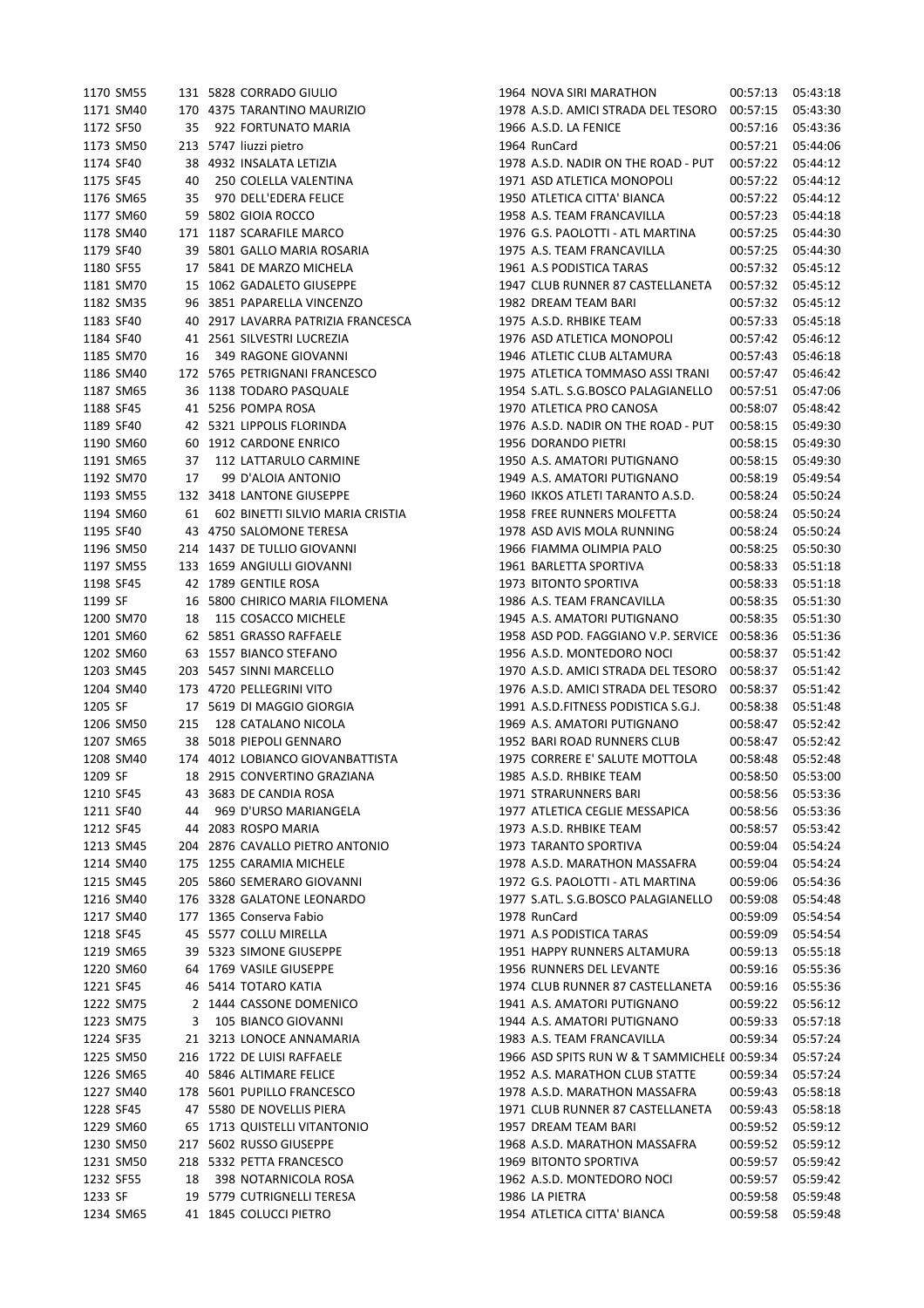|         | 1170 SM55 |     | 131 5828 CORRADO GIULIO            | 1964 NOVA SIRI MARATHON                      | 00:57:13 | 05:43:18 |
|---------|-----------|-----|------------------------------------|----------------------------------------------|----------|----------|
|         | 1171 SM40 |     | 170 4375 TARANTINO MAURIZIO        | 1978 A.S.D. AMICI STRADA DEL TESORO          | 00:57:15 | 05:43:30 |
|         | 1172 SF50 | 35  | 922 FORTUNATO MARIA                | 1966 A.S.D. LA FENICE                        | 00:57:16 | 05:43:36 |
|         | 1173 SM50 |     | 213 5747 liuzzi pietro             | 1964 RunCard                                 | 00:57:21 | 05:44:06 |
|         | 1174 SF40 |     | 38 4932 INSALATA LETIZIA           | 1978 A.S.D. NADIR ON THE ROAD - PUT          | 00:57:22 | 05:44:12 |
|         | 1175 SF45 | 40  | 250 COLELLA VALENTINA              | 1971 ASD ATLETICA MONOPOLI                   | 00:57:22 | 05:44:12 |
|         | 1176 SM65 | 35  | 970 DELL'EDERA FELICE              | 1950 ATLETICA CITTA' BIANCA                  | 00:57:22 | 05:44:12 |
|         |           |     |                                    |                                              |          |          |
|         | 1177 SM60 |     | 59 5802 GIOIA ROCCO                | 1958 A.S. TEAM FRANCAVILLA                   | 00:57:23 | 05:44:18 |
|         | 1178 SM40 |     | 171 1187 SCARAFILE MARCO           | 1976 G.S. PAOLOTTI - ATL MARTINA             | 00:57:25 | 05:44:30 |
|         | 1179 SF40 |     | 39 5801 GALLO MARIA ROSARIA        | 1975 A.S. TEAM FRANCAVILLA                   | 00:57:25 | 05:44:30 |
|         | 1180 SF55 |     | 17 5841 DE MARZO MICHELA           | 1961 A.S PODISTICA TARAS                     | 00:57:32 | 05:45:12 |
|         | 1181 SM70 |     | 15 1062 GADALETO GIUSEPPE          | 1947 CLUB RUNNER 87 CASTELLANETA             | 00:57:32 | 05:45:12 |
|         | 1182 SM35 |     | 96 3851 PAPARELLA VINCENZO         | 1982 DREAM TEAM BARI                         | 00:57:32 | 05:45:12 |
|         | 1183 SF40 |     | 40 2917 LAVARRA PATRIZIA FRANCESCA | 1975 A.S.D. RHBIKE TEAM                      | 00:57:33 | 05:45:18 |
|         | 1184 SF40 |     | 41 2561 SILVESTRI LUCREZIA         | 1976 ASD ATLETICA MONOPOLI                   | 00:57:42 | 05:46:12 |
|         | 1185 SM70 | 16  | 349 RAGONE GIOVANNI                | 1946 ATLETIC CLUB ALTAMURA                   | 00:57:43 | 05:46:18 |
|         | 1186 SM40 |     | 172 5765 PETRIGNANI FRANCESCO      | 1975 ATLETICA TOMMASO ASSI TRANI             | 00:57:47 | 05:46:42 |
|         | 1187 SM65 |     | 36 1138 TODARO PASQUALE            | 1954 S.ATL. S.G.BOSCO PALAGIANELLO           | 00:57:51 | 05:47:06 |
|         | 1188 SF45 |     | 41 5256 POMPA ROSA                 | 1970 ATLETICA PRO CANOSA                     | 00:58:07 | 05:48:42 |
|         | 1189 SF40 |     | 42 5321 LIPPOLIS FLORINDA          | 1976 A.S.D. NADIR ON THE ROAD - PUT          | 00:58:15 | 05:49:30 |
|         | 1190 SM60 |     | 60 1912 CARDONE ENRICO             | 1956 DORANDO PIETRI                          | 00:58:15 | 05:49:30 |
|         | 1191 SM65 | 37  | 112 LATTARULO CARMINE              | 1950 A.S. AMATORI PUTIGNANO                  | 00:58:15 | 05:49:30 |
|         | 1192 SM70 | 17  | 99 D'ALOIA ANTONIO                 | 1949 A.S. AMATORI PUTIGNANO                  | 00:58:19 | 05:49:54 |
|         | 1193 SM55 |     | 132 3418 LANTONE GIUSEPPE          | 1960 IKKOS ATLETI TARANTO A.S.D.             | 00:58:24 | 05:50:24 |
|         | 1194 SM60 |     |                                    |                                              |          |          |
|         |           | 61  | 602 BINETTI SILVIO MARIA CRISTIA   | 1958 FREE RUNNERS MOLFETTA                   | 00:58:24 | 05:50:24 |
|         | 1195 SF40 |     | 43 4750 SALOMONE TERESA            | 1978 ASD AVIS MOLA RUNNING                   | 00:58:24 | 05:50:24 |
|         | 1196 SM50 |     | 214 1437 DE TULLIO GIOVANNI        | 1966 FIAMMA OLIMPIA PALO                     | 00:58:25 | 05:50:30 |
|         | 1197 SM55 |     | 133 1659 ANGIULLI GIOVANNI         | 1961 BARLETTA SPORTIVA                       | 00:58:33 | 05:51:18 |
|         | 1198 SF45 |     | 42 1789 GENTILE ROSA               | 1973 BITONTO SPORTIVA                        | 00:58:33 | 05:51:18 |
| 1199 SF |           |     | 16 5800 CHIRICO MARIA FILOMENA     | 1986 A.S. TEAM FRANCAVILLA                   | 00:58:35 | 05:51:30 |
|         | 1200 SM70 | 18  | 115 COSACCO MICHELE                | 1945 A.S. AMATORI PUTIGNANO                  | 00:58:35 | 05:51:30 |
|         | 1201 SM60 |     | 62 5851 GRASSO RAFFAELE            | 1958 ASD POD. FAGGIANO V.P. SERVICE          | 00:58:36 | 05:51:36 |
|         | 1202 SM60 |     | 63 1557 BIANCO STEFANO             | 1956 A.S.D. MONTEDORO NOCI                   | 00:58:37 | 05:51:42 |
|         | 1203 SM45 |     | 203 5457 SINNI MARCELLO            | 1970 A.S.D. AMICI STRADA DEL TESORO          | 00:58:37 | 05:51:42 |
|         | 1204 SM40 |     | 173 4720 PELLEGRINI VITO           | 1976 A.S.D. AMICI STRADA DEL TESORO          | 00:58:37 | 05:51:42 |
| 1205 SF |           |     | 17 5619 DI MAGGIO GIORGIA          | 1991 A.S.D.FITNESS PODISTICA S.G.J.          | 00:58:38 | 05:51:48 |
|         | 1206 SM50 | 215 | 128 CATALANO NICOLA                | 1969 A.S. AMATORI PUTIGNANO                  | 00:58:47 | 05:52:42 |
|         | 1207 SM65 |     | 38 5018 PIEPOLI GENNARO            | 1952 BARI ROAD RUNNERS CLUB                  | 00:58:47 | 05:52:42 |
|         | 1208 SM40 |     | 174 4012 LOBIANCO GIOVANBATTISTA   | 1975 CORRERE E' SALUTE MOTTOLA               | 00:58:48 | 05:52:48 |
| 1209 SF |           |     | 18 2915 CONVERTINO GRAZIANA        | 1985 A.S.D. RHBIKE TEAM                      | 00:58:50 | 05:53:00 |
|         | 1210 SF45 |     | 43 3683 DE CANDIA ROSA             | <b>1971 STRARUNNERS BARI</b>                 | 00:58:56 | 05:53:36 |
|         | 1211 SF40 | 44  | 969 D'URSO MARIANGELA              | 1977 ATLETICA CEGLIE MESSAPICA               | 00:58:56 | 05:53:36 |
|         | 1212 SF45 |     | 44 2083 ROSPO MARIA                | 1973 A.S.D. RHBIKE TEAM                      | 00:58:57 | 05:53:42 |
|         | 1213 SM45 |     | 204 2876 CAVALLO PIETRO ANTONIO    | 1973 TARANTO SPORTIVA                        | 00:59:04 | 05:54:24 |
|         | 1214 SM40 |     | 175 1255 CARAMIA MICHELE           | 1978 A.S.D. MARATHON MASSAFRA                | 00:59:04 | 05:54:24 |
|         | 1215 SM45 |     | 205 5860 SEMERARO GIOVANNI         | 1972 G.S. PAOLOTTI - ATL MARTINA             | 00:59:06 | 05:54:36 |
|         | 1216 SM40 |     | 176 3328 GALATONE LEONARDO         | 1977 S.ATL. S.G.BOSCO PALAGIANELLO           | 00:59:08 | 05:54:48 |
|         | 1217 SM40 |     | 177 1365 Conserva Fabio            | 1978 RunCard                                 | 00:59:09 | 05:54:54 |
|         | 1218 SF45 |     | 45 5577 COLLU MIRELLA              | 1971 A.S PODISTICA TARAS                     | 00:59:09 | 05:54:54 |
|         | 1219 SM65 |     | 39 5323 SIMONE GIUSEPPE            | 1951 HAPPY RUNNERS ALTAMURA                  | 00:59:13 | 05:55:18 |
|         |           |     |                                    |                                              |          |          |
|         | 1220 SM60 |     | 64 1769 VASILE GIUSEPPE            | 1956 RUNNERS DEL LEVANTE                     | 00:59:16 | 05:55:36 |
|         | 1221 SF45 |     | 46 5414 TOTARO KATIA               | 1974 CLUB RUNNER 87 CASTELLANETA             | 00:59:16 | 05:55:36 |
|         | 1222 SM75 |     | 2 1444 CASSONE DOMENICO            | 1941 A.S. AMATORI PUTIGNANO                  | 00:59:22 | 05:56:12 |
|         | 1223 SM75 | 3   | 105 BIANCO GIOVANNI                | 1944 A.S. AMATORI PUTIGNANO                  | 00:59:33 | 05:57:18 |
|         | 1224 SF35 |     | 21 3213 LONOCE ANNAMARIA           | 1983 A.S. TEAM FRANCAVILLA                   | 00:59:34 | 05:57:24 |
|         | 1225 SM50 |     | 216 1722 DE LUISI RAFFAELE         | 1966 ASD SPITS RUN W & T SAMMICHELE 00:59:34 |          | 05:57:24 |
|         | 1226 SM65 |     | 40 5846 ALTIMARE FELICE            | 1952 A.S. MARATHON CLUB STATTE               | 00:59:34 | 05:57:24 |
|         | 1227 SM40 |     | 178 5601 PUPILLO FRANCESCO         | 1978 A.S.D. MARATHON MASSAFRA                | 00:59:43 | 05:58:18 |
|         | 1228 SF45 |     | 47 5580 DE NOVELLIS PIERA          | 1971 CLUB RUNNER 87 CASTELLANETA             | 00:59:43 | 05:58:18 |
|         | 1229 SM60 |     | 65 1713 QUISTELLI VITANTONIO       | 1957 DREAM TEAM BARI                         | 00:59:52 | 05:59:12 |
|         | 1230 SM50 |     | 217 5602 RUSSO GIUSEPPE            | 1968 A.S.D. MARATHON MASSAFRA                | 00:59:52 | 05:59:12 |
|         | 1231 SM50 |     | 218 5332 PETTA FRANCESCO           | 1969 BITONTO SPORTIVA                        | 00:59:57 | 05:59:42 |
|         | 1232 SF55 | 18  | 398 NOTARNICOLA ROSA               | 1962 A.S.D. MONTEDORO NOCI                   | 00:59:57 | 05:59:42 |
| 1233 SF |           |     | 19 5779 CUTRIGNELLI TERESA         | 1986 LA PIETRA                               | 00:59:58 | 05:59:48 |
|         | 1234 SM65 |     | 41 1845 COLUCCI PIETRO             | 1954 ATLETICA CITTA' BIANCA                  | 00:59:58 | 05:59:48 |
|         |           |     |                                    |                                              |          |          |

| 1964 NOVA SIRI MARATHON                                                | 00:57:13             | 05:43:18             |
|------------------------------------------------------------------------|----------------------|----------------------|
| 1978 A.S.D. AMICI STRADA DEL TESORO                                    | 00:57:15             | 05:43:30             |
| 1966 A.S.D. LA FENICE                                                  | 00:57:16             | 05:43:36             |
| 1964 RunCard                                                           | 00:57:21             | 05:44:06             |
| 1978 A.S.D. NADIR ON THE ROAD - PUT                                    | 00:57:22             | 05:44:12             |
| 1971 ASD ATLETICA MONOPOLI                                             | 00:57:22             | 05:44:12             |
| 1950 ATLETICA CITTA' BIANCA                                            | 00:57:22             | 05:44:12             |
| 1958 A.S. TEAM FRANCAVILLA                                             | 00:57:23             | 05:44:18             |
| 1976 G.S. PAOLOTTI - ATL MARTINA                                       | 00:57:25             | 05:44:30             |
| 1975 A.S. TEAM FRANCAVILLA                                             | 00:57:25             | 05:44:30             |
| 1961 A.S PODISTICA TARAS                                               | 00:57:32             | 05:45:12             |
| 1947 CLUB RUNNER 87 CASTELLANETA                                       | 00:57:32             | 05:45:12             |
| 1982 DREAM TEAM BARI                                                   | 00:57:32             | 05:45:12             |
| 1975 A.S.D. RHBIKE TEAM                                                | 00:57:33             | 05:45:18             |
| 1976 ASD ATLETICA MONOPOLI                                             | 00:57:42             | 05:46:12             |
| 1946 ATLETIC CLUB ALTAMURA                                             | 00:57:43             | 05:46:18             |
| 1975 ATLETICA TOMMASO ASSI TRANI                                       | 00:57:47             | 05:46:42             |
| 1954 S.ATL. S.G.BOSCO PALAGIANELLO                                     | 00:57:51             | 05:47:06             |
| 1970 ATLETICA PRO CANOSA                                               | 00:58:07             | 05:48:42             |
| 1976 A.S.D. NADIR ON THE ROAD - PUT                                    | 00:58:15             | 05:49:30             |
| 1956 DORANDO PIETRI                                                    | 00:58:15             | 05:49:30             |
| 1950 A.S. AMATORI PUTIGNANO                                            | 00:58:15             | 05:49:30             |
| 1949 A.S. AMATORI PUTIGNANO                                            | 00:58:19             | 05:49:54             |
| 1960 IKKOS ATLETI TARANTO A.S.D.                                       | 00:58:24             | 05:50:24             |
| 1958 FREE RUNNERS MOLFETTA                                             | 00:58:24             | 05:50:24             |
| 1978 ASD AVIS MOLA RUNNING                                             | 00:58:24             | 05:50:24             |
| 1966 FIAMMA OLIMPIA PALO                                               | 00:58:25             | 05:50:30             |
| 1961 BARLETTA SPORTIVA                                                 | 00:58:33             | 05:51:18             |
| 1973 BITONTO SPORTIVA                                                  | 00:58:33             | 05:51:18             |
| 1986 A.S. TEAM FRANCAVILLA                                             | 00:58:35             | 05:51:30             |
| 1945 A.S. AMATORI PUTIGNANO                                            | 00:58:35             | 05:51:30             |
| 1958 ASD POD. FAGGIANO V.P. SERVICE                                    | 00:58:36             | 05:51:36             |
| 1956 A.S.D. MONTEDORO NOCI                                             | 00:58:37             | 05:51:42             |
| 1970 A.S.D. AMICI STRADA DEL TESORO                                    | 00:58:37             | 05:51:42             |
| 1976 A.S.D. AMICI STRADA DEL TESORO                                    | 00:58:37             | 05:51:42             |
| 1991 A.S.D.FITNESS PODISTICA S.G.J.                                    | 00:58:38             | 05:51:48             |
| 1969 A.S. AMATORI PUTIGNANO                                            | 00:58:47             | 05:52:42             |
| 1952 BARI ROAD RUNNERS CLUB                                            | 00:58:47             | 05:52:42             |
| 1975 CORRERE E' SALUTE MOTTOLA                                         | 00:58:48             | 05:52:48             |
| 1985 A.S.D. RHBIKE TEAM                                                | 00:58:50             | 05:53:00             |
| 1971 STRARUNNERS BARI                                                  | 00:58:56             | 05:53:36             |
| 1977 ATLETICA CEGLIE MESSAPICA                                         | 00:58:56             | 05:53:36             |
| 1973 A.S.D. RHBIKE TEAM                                                | 00:58:57             | 05:53:42             |
| 1973 TARANTO SPORTIVA<br>1978 A.S.D. MARATHON MASSAFRA                 | 00:59:04             | 05:54:24             |
|                                                                        | 00:59:04<br>00:59:06 | 05:54:24             |
| 1972 G.S. PAOLOTTI - ATL MARTINA<br>1977 S.ATL. S.G.BOSCO PALAGIANELLO |                      | 05:54:36             |
| 1978 RunCard                                                           | 00:59:08<br>00:59:09 | 05:54:48             |
| 1971 A.S PODISTICA TARAS                                               | 00:59:09             | 05:54:54             |
| 1951 HAPPY RUNNERS ALTAMURA                                            | 00:59:13             | 05:54:54<br>05:55:18 |
| 1956 RUNNERS DEL LEVANTE                                               | 00:59:16             | 05:55:36             |
| 1974 CLUB RUNNER 87 CASTELLANETA                                       | 00:59:16             | 05:55:36             |
| 1941 A.S. AMATORI PUTIGNANO                                            | 00:59:22             | 05:56:12             |
| 1944 A.S. AMATORI PUTIGNANO                                            | 00:59:33             | 05:57:18             |
| 1983 A.S. TEAM FRANCAVILLA                                             | 00:59:34             | 05:57:24             |
| 1966 ASD SPITS RUN W & T SAMMICHELE 00:59:34                           |                      | 05:57:24             |
| 1952 A.S. MARATHON CLUB STATTE                                         | 00:59:34             | 05:57:24             |
| 1978 A.S.D. MARATHON MASSAFRA                                          | 00:59:43             | 05:58:18             |
| 1971 CLUB RUNNER 87 CASTELLANETA                                       | 00:59:43             | 05:58:18             |
| 1957 DREAM TEAM BARI                                                   | 00:59:52             | 05:59:12             |
| 1968 A.S.D. MARATHON MASSAFRA                                          | 00:59:52             | 05:59:12             |
| <b>1969 BITONTO SPORTIVA</b>                                           | 00:59:57             | 05:59:42             |
| 1962 A.S.D. MONTEDORO NOCI                                             | 00:59:57             | 05:59:42             |
| 1986 LA PIETRA                                                         | 00:59:58             | 05:59:48             |
| 1954 ATLETICA CITTA' BIANCA                                            | 00:59:58             | 05:59:48             |
|                                                                        |                      |                      |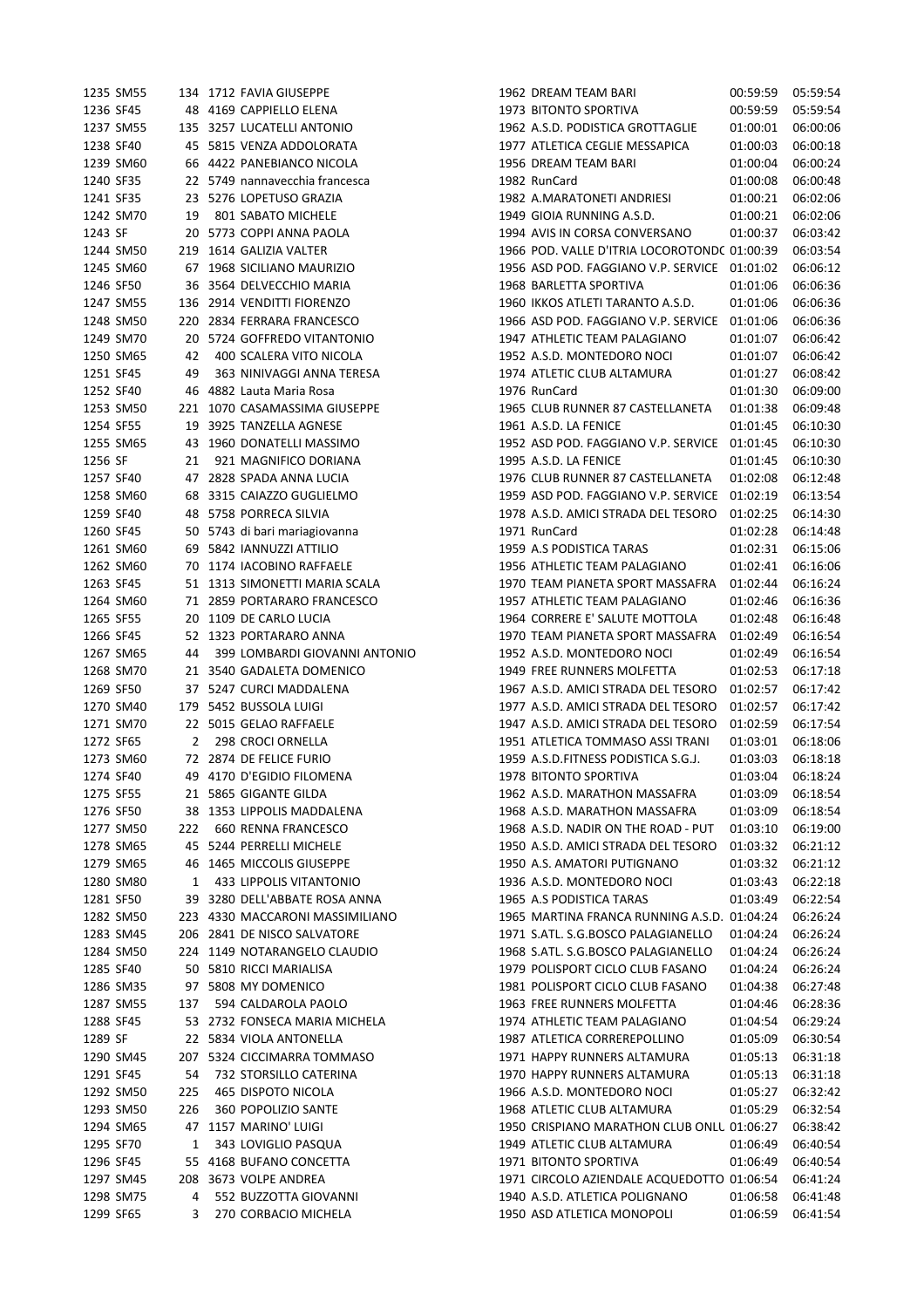|           | 1235 SM55 |     | 134 1712 FAVIA GIUSEPPE         | 1962 DREAM TEAM BARI                         | 00:59:59 | 05:59:54 |
|-----------|-----------|-----|---------------------------------|----------------------------------------------|----------|----------|
|           | 1236 SF45 |     | 48 4169 CAPPIELLO ELENA         | 1973 BITONTO SPORTIVA                        | 00:59:59 | 05:59:54 |
|           | 1237 SM55 |     | 135 3257 LUCATELLI ANTONIO      | 1962 A.S.D. PODISTICA GROTTAGLIE             | 01:00:01 | 06:00:06 |
|           | 1238 SF40 |     | 45 5815 VENZA ADDOLORATA        | 1977 ATLETICA CEGLIE MESSAPICA               | 01:00:03 | 06:00:18 |
|           | 1239 SM60 |     | 66 4422 PANEBIANCO NICOLA       | 1956 DREAM TEAM BARI                         | 01:00:04 | 06:00:24 |
|           | 1240 SF35 |     | 22 5749 nannavecchia francesca  | 1982 RunCard                                 | 01:00:08 | 06:00:48 |
| 1241 SF35 |           |     | 23 5276 LOPETUSO GRAZIA         | 1982 A.MARATONETI ANDRIESI                   | 01:00:21 | 06:02:06 |
|           | 1242 SM70 | 19  | 801 SABATO MICHELE              | 1949 GIOIA RUNNING A.S.D.                    | 01:00:21 | 06:02:06 |
| 1243 SF   |           |     | 20 5773 COPPI ANNA PAOLA        | 1994 AVIS IN CORSA CONVERSANO                | 01:00:37 | 06:03:42 |
|           | 1244 SM50 |     | 219 1614 GALIZIA VALTER         | 1966 POD. VALLE D'ITRIA LOCOROTOND( 01:00:39 |          | 06:03:54 |
|           | 1245 SM60 |     | 67 1968 SICILIANO MAURIZIO      | 1956 ASD POD. FAGGIANO V.P. SERVICE          | 01:01:02 | 06:06:12 |
|           | 1246 SF50 |     | 36 3564 DELVECCHIO MARIA        | 1968 BARLETTA SPORTIVA                       | 01:01:06 | 06:06:36 |
|           | 1247 SM55 |     | 136 2914 VENDITTI FIORENZO      | 1960 IKKOS ATLETI TARANTO A.S.D.             | 01:01:06 | 06:06:36 |
|           | 1248 SM50 |     | 220 2834 FERRARA FRANCESCO      | 1966 ASD POD. FAGGIANO V.P. SERVICE          | 01:01:06 | 06:06:36 |
|           | 1249 SM70 |     | 20 5724 GOFFREDO VITANTONIO     | 1947 ATHLETIC TEAM PALAGIANO                 | 01:01:07 | 06:06:42 |
|           | 1250 SM65 | 42  | 400 SCALERA VITO NICOLA         | 1952 A.S.D. MONTEDORO NOCI                   | 01:01:07 | 06:06:42 |
| 1251 SF45 |           | 49  | 363 NINIVAGGI ANNA TERESA       | 1974 ATLETIC CLUB ALTAMURA                   | 01:01:27 | 06:08:42 |
|           | 1252 SF40 |     | 46 4882 Lauta Maria Rosa        | 1976 RunCard                                 | 01:01:30 | 06:09:00 |
|           | 1253 SM50 |     | 221 1070 CASAMASSIMA GIUSEPPE   | 1965 CLUB RUNNER 87 CASTELLANETA             | 01:01:38 | 06:09:48 |
|           |           |     |                                 | 1961 A.S.D. LA FENICE                        |          |          |
| 1254 SF55 |           |     | 19 3925 TANZELLA AGNESE         |                                              | 01:01:45 | 06:10:30 |
| 1256 SF   | 1255 SM65 |     | 43 1960 DONATELLI MASSIMO       | 1952 ASD POD. FAGGIANO V.P. SERVICE          | 01:01:45 | 06:10:30 |
|           |           | 21  | 921 MAGNIFICO DORIANA           | 1995 A.S.D. LA FENICE                        | 01:01:45 | 06:10:30 |
|           | 1257 SF40 |     | 47 2828 SPADA ANNA LUCIA        | 1976 CLUB RUNNER 87 CASTELLANETA             | 01:02:08 | 06:12:48 |
|           | 1258 SM60 |     | 68 3315 CAIAZZO GUGLIELMO       | 1959 ASD POD. FAGGIANO V.P. SERVICE 01:02:19 |          | 06:13:54 |
|           | 1259 SF40 |     | 48 5758 PORRECA SILVIA          | 1978 A.S.D. AMICI STRADA DEL TESORO          | 01:02:25 | 06:14:30 |
| 1260 SF45 |           |     | 50 5743 di bari mariagiovanna   | 1971 RunCard                                 | 01:02:28 | 06:14:48 |
|           | 1261 SM60 |     | 69 5842 IANNUZZI ATTILIO        | 1959 A.S PODISTICA TARAS                     | 01:02:31 | 06:15:06 |
|           | 1262 SM60 |     | 70 1174 IACOBINO RAFFAELE       | 1956 ATHLETIC TEAM PALAGIANO                 | 01:02:41 | 06:16:06 |
|           | 1263 SF45 |     | 51 1313 SIMONETTI MARIA SCALA   | 1970 TEAM PIANETA SPORT MASSAFRA             | 01:02:44 | 06:16:24 |
|           | 1264 SM60 |     | 71 2859 PORTARARO FRANCESCO     | 1957 ATHLETIC TEAM PALAGIANO                 | 01:02:46 | 06:16:36 |
|           | 1265 SF55 |     | 20 1109 DE CARLO LUCIA          | 1964 CORRERE E' SALUTE MOTTOLA               | 01:02:48 | 06:16:48 |
| 1266 SF45 |           |     | 52 1323 PORTARARO ANNA          | 1970 TEAM PIANETA SPORT MASSAFRA             | 01:02:49 | 06:16:54 |
|           | 1267 SM65 | 44  | 399 LOMBARDI GIOVANNI ANTONIO   | 1952 A.S.D. MONTEDORO NOCI                   | 01:02:49 | 06:16:54 |
|           | 1268 SM70 |     | 21 3540 GADALETA DOMENICO       | 1949 FREE RUNNERS MOLFETTA                   | 01:02:53 | 06:17:18 |
|           | 1269 SF50 |     | 37 5247 CURCI MADDALENA         | 1967 A.S.D. AMICI STRADA DEL TESORO          | 01:02:57 | 06:17:42 |
|           | 1270 SM40 |     | 179 5452 BUSSOLA LUIGI          | 1977 A.S.D. AMICI STRADA DEL TESORO          | 01:02:57 | 06:17:42 |
|           | 1271 SM70 |     | 22 5015 GELAO RAFFAELE          | 1947 A.S.D. AMICI STRADA DEL TESORO          | 01:02:59 | 06:17:54 |
| 1272 SF65 |           | 2   | 298 CROCI ORNELLA               | 1951 ATLETICA TOMMASO ASSI TRANI             | 01:03:01 | 06:18:06 |
|           | 1273 SM60 |     | 72 2874 DE FELICE FURIO         | 1959 A.S.D.FITNESS PODISTICA S.G.J.          | 01:03:03 | 06:18:18 |
| 1274 SF40 |           |     | 49 4170 D'EGIDIO FILOMENA       | 1978 BITONTO SPORTIVA                        | 01:03:04 | 06:18:24 |
| 1275 SF55 |           |     | 21 5865 GIGANTE GILDA           | 1962 A.S.D. MARATHON MASSAFRA                | 01:03:09 | 06:18:54 |
| 1276 SF50 |           |     | 38 1353 LIPPOLIS MADDALENA      | 1968 A.S.D. MARATHON MASSAFRA                | 01:03:09 | 06:18:54 |
|           | 1277 SM50 | 222 | 660 RENNA FRANCESCO             | 1968 A.S.D. NADIR ON THE ROAD - PUT          | 01:03:10 | 06:19:00 |
|           | 1278 SM65 |     | 45 5244 PERRELLI MICHELE        | 1950 A.S.D. AMICI STRADA DEL TESORO          | 01:03:32 | 06:21:12 |
|           | 1279 SM65 |     | 46 1465 MICCOLIS GIUSEPPE       | 1950 A.S. AMATORI PUTIGNANO                  | 01:03:32 | 06:21:12 |
|           | 1280 SM80 | 1   | 433 LIPPOLIS VITANTONIO         | 1936 A.S.D. MONTEDORO NOCI                   | 01:03:43 | 06:22:18 |
|           | 1281 SF50 |     | 39 3280 DELL'ABBATE ROSA ANNA   | 1965 A.S PODISTICA TARAS                     | 01:03:49 | 06:22:54 |
|           | 1282 SM50 |     | 223 4330 MACCARONI MASSIMILIANO | 1965 MARTINA FRANCA RUNNING A.S.D. 01:04:24  |          | 06:26:24 |
|           | 1283 SM45 |     | 206 2841 DE NISCO SALVATORE     | 1971 S.ATL. S.G.BOSCO PALAGIANELLO           | 01:04:24 | 06:26:24 |
|           | 1284 SM50 |     | 224 1149 NOTARANGELO CLAUDIO    | 1968 S.ATL. S.G.BOSCO PALAGIANELLO           | 01:04:24 | 06:26:24 |
|           | 1285 SF40 |     | 50 5810 RICCI MARIALISA         | 1979 POLISPORT CICLO CLUB FASANO             | 01:04:24 | 06:26:24 |
|           | 1286 SM35 |     | 97 5808 MY DOMENICO             | 1981 POLISPORT CICLO CLUB FASANO             | 01:04:38 | 06:27:48 |
|           | 1287 SM55 | 137 | 594 CALDAROLA PAOLO             | 1963 FREE RUNNERS MOLFETTA                   | 01:04:46 | 06:28:36 |
| 1288 SF45 |           |     | 53 2732 FONSECA MARIA MICHELA   | 1974 ATHLETIC TEAM PALAGIANO                 | 01:04:54 | 06:29:24 |
| 1289 SF   |           |     | 22 5834 VIOLA ANTONELLA         | 1987 ATLETICA CORREREPOLLINO                 | 01:05:09 | 06:30:54 |
|           | 1290 SM45 |     | 207 5324 CICCIMARRA TOMMASO     | 1971 HAPPY RUNNERS ALTAMURA                  | 01:05:13 | 06:31:18 |
| 1291 SF45 |           | 54  | 732 STORSILLO CATERINA          | 1970 HAPPY RUNNERS ALTAMURA                  | 01:05:13 | 06:31:18 |
|           | 1292 SM50 | 225 | 465 DISPOTO NICOLA              | 1966 A.S.D. MONTEDORO NOCI                   | 01:05:27 | 06:32:42 |
|           | 1293 SM50 | 226 | 360 POPOLIZIO SANTE             | 1968 ATLETIC CLUB ALTAMURA                   | 01:05:29 | 06:32:54 |
|           | 1294 SM65 |     | 47 1157 MARINO' LUIGI           | 1950 CRISPIANO MARATHON CLUB ONLL 01:06:27   |          | 06:38:42 |
|           | 1295 SF70 |     |                                 |                                              |          | 06:40:54 |
|           |           | 1   | 343 LOVIGLIO PASQUA             | 1949 ATLETIC CLUB ALTAMURA                   | 01:06:49 |          |
|           | 1296 SF45 |     | 55 4168 BUFANO CONCETTA         | 1971 BITONTO SPORTIVA                        | 01:06:49 | 06:40:54 |
|           | 1297 SM45 |     | 208 3673 VOLPE ANDREA           | 1971 CIRCOLO AZIENDALE ACQUEDOTTO 01:06:54   |          | 06:41:24 |
|           | 1298 SM75 | 4   | 552 BUZZOTTA GIOVANNI           | 1940 A.S.D. ATLETICA POLIGNANO               | 01:06:58 | 06:41:48 |
| 1299 SF65 |           | 3   | 270 CORBACIO MICHELA            | 1950 ASD ATLETICA MONOPOLI                   | 01:06:59 | 06:41:54 |